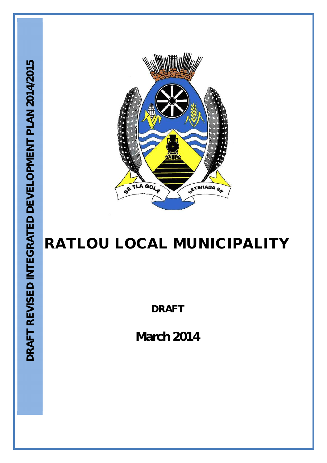

# **RATLOU LOCAL MUNICIPALITY**

**DRAFT**

**March 2014**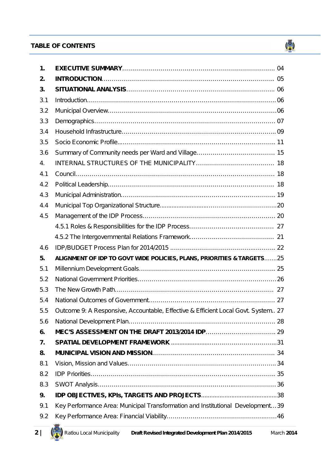## **TABLE OF CONTENTS TABLE OF CONTENTS**





 $\binom{3}{2}$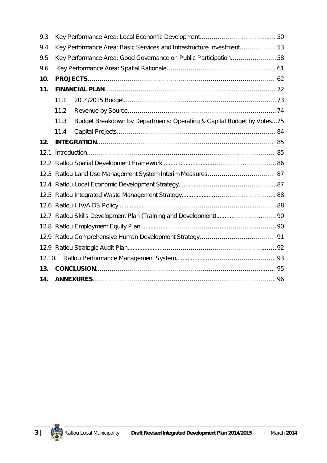| 9.3    |      |                                                                        |  |
|--------|------|------------------------------------------------------------------------|--|
| 9.4    |      | Key Performance Area: Basic Services and Infrastructure Investment 53  |  |
| 9.5    |      | Key Performance Area: Good Governance on Public Participation58        |  |
| 9.6    |      |                                                                        |  |
| 10.    |      |                                                                        |  |
| 11.    |      |                                                                        |  |
|        | 11.1 |                                                                        |  |
|        | 11.2 |                                                                        |  |
|        | 11.3 | Budget Breakdown by Departments: Operating & Capital Budget by Votes75 |  |
|        | 11.4 |                                                                        |  |
| 12.    |      |                                                                        |  |
| 12.1   |      |                                                                        |  |
|        |      |                                                                        |  |
|        |      |                                                                        |  |
|        |      |                                                                        |  |
|        |      |                                                                        |  |
|        |      |                                                                        |  |
|        |      |                                                                        |  |
|        |      |                                                                        |  |
|        |      |                                                                        |  |
|        |      |                                                                        |  |
| 12.10. |      |                                                                        |  |
| 13.    |      |                                                                        |  |
| 14.    |      |                                                                        |  |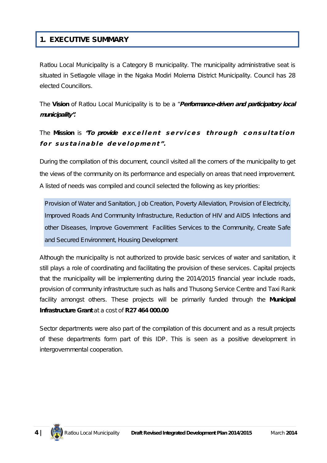## **1. EXECUTIVE SUMMARY**

Ratlou Local Municipality is a Category B municipality. The municipality administrative seat is situated in Setlagole village in the Ngaka Modiri Molema District Municipality. Council has 28 elected Councillors.

The **Vision** of Ratlou Local Municipality is to be a *"Performance-driven and participatory local municipality".*

## The Mission is "To provide excellent services through consultation for sustainable development".

During the compilation of this document, council visited all the corners of the municipality to get the views of the community on its performance and especially on areas that need improvement. A listed of needs was compiled and council selected the following as key priorities:

Provision of Water and Sanitation, Job Creation, Poverty Alleviation, Provision of Electricity, Improved Roads And Community Infrastructure, Reduction of HIV and AIDS Infections and other Diseases, Improve Government Facilities Services to the Community, Create Safe and Secured Environment, Housing Development

Although the municipality is not authorized to provide basic services of water and sanitation, it still plays a role of coordinating and facilitating the provision of these services. Capital projects that the municipality will be implementing during the 2014/2015 financial year include roads, provision of community infrastructure such as halls and Thusong Service Centre and Taxi Rank facility amongst others. These projects will be primarily funded through the **Municipal Infrastructure Grant** at a cost of **R27 464 000.00**

Sector departments were also part of the compilation of this document and as a result projects of these departments form part of this IDP. This is seen as a positive development in intergovernmental cooperation.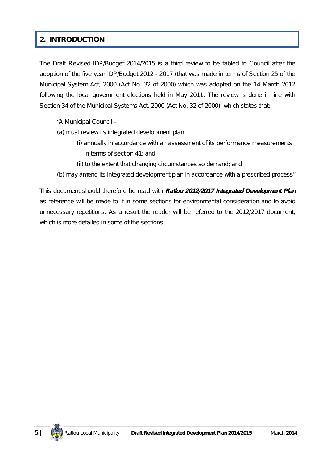## **2. INTRODUCTION**

The Draft Revised IDP/Budget 2014/2015 is a third review to be tabled to Council after the adoption of the five year IDP/Budget 2012 - 2017 (that was made in terms of Section 25 of the Municipal System Act, 2000 (Act No. 32 of 2000) which was adopted on the 14 March 2012 following the local government elections held in May 2011. The review is done in line with Section 34 of the Municipal Systems Act, 2000 (Act No. 32 of 2000), which states that:

- *"A Municipal Council –*
- *(a) must review its integrated development plan*
	- *(i) annually in accordance with an assessment of its performance measurements in terms of section 41; and*
	- *(ii) to the extent that changing circumstances so demand; and*
- *(b) may amend its integrated development plan in accordance with a prescribed process"*

This document should therefore be read with *Ratlou 2012/2017 Integrated Development Plan* as reference will be made to it in some sections for environmental consideration and to avoid unnecessary repetitions*.* As a result the reader will be referred to the 2012/2017 document, which is more detailed in some of the sections.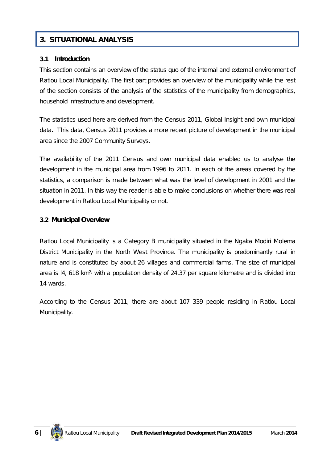## **3. SITUATIONAL ANALYSIS**

#### **3.1 Introduction**

This section contains an overview of the status quo of the internal and external environment of Ratlou Local Municipality. The first part provides an overview of the municipality while the rest of the section consists of the analysis of the statistics of the municipality from demographics, household infrastructure and development.

The statistics used here are derived from the *Census 2011, Global Insight and own municipal data.* This data, Census 2011 provides a more recent picture of development in the municipal area since the 2007 Community Surveys.

The availability of the 2011 Census and own municipal data enabled us to analyse the development in the municipal area from 1996 to 2011. In each of the areas covered by the statistics, a comparison is made between what was the level of development in 2001 and the situation in 2011. In this way the reader is able to make conclusions on whether there was real development in Ratlou Local Municipality or not.

#### **3.2 Municipal Overview**

Ratlou Local Municipality is a Category B municipality situated in the Ngaka Modiri Molema District Municipality in the North West Province. The municipality is predominantly rural in nature and is constituted by about 26 villages and commercial farms. The size of municipal area is  $14$ , 618 km<sup>2,</sup> with a population density of 24.37 per square kilometre and is divided into 14 wards.

According to the Census 2011, there are about 107 339 people residing in Ratlou Local Municipality.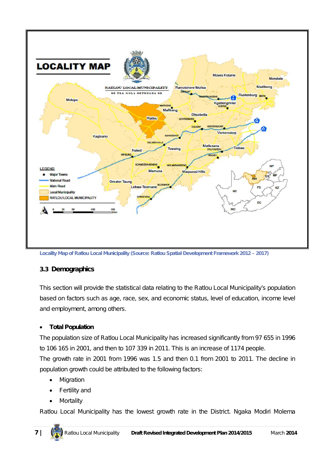

**Locality Map of Ratlou Local Municipality (Source: Ratlou Spatial Development Framework 2012 – 2017)**

#### **3.3 Demographics**

This section will provide the statistical data relating to the Ratlou Local Municipality's population based on factors such as age, race, sex, and economic status, level of education, income level and employment, among others.

#### **Total Population**

The population size of Ratlou Local Municipality has increased significantly from 97 655 in 1996 to 106 165 in 2001, and then to 107 339 in 2011. This is an increase of 1174 people. The growth rate in 2001 from 1996 was 1.5 and then 0.1 from 2001 to 2011. The decline in population growth could be attributed to the following factors:

- Migration
- Fertility and
- Mortality

Ratlou Local Municipality has the lowest growth rate in the District. Ngaka Modiri Molema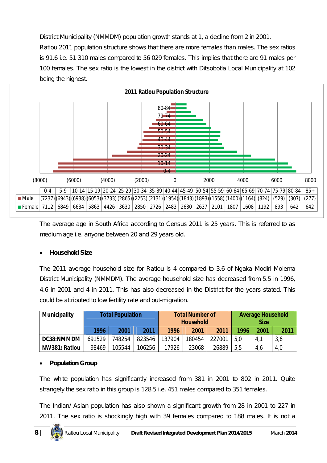District Municipality (NMMDM) population growth stands at 1, a decline from 2 in 2001. Ratlou 2011 population structure shows that there are more females than males. The sex ratios is 91.6 i.e. 51 310 males compared to 56 029 females. This implies that there are 91 males per 100 females. The sex ratio is the lowest in the district with Ditsobotla Local Municipality at 102 being the highest.



The average age in South Africa according to Census 2011 is 25 years. This is referred to as medium age i.e. anyone between 20 and 29 years old.

#### **Household Size**

The 2011 average household size for Ratlou is 4 compared to 3.6 of Ngaka Modiri Molema District Municipality (NMMDM). The average household size has decreased from 5.5 in 1996, 4.6 in 2001 and 4 in 2011. This has also decreased in the District for the years stated. This could be attributed to low fertility rate and out-migration.

| <b>Municipality</b> | <b>Total Population</b> |        |        | <b>Total Number of</b><br><b>Household</b> |        |        | <b>Average Household</b><br><b>Size</b> |      |      |
|---------------------|-------------------------|--------|--------|--------------------------------------------|--------|--------|-----------------------------------------|------|------|
|                     | 1996                    | 2001   | 2011   | 1996                                       | 2001   | 2011   | 1996                                    | 2001 | 2011 |
| DC38:NMMDM          | 691529                  | 748254 | 823546 | 137904                                     | 180454 | 227001 | 5,0                                     | 4,1  | 3,6  |
| NW381: Ratlou       | 98469                   | 105544 | 106256 | 17926                                      | 23068  | 26889  | 5,5                                     | 4,6  | 4,0  |

#### **Population Group**

The white population has significantly increased from 381 in 2001 to 802 in 2011. Quite strangely the sex ratio in this group is 128.5 i.e. 451 males compared to 351 females.

The Indian/ Asian population has also shown a significant growth from 28 in 2001 to 227 in 2011. The sex ratio is shockingly high with 39 females compared to 188 males. It is not a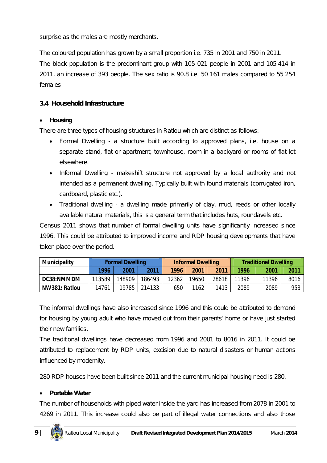surprise as the males are mostly merchants.

The coloured population has grown by a small proportion i.e. 735 in 2001 and 750 in 2011.

The black population is the predominant group with 105 021 people in 2001 and 105 414 in 2011, an increase of 393 people. The sex ratio is 90.8 i.e. 50 161 males compared to 55 254 females

#### **3.4 Household Infrastructure**

#### **Housing**

There are three types of housing structures in Ratlou which are distinct as follows:

- Formal Dwelling a structure built according to approved plans, i.e. house on a separate stand, flat or apartment, townhouse, room in a backyard or rooms of flat let elsewhere.
- Informal Dwelling makeshift structure not approved by a local authority and not intended as a permanent dwelling. Typically built with found materials (corrugated iron, cardboard, plastic etc.).
- Traditional dwelling a dwelling made primarily of clay, mud, reeds or other locally available natural materials, this is a general term that includes huts, roundavels etc.

Census 2011 shows that number of formal dwelling units have significantly increased since 1996. This could be attributed to improved income and RDP housing developments that have taken place over the period.

| <b>Municipality</b> | <b>Formal Dwelling</b> |        |        | <b>Informal Dwelling</b> |       |       | <b>Traditional Dwelling</b> |       |      |
|---------------------|------------------------|--------|--------|--------------------------|-------|-------|-----------------------------|-------|------|
|                     | 1996                   | 2001   | 2011   | 1996                     | 2001  | 2011  | 1996                        | 2001  | 2011 |
| DC38:NMMDM          | 113589                 | 148909 | 186493 | 12362                    | 19650 | 28618 | 11396                       | 11396 | 8016 |
| NW381: Ratlou       | 14761                  | 19785  | 214133 | 650                      | 1162  | 1413  | 2089                        | 2089  | 953  |

The informal dwellings have also increased since 1996 and this could be attributed to demand for housing by young adult who have moved out from their parents' home or have just started their new families.

The traditional dwellings have decreased from 1996 and 2001 to 8016 in 2011. It could be attributed to replacement by RDP units, excision due to natural disasters or human actions influenced by modernity.

280 RDP houses have been built since 2011 and the current municipal housing need is 280.

#### **Portable Water**

The number of households with piped water inside the yard has increased from 2078 in 2001 to 4269 in 2011. This increase could also be part of illegal water connections and also those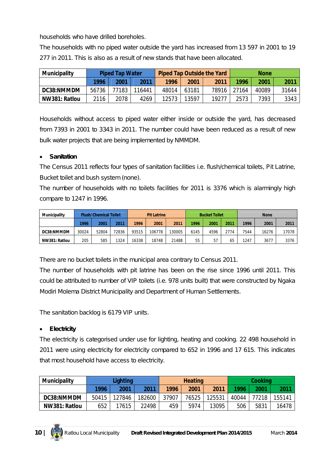households who have drilled boreholes.

The households with no piped water outside the yard has increased from 13 597 in 2001 to 19 277 in 2011. This is also as a result of new stands that have been allocated.

| <b>Municipality</b> | <b>Piped Tap Water</b> |       |        | <b>Piped Tap Outside the Yard</b> |       |       | <b>None</b> |       |       |
|---------------------|------------------------|-------|--------|-----------------------------------|-------|-------|-------------|-------|-------|
|                     | 1996                   | 2001  | 2011   | 1996                              | 2001  | 2011  | 1996        | 2001  | 2011  |
| DC38:NMMDM          | 56736                  | 77183 | 116441 | 48014                             | 63181 | 78916 | 27164       | 40089 | 31644 |
| NW381: Ratlou       | 2116                   | 2078  | 4269   | 12573                             | 13597 | 19277 | 2573        | 7393  | 3343  |

Households without access to piped water either inside or outside the yard, has decreased from 7393 in 2001 to 3343 in 2011. The number could have been reduced as a result of new bulk water projects that are being implemented by NMMDM.

#### **Sanitation**

The Census 2011 reflects four types of sanitation facilities i.e. flush/chemical toilets, Pit Latrine, Bucket toilet and bush system (none).

The number of households with no toilets facilities for 2011 is 3376 which is alarmingly high compare to 1247 in 1996.

| <b>Municipality</b> |       | <b>Flush/Chemical Toilet</b> |       | <b>Pit Latrine</b> |        | <b>Bucket Toilet</b> |      | <b>None</b> |      |      |       |       |
|---------------------|-------|------------------------------|-------|--------------------|--------|----------------------|------|-------------|------|------|-------|-------|
|                     | 1996  | 2001                         | 2011  | 1996               | 2001   | 2011                 | 1996 | 2001        | 2011 | 1996 | 2001  | 2011  |
| DC38:NMMDM          | 30024 | 52804                        | 72836 | 93515              | 106778 | 130005               | 6145 | 4596        | 2774 | 7544 | 16276 | 17078 |
| NW381: Ratlou       | 205   | 585                          | 1324  | 16338              | 18748  | 21488                | 55   | 57          | 65   | 1247 | 3677  | 3376  |

There are no bucket toilets in the municipal area contrary to Census 2011.

The number of households with pit latrine has been on the rise since 1996 until 2011. This could be attributed to number of VIP toilets (i.e. 978 units built) that were constructed by Ngaka Modiri Molema District Municipality and Department of Human Settlements.

The sanitation backlog is 6179 VIP units.

#### **Electricity**

The electricity is categorised under use for lighting, heating and cooking. 22 498 household in 2011 were using electricity for electricity compared to 652 in 1996 and 17 615. This indicates that most household have access to electricity.

| <b>Municipality</b> | Lighting |        |        | <b>Heating</b> |       |        | Cooking |       |        |
|---------------------|----------|--------|--------|----------------|-------|--------|---------|-------|--------|
|                     | 1996     | 2001   | 2011   | 1996           | 2001  | 2011   | 1996    | 2001  | 2011   |
| DC38:NMMDM          | 50415    | 127846 | 182600 | 37907          | 76525 | 125531 | 40044   | 77218 | 155141 |
| NW381: Ratlou       | 652      | 17615  | 22498  | 459            | 5974  | 13095  | 506     | 5831  | 16478  |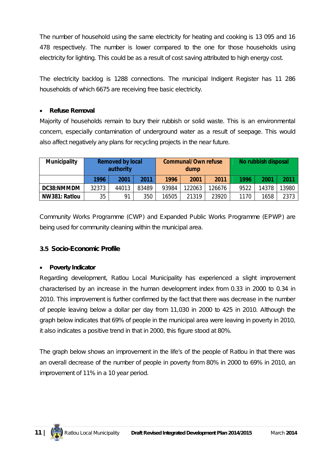The number of household using the same electricity for heating and cooking is 13 095 and 16 478 respectively. The number is lower compared to the one for those households using electricity for lighting. This could be as a result of cost saving attributed to high energy cost.

The electricity backlog is 1288 connections. The municipal Indigent Register has 11 286 households of which 6675 are receiving free basic electricity.

#### **Refuse Removal**

Majority of households remain to bury their rubbish or solid waste. This is an environmental concern, especially contamination of underground water as a result of seepage. This would also affect negatively any plans for recycling projects in the near future.

| <b>Municipality</b> | <b>Removed by local</b><br>authority |       |       |       | <b>Communal/Own refuse</b><br>dump |        | No rubbish disposal |       |       |
|---------------------|--------------------------------------|-------|-------|-------|------------------------------------|--------|---------------------|-------|-------|
|                     | 1996                                 | 2001  | 2011  | 1996  | 2001                               | 2011   | 1996                | 2001  | 2011  |
| DC38:NMMDM          | 32373                                | 44013 | 83489 | 93984 | 122063                             | 126676 | 9522                | 14378 | 13980 |
| NW381: Ratlou       | 35                                   | 91    | 350   | 16505 | 21319                              | 23920  | 1170                | 1658  | 2373  |

Community Works Programme (CWP) and Expanded Public Works Programme (EPWP) are being used for community cleaning within the municipal area.

#### **3.5 Socio-Economic Profile**

#### **Poverty Indicator**

Regarding development, Ratlou Local Municipality has experienced a slight improvement characterised by an increase in the human development index from 0.33 in 2000 to 0.34 in 2010. This improvement is further confirmed by the fact that there was decrease in the number of people leaving below a dollar per day from 11,030 in 2000 to 425 in 2010. Although the graph below indicates that 69% of people in the municipal area were leaving in poverty in 2010, it also indicates a positive trend in that in 2000, this figure stood at 80%.

The graph below shows an improvement in the life's of the people of Ratlou in that there was an overall decrease of the number of people in poverty from 80% in 2000 to 69% in 2010, an improvement of 11% in a 10 year period.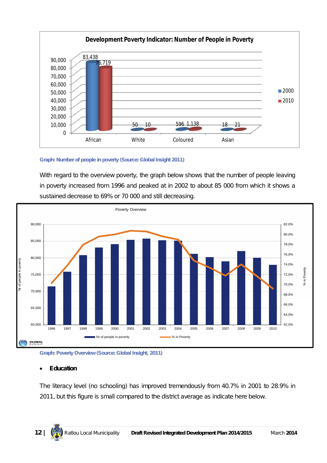

#### **Graph: Number of people in poverty (Source: Global Insight 2011)**

With regard to the overview poverty, the graph below shows that the number of people leaving in poverty increased from 1996 and peaked at in 2002 to about 85 000 from which it shows a sustained decrease to 69% or 70 000 and still decreasing.



**Graph: Poverty Overview (Source: Global Insight, 2011)**

#### **Education**

The literacy level (no schooling) has improved tremendously from 40.7% in 2001 to 28.9% in 2011, but this figure is small compared to the district average as indicate here below.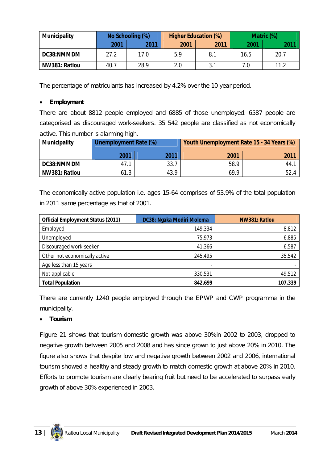| <b>Municipality</b> |      | No Schooling (%) |      | <b>Higher Education (%)</b> | Matric (%) |      |  |
|---------------------|------|------------------|------|-----------------------------|------------|------|--|
|                     | 2001 | 2011             | 2001 | 2011                        | 2001       | 2011 |  |
| DC38:NMMDM          | 27.2 | 17.0             | 5.9  | 8.1                         | 16.5       | 20.7 |  |
| NW381: Ratlou       | 40.7 | 28.9             | 2.0  |                             | 7.0        | 11.2 |  |

The percentage of matriculants has increased by 4.2% over the 10 year period.

#### **Employment**

There are about 8812 people employed and 6885 of those unemployed. 6587 people are categorised as discouraged work-seekers. 35 542 people are classified as not economically active. This number is alarming high.

| <b>Municipality</b> | <b>Unemployment Rate (%)</b> |      | Youth Unemployment Rate 15 - 34 Years (%) |      |  |
|---------------------|------------------------------|------|-------------------------------------------|------|--|
|                     | 2001                         | 2011 | 2001                                      | 2011 |  |
| DC38:NMMDM          | 47.1                         | 33.7 | 58.9                                      | 44.  |  |
| NW381: Ratlou       | 61.3                         | 43.9 | 69.9                                      | 52.4 |  |

The economically active population i.e. ages 15-64 comprises of 53.9% of the total population in 2011 same percentage as that of 2001.

| <b>Official Employment Status (2011)</b> | DC38: Ngaka Modiri Molema | NW381: Ratlou |  |  |
|------------------------------------------|---------------------------|---------------|--|--|
| Employed                                 | 149,334                   | 8,812         |  |  |
| Unemployed                               | 75,973                    | 6,885         |  |  |
| Discouraged work-seeker                  | 41,366                    | 6,587         |  |  |
| Other not economically active            | 245,495                   | 35,542        |  |  |
| Age less than 15 years                   |                           |               |  |  |
| Not applicable                           | 330,531                   | 49,512        |  |  |
| <b>Total Population</b>                  | 842,699                   | 107,339       |  |  |

There are currently 1240 people employed through the EPWP and CWP programme in the municipality.

#### **Tourism**

Figure 21 shows that tourism domestic growth was above 30%in 2002 to 2003, dropped to negative growth between 2005 and 2008 and has since grown to just above 20% in 2010. The figure also shows that despite low and negative growth between 2002 and 2006, international tourism showed a healthy and steady growth to match domestic growth at above 20% in 2010. Efforts to promote tourism are clearly bearing fruit but need to be accelerated to surpass early growth of above 30% experienced in 2003.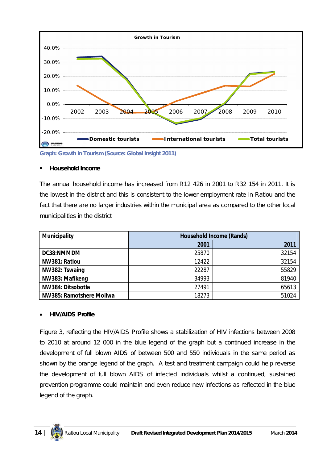

**Graph: Growth in Tourism (Source: Global Insight 2011)**

#### **Household Income**

The annual household income has increased from R12 426 in 2001 to R32 154 in 2011. It is the lowest in the district and this is consistent to the lower employment rate in Ratlou and the fact that there are no larger industries within the municipal area as compared to the other local municipalities in the district

| <b>Municipality</b>      |       | <b>Household Income (Rands)</b> |
|--------------------------|-------|---------------------------------|
|                          | 2001  | 2011                            |
| DC38:NMMDM               | 25870 | 32154                           |
| NW381: Ratlou            | 12422 | 32154                           |
| NW382: Tswaing           | 22287 | 55829                           |
| NW383: Mafikeng          | 34993 | 81940                           |
| NW384: Ditsobotla        | 27491 | 65613                           |
| NW385: Ramotshere Moilwa | 18273 | 51024                           |

#### **HIV/AIDS Profile**

Figure 3, reflecting the HIV/AIDS Profile shows a stabilization of HIV infections between 2008 to 2010 at around 12 000 in the blue legend of the graph but a continued increase in the development of full blown AIDS of between 500 and 550 individuals in the same period as shown by the orange legend of the graph. A test and treatment campaign could help reverse the development of full blown AIDS of infected individuals whilst a continued, sustained prevention programme could maintain and even reduce new infections as reflected in the blue legend of the graph.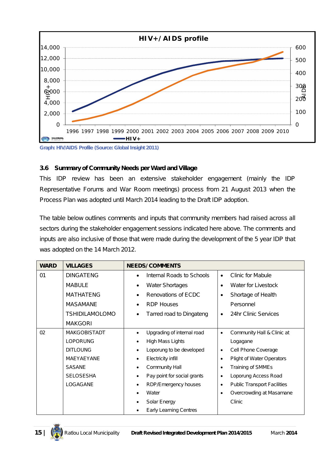

**Graph: HIV/AIDS Profile (Source: Global Insight 2011)**

#### **3.6 Summary of Community Needs per Ward and Village**

This IDP review has been an extensive stakeholder engagement (mainly the IDP Representative Forums and War Room meetings) process from 21 August 2013 when the Process Plan was adopted until March 2014 leading to the Draft IDP adoption.

The table below outlines comments and inputs that community members had raised across all sectors during the stakeholder engagement sessions indicated here above. The comments and inputs are also inclusive of those that were made during the development of the 5 year IDP that was adopted on the 14 March 2012.

| <b>WARD</b> | <b>VILLAGES</b>       | <b>NEEDS/COMMENTS</b>                   |                                                 |
|-------------|-----------------------|-----------------------------------------|-------------------------------------------------|
| 01          | <b>DINGATENG</b>      | Internal Roads to Schools               | <b>Clinic for Mabule</b><br>$\bullet$           |
|             | <b>MABULE</b>         | <b>Water Shortages</b><br>$\bullet$     | Water for Livestock<br>$\bullet$                |
|             | <b>MATHATENG</b>      | Renovations of ECDC                     | Shortage of Health<br>$\bullet$                 |
|             | <b>MASAMANE</b>       | <b>RDP Houses</b><br>$\bullet$          | Personnel                                       |
|             | <b>TSHIDILAMOLOMO</b> | Tarred road to Dingateng<br>$\bullet$   | 24hr Clinic Services<br>$\bullet$               |
|             | <b>MAKGORI</b>        |                                         |                                                 |
| 02          | <b>MAKGOBISTADT</b>   | Upgrading of internal road<br>$\bullet$ | Community Hall & Clinic at<br>$\bullet$         |
|             | <b>LOPORUNG</b>       | High Mass Lights                        | Logagane                                        |
|             | <b>DITLOUNG</b>       | Loporung to be developed                | Cell Phone Coverage<br>$\bullet$                |
|             | MAEYAEYANE            | Electricity infill                      | Plight of Water Operators<br>$\bullet$          |
|             | <b>SASANE</b>         | Community Hall<br>٠                     | Training of SMMEs<br>$\bullet$                  |
|             | <b>SELOSESHA</b>      | Pay point for social grants             | Loporung Access Road<br>$\bullet$               |
|             | LOGAGANE              | RDP/Emergency houses                    | <b>Public Transport Facilities</b><br>$\bullet$ |
|             |                       | Water                                   | Overcrowding at Masamane<br>$\bullet$           |
|             |                       | Solar Energy                            | Clinic                                          |
|             |                       | <b>Early Learning Centres</b>           |                                                 |

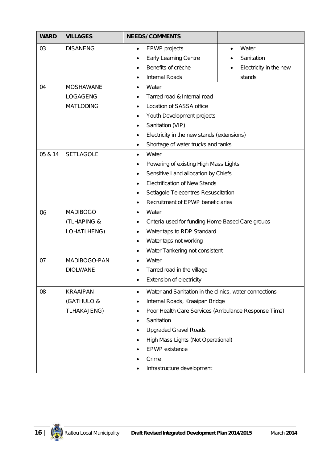| <b>WARD</b> | <b>VILLAGES</b>                                     | <b>NEEDS/ COMMENTS</b>                                                                                                                                                                                                                                                                                                      |                                                                      |  |
|-------------|-----------------------------------------------------|-----------------------------------------------------------------------------------------------------------------------------------------------------------------------------------------------------------------------------------------------------------------------------------------------------------------------------|----------------------------------------------------------------------|--|
| 03          | <b>DISANENG</b>                                     | <b>EPWP</b> projects<br>$\bullet$<br><b>Early Learning Centre</b><br>Benefits of crèche<br><b>Internal Roads</b><br>٠                                                                                                                                                                                                       | Water<br>$\bullet$<br>Sanitation<br>Electricity in the new<br>stands |  |
| 04          | <b>MOSHAWANE</b><br>LOGAGENG<br><b>MATLODING</b>    | Water<br>$\bullet$<br>Tarred road & Internal road<br>Location of SASSA office<br>Youth Development projects<br>٠<br>Sanitation (VIP)<br>٠<br>Electricity in the new stands (extensions)<br>$\bullet$<br>Shortage of water trucks and tanks<br>$\bullet$                                                                     |                                                                      |  |
| 05 & 14     | <b>SETLAGOLE</b>                                    | Water<br>$\bullet$<br>Powering of existing High Mass Lights<br>٠<br>Sensitive Land allocation by Chiefs<br>٠<br><b>Electrification of New Stands</b><br>Setlagole Telecentres Resuscitation<br>٠<br>Recruitment of EPWP beneficiaries                                                                                       |                                                                      |  |
| 06          | <b>MADIBOGO</b><br>(TLHAPING &<br>LOHATLHENG)       | Water<br>٠<br>Criteria used for funding Home Based Care groups<br>Water taps to RDP Standard<br>٠<br>Water taps not working<br>$\bullet$<br>Water Tankering not consistent<br>$\bullet$                                                                                                                                     |                                                                      |  |
| 07          | MADIBOGO-PAN<br><b>DIOLWANE</b>                     | Water<br>$\bullet$<br>Tarred road in the village<br>Extension of electricity<br>٠                                                                                                                                                                                                                                           |                                                                      |  |
| 08          | <b>KRAAIPAN</b><br>(GATHULO &<br><b>TLHAKAJENG)</b> | Water and Sanitation in the clinics, water connections<br>$\bullet$<br>Internal Roads, Kraaipan Bridge<br>Poor Health Care Services (Ambulance Response Time)<br>Sanitation<br><b>Upgraded Gravel Roads</b><br>٠<br>High Mass Lights (Not Operational)<br>٠<br><b>EPWP</b> existence<br>Crime<br>Infrastructure development |                                                                      |  |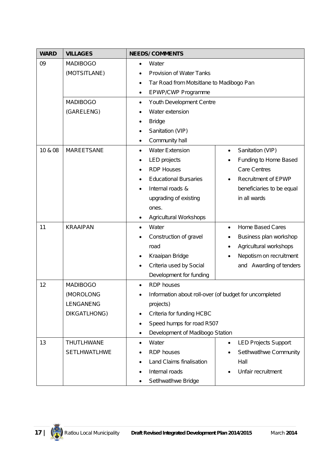| <b>WARD</b> | <b>VILLAGES</b>                                           | <b>NEEDS/ COMMENTS</b>                                                                                                                                                                                                                                                                                                                           |  |  |
|-------------|-----------------------------------------------------------|--------------------------------------------------------------------------------------------------------------------------------------------------------------------------------------------------------------------------------------------------------------------------------------------------------------------------------------------------|--|--|
| 09          | <b>MADIBOGO</b><br>(MOTSITLANE)                           | Water<br>٠<br>Provision of Water Tanks<br>Tar Road from Motsitlane to Madibogo Pan<br>$\bullet$<br>EPWP/CWP Programme<br>٠                                                                                                                                                                                                                       |  |  |
|             | <b>MADIBOGO</b><br>(GARELENG)                             | Youth Development Centre<br>$\bullet$<br>Water extension<br><b>Bridge</b><br>Sanitation (VIP)<br>Community hall                                                                                                                                                                                                                                  |  |  |
| 10 & 08     | MAREETSANE                                                | <b>Water Extension</b><br>Sanitation (VIP)<br>Funding to Home Based<br><b>LED</b> projects<br><b>RDP Houses</b><br><b>Care Centres</b><br>٠<br><b>Educational Bursaries</b><br><b>Recruitment of EPWP</b><br>Internal roads &<br>beneficiaries to be equal<br>٠<br>in all wards<br>upgrading of existing<br>ones.<br>Agricultural Workshops<br>٠ |  |  |
| 11          | <b>KRAAIPAN</b>                                           | Water<br><b>Home Based Cares</b><br>$\bullet$<br>$\bullet$<br>Construction of gravel<br>Business plan workshop<br>Agricultural workshops<br>road<br>Kraaipan Bridge<br>Nepotism on recruitment<br>Criteria used by Social<br>and Awarding of tenders<br>Development for funding                                                                  |  |  |
| 12          | <b>MADIBOGO</b><br>(MOROLONG<br>LENGANENG<br>DIKGATLHONG) | <b>RDP</b> houses<br>Information about roll-over (of budget for uncompleted<br>projects)<br>Criteria for funding HCBC<br>$\bullet$<br>Speed humps for road R507<br>٠<br>Development of Madibogo Station<br>٠                                                                                                                                     |  |  |
| 13          | THUTLHWANE<br><b>SETLHWATLHWE</b>                         | Water<br><b>LED Projects Support</b><br>$\bullet$<br>$\bullet$<br>SetIhwatIhwe Community<br><b>RDP</b> houses<br>Land Claims finalisation<br>Hall<br>Internal roads<br>Unfair recruitment<br>$\bullet$<br>SetIhwatIhwe Bridge                                                                                                                    |  |  |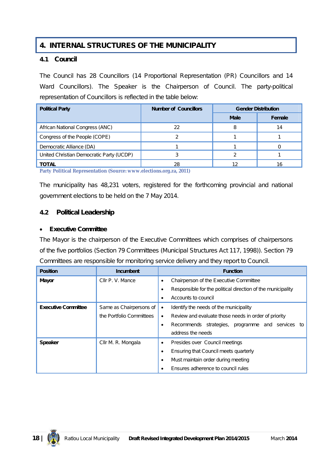## **4. INTERNAL STRUCTURES OF THE MUNICIPALITY**

#### **4.1 Council**

The Council has 28 Councillors (14 Proportional Representation (PR) Councillors and 14 Ward Councillors). The Speaker is the Chairperson of Council. The party-political representation of Councillors is reflected in the table below:

| <b>Political Party</b>                   | <b>Number of Councillors</b> | <b>Gender Distribution</b> |        |  |
|------------------------------------------|------------------------------|----------------------------|--------|--|
|                                          |                              | <b>Male</b>                | Female |  |
| African National Congress (ANC)          | 22                           | 8                          | 14     |  |
| Congress of the People (COPE)            |                              |                            |        |  |
| Democratic Alliance (DA)                 |                              |                            |        |  |
| United Christian Democratic Party (UCDP) |                              |                            |        |  |
| <b>TOTAL</b>                             | 28                           | 12                         | 16     |  |

**Party Political Representation (Source: www.elections.org.za, 2011)**

The municipality has 48,231 voters, registered for the forthcoming provincial and national government elections to be held on the 7 May 2014.

#### **4.2 Political Leadership**

#### **Executive Committee**

The Mayor is the chairperson of the Executive Committees which comprises of chairpersons of the five portfolios (Section 79 Committees (Municipal Structures Act 117, 1998)). Section 79 Committees are responsible for monitoring service delivery and they report to Council.

| <b>Position</b>            | <b>Incumbent</b>         | <b>Function</b>                                             |
|----------------------------|--------------------------|-------------------------------------------------------------|
| Mayor                      | Cllr P. V. Mance         | Chairperson of the Executive Committee                      |
|                            |                          | Responsible for the political direction of the municipality |
|                            |                          | Accounts to council                                         |
| <b>Executive Committee</b> | Same as Chairpersons of  | Identify the needs of the municipality                      |
|                            | the Portfolio Committees | Review and evaluate those needs in order of priority        |
|                            |                          | Recommends strategies, programme and services to            |
|                            |                          | address the needs                                           |
| <b>Speaker</b>             | Cllr M. R. Mongala       | Presides over Council meetings                              |
|                            |                          | Ensuring that Council meets quarterly                       |
|                            |                          | Must maintain order during meeting                          |
|                            |                          | Ensures adherence to council rules                          |

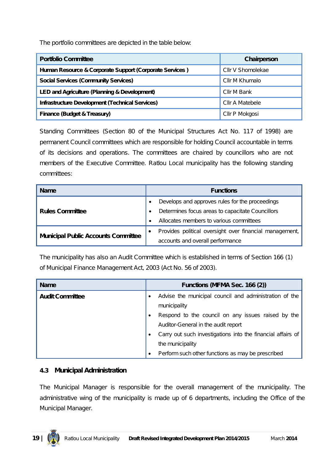The portfolio committees are depicted in the table below:

| <b>Portfolio Committee</b>                              | Chairperson       |
|---------------------------------------------------------|-------------------|
| Human Resource & Corporate Support (Corporate Services) | Cllr V Shomolekae |
| <b>Social Services (Community Services)</b>             | Cllr M Khumalo    |
| LED and Agriculture (Planning & Development)            | Cllr M Bank       |
| <b>Infrastructure Development (Technical Services)</b>  | Cllr A Matebele   |
| Finance (Budget & Treasury)                             | Cllr P Mokgosi    |

Standing Committees (Section 80 of the Municipal Structures Act No. 117 of 1998) are permanent Council committees which are responsible for holding Council accountable in terms of its decisions and operations. The committees are chaired by councillors who are not members of the Executive Committee. Ratlou Local municipality has the following standing committees:

| <b>Name</b>                                |  | <b>Functions</b>                                        |  |
|--------------------------------------------|--|---------------------------------------------------------|--|
| <b>Rules Committee</b>                     |  | Develops and approves rules for the proceedings         |  |
|                                            |  | Determines focus areas to capacitate Councillors        |  |
|                                            |  | Allocates members to various committees                 |  |
| <b>Municipal Public Accounts Committee</b> |  | Provides political oversight over financial management, |  |
|                                            |  | accounts and overall performance                        |  |

The municipality has also an Audit Committee which is established in terms of Section 166 (1) of Municipal Finance Management Act, 2003 (Act No. 56 of 2003).

| <b>Name</b>            | Functions (MFMA Sec. 166 (2)) |                                                             |
|------------------------|-------------------------------|-------------------------------------------------------------|
| <b>Audit Committee</b> |                               | Advise the municipal council and administration of the      |
|                        |                               | municipality                                                |
|                        |                               | Respond to the council on any issues raised by the          |
|                        |                               | Auditor-General in the audit report                         |
|                        |                               | Carry out such investigations into the financial affairs of |
|                        |                               | the municipality                                            |
|                        |                               | Perform such other functions as may be prescribed           |

#### **4.3 Municipal Administration**

The Municipal Manager is responsible for the overall management of the municipality. The administrative wing of the municipality is made up of 6 departments, including the Office of the Municipal Manager.

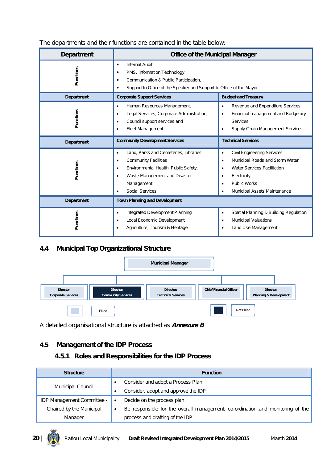| <b>Department</b>                                                                                                                                                                                                                                             | <b>Office of the Municipal Manager</b>                                                                                                                                                  |                                                                                                                                                                                                                                           |  |
|---------------------------------------------------------------------------------------------------------------------------------------------------------------------------------------------------------------------------------------------------------------|-----------------------------------------------------------------------------------------------------------------------------------------------------------------------------------------|-------------------------------------------------------------------------------------------------------------------------------------------------------------------------------------------------------------------------------------------|--|
| <b>Functions</b>                                                                                                                                                                                                                                              | Internal Audit,<br>$\bullet$<br>PMS, Information Technology,<br>٠<br>Communication & Public Participation,<br>٠<br>Support to Office of the Speaker and Support to Office of the Mayor  |                                                                                                                                                                                                                                           |  |
| Department                                                                                                                                                                                                                                                    | <b>Corporate Support Services</b>                                                                                                                                                       | <b>Budget and Treasury</b>                                                                                                                                                                                                                |  |
| <b>Functions</b>                                                                                                                                                                                                                                              | Human Resources Management,<br>$\bullet$<br>Legal Services, Corporate Administration,<br>$\bullet$<br>Council support services and<br>$\bullet$<br><b>Fleet Management</b><br>$\bullet$ | Revenue and Expenditure Services<br>٠<br>Financial management and Budgetary<br>$\bullet$<br><b>Services</b><br>Supply Chain Management Services<br>٠                                                                                      |  |
| Department                                                                                                                                                                                                                                                    | <b>Community Development Services</b>                                                                                                                                                   | <b>Technical Services</b>                                                                                                                                                                                                                 |  |
| Land, Parks and Cemeteries, Libraries<br>$\bullet$<br><b>Community Facilities</b><br>$\bullet$<br><b>Functions</b><br>Environmental Health, Public Safety,<br>$\bullet$<br>Waste Management and Disaster<br>$\bullet$<br>Management<br><b>Social Services</b> |                                                                                                                                                                                         | <b>Civil Engineering Services</b><br>$\bullet$<br>Municipal Roads and Storm Water<br>$\bullet$<br><b>Water Services Facilitation</b><br>$\bullet$<br>Electricity<br>٠<br><b>Public Works</b><br>$\bullet$<br>Municipal Assets Maintenance |  |
| <b>Department</b>                                                                                                                                                                                                                                             | <b>Town Planning and Development</b>                                                                                                                                                    |                                                                                                                                                                                                                                           |  |
| <b>Functions</b>                                                                                                                                                                                                                                              | Integrated Development Planning<br>$\bullet$<br>Local Economic Development<br>$\bullet$<br>Agriculture, Tourism & Heritage                                                              | Spatial Planning & Building Regulation<br>$\bullet$<br><b>Municipal Valuations</b><br>$\bullet$<br>Land Use Management                                                                                                                    |  |

#### The departments and their functions are contained in the table below:

#### **4.4 Municipal Top Organizational Structure**



A detailed organisational structure is attached as *Annexure B*

#### **4.5 Management of the IDP Process**

#### **4.5.1 Roles and Responsibilities for the IDP Process**

| <b>Structure</b>           |           | <b>Function</b>                                                                |  |  |
|----------------------------|-----------|--------------------------------------------------------------------------------|--|--|
| <b>Municipal Council</b>   |           | Consider and adopt a Process Plan                                              |  |  |
|                            |           | Consider, adopt and approve the IDP                                            |  |  |
| IDP Management Committee - |           | Decide on the process plan                                                     |  |  |
| Chaired by the Municipal   | $\bullet$ | Be responsible for the overall management, co-ordination and monitoring of the |  |  |
| Manager                    |           | process and drafting of the IDP                                                |  |  |

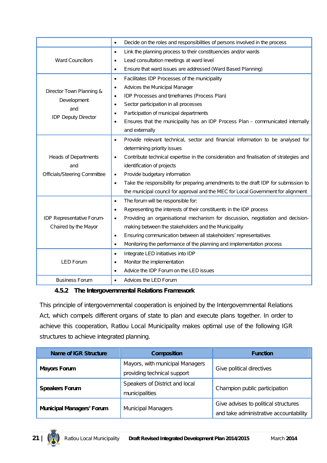| Decide on the roles and responsibilities of persons involved in the process            |
|----------------------------------------------------------------------------------------|
|                                                                                        |
|                                                                                        |
|                                                                                        |
|                                                                                        |
|                                                                                        |
|                                                                                        |
|                                                                                        |
|                                                                                        |
|                                                                                        |
| Ensures that the municipality has an IDP Process Plan - communicated internally        |
|                                                                                        |
| Provide relevant technical, sector and financial information to be analysed for        |
|                                                                                        |
| Contribute technical expertise in the consideration and finalisation of strategies and |
|                                                                                        |
|                                                                                        |
| Take the responsibility for preparing amendments to the draft IDP for submission to    |
| the municipal council for approval and the MEC for Local Government for alignment      |
|                                                                                        |
|                                                                                        |
| Providing an organisational mechanism for discussion, negotiation and decision-        |
|                                                                                        |
|                                                                                        |
|                                                                                        |
|                                                                                        |
|                                                                                        |
|                                                                                        |
|                                                                                        |
|                                                                                        |

#### **4.5.2 The Intergovernmental Relations Framework**

This principle of intergovernmental cooperation is enjoined by the Intergovernmental Relations Act, which compels different organs of state to plan and execute plans together. In order to achieve this cooperation, Ratlou Local Municipality makes optimal use of the following IGR structures to achieve integrated planning.

| <b>Name of IGR Structure</b>     | <b>Composition</b>                                             | <b>Function</b>                                                                |
|----------------------------------|----------------------------------------------------------------|--------------------------------------------------------------------------------|
| <b>Mayors Forum</b>              | Mayors, with municipal Managers<br>providing technical support | Give political directives                                                      |
| <b>Speakers Forum</b>            | Speakers of District and local<br>municipalities               | Champion public participation                                                  |
| <b>Municipal Managers' Forum</b> | <b>Municipal Managers</b>                                      | Give advises to political structures<br>and take administrative accountability |

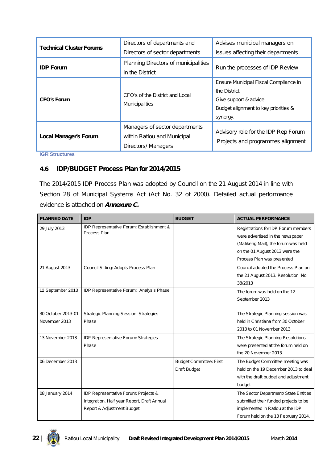| <b>Technical Cluster Forums</b> | Directors of departments and<br>Directors of sector departments                      | Advises municipal managers on<br>issues affecting their departments                                                                 |
|---------------------------------|--------------------------------------------------------------------------------------|-------------------------------------------------------------------------------------------------------------------------------------|
| <b>IDP Forum</b>                | Planning Directors of municipalities<br>in the District                              | Run the processes of IDP Review                                                                                                     |
| <b>CFO's Forum</b>              | CFO's of the District and Local<br><b>Municipalities</b>                             | Ensure Municipal Fiscal Compliance in<br>the District.<br>Give support & advice<br>Budget alignment to key priorities &<br>synergy. |
| <b>Local Manager's Forum</b>    | Managers of sector departments<br>within Ratlou and Municipal<br>Directors/ Managers | Advisory role for the IDP Rep Forum<br>Projects and programmes alignment                                                            |

**IGR Structures**

#### **4.6 IDP/BUDGET Process Plan for 2014/2015**

The 2014/2015 IDP Process Plan was adopted by Council on the 21 August 2014 in line with Section 28 of Municipal Systems Act (Act No. 32 of 2000). Detailed actual performance evidence is attached on *Annexure C.*

| <b>PLANNED DATE</b>                 | <b>IDP</b>                                                                                                        | <b>BUDGET</b>                                  | <b>ACTUAL PERFORMANCE</b>                                                                                                                                                      |
|-------------------------------------|-------------------------------------------------------------------------------------------------------------------|------------------------------------------------|--------------------------------------------------------------------------------------------------------------------------------------------------------------------------------|
| 29 July 2013                        | IDP Representative Forum: Establishment &<br>Process Plan                                                         |                                                | Registrations for IDP Forum members<br>were advertised in the newspaper<br>(Mafikeng Mail), the forum was held<br>on the 01 August 2013 were the<br>Process Plan was presented |
| 21 August 2013                      | Council Sitting: Adopts Process Plan                                                                              |                                                | Council adopted the Process Plan on<br>the 21 August 2013. Resolution No.<br>38/2013                                                                                           |
| 12 September 2013                   | IDP Representative Forum: Analysis Phase                                                                          |                                                | The forum was held on the 12<br>September 2013                                                                                                                                 |
| 30 October 2013-01<br>November 2013 | <b>Strategic Planning Session: Strategies</b><br>Phase                                                            |                                                | The Strategic Planning session was<br>held in Christiana from 30 October<br>2013 to 01 November 2013                                                                           |
| 13 November 2013                    | IDP Representative Forum: Strategies<br>Phase                                                                     |                                                | The Strategic Planning Resolutions<br>were presented at the forum held on<br>the 20 November 2013                                                                              |
| 06 December 2013                    |                                                                                                                   | <b>Budget Committee: First</b><br>Draft Budget | The Budget Committee meeting was<br>held on the 19 December 2013 to deal<br>with the draft budget and adjustment<br>budget                                                     |
| 08 January 2014                     | IDP Representative Forum: Projects &<br>Integration, Half year Report, Draft Annual<br>Report & Adjustment Budget |                                                | The Sector Department/ State Entities<br>submitted their funded projects to be<br>implemented in Ratlou at the IDP<br>Forum held on the 13 February 2014,                      |

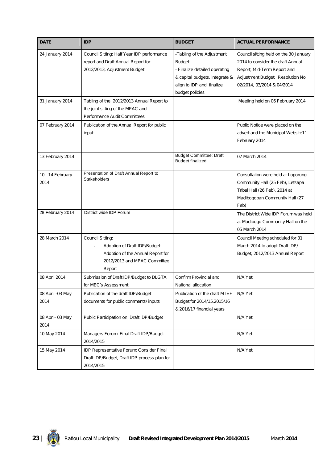| <b>DATE</b>              | <b>IDP</b>                                                                                                                      | <b>BUDGET</b>                                                                                                                                                  | <b>ACTUAL PERFORMANCE</b>                                                                                                                                                     |
|--------------------------|---------------------------------------------------------------------------------------------------------------------------------|----------------------------------------------------------------------------------------------------------------------------------------------------------------|-------------------------------------------------------------------------------------------------------------------------------------------------------------------------------|
| 24 January 2014          | Council Sitting: Half Year IDP performance<br>report and Draft Annual Report for<br>2012/2013, Adjustment Budget                | -Tabling of the Adjustment<br><b>Budget</b><br>- Finalize detailed operating<br>& capital budgets, integrate &<br>align to IDP and finalize<br>budget policies | Council sitting held on the 30 January<br>2014 to consider the draft Annual<br>Report, Mid-Term Report and<br>Adjustment Budget. Resolution No.<br>02/2014, 03/2014 & 04/2014 |
| 31 January 2014          | Tabling of the 2012/2013 Annual Report to<br>the joint sitting of the MPAC and<br>Performance Audit Committees                  |                                                                                                                                                                | Meeting held on 06 February 2014                                                                                                                                              |
| 07 February 2014         | Publication of the Annual Report for public<br>input                                                                            |                                                                                                                                                                | Public Notice were placed on the<br>advert and the Municipal Website11<br>February 2014                                                                                       |
| 13 February 2014         |                                                                                                                                 | <b>Budget Committee: Draft</b><br><b>Budget finalized</b>                                                                                                      | 07 March 2014                                                                                                                                                                 |
| 10 - 14 February<br>2014 | Presentation of Draft Annual Report to<br><b>Stakeholders</b>                                                                   |                                                                                                                                                                | Consultation were held at Loporung<br>Community Hall (25 Feb), Letsapa<br>Tribal Hall (26 Feb), 2014 at<br>Madibogopan Community Hall (27<br>Feb)                             |
| 28 February 2014         | District wide IDP Forum                                                                                                         |                                                                                                                                                                | The District Wide IDP Forum was held<br>at Madibogo Community Hall on the<br>05 March 2014                                                                                    |
| 28 March 2014            | Council Sitting:<br>Adoption of Draft IDP/Budget<br>Adoption of the Annual Report for<br>2012/2013 and MPAC Committee<br>Report |                                                                                                                                                                | Council Meeting scheduled for 31<br>March 2014 to adopt Draft IDP/<br>Budget, 2012/2013 Annual Report                                                                         |
| 08 April 2014            | Submission of Draft IDP/Budget to DLGTA<br>for MEC's Assessment                                                                 | Confirm Provincial and<br>National allocation                                                                                                                  | N/A Yet                                                                                                                                                                       |
| 08 April -03 May<br>2014 | Publication of the draft IDP/Budget<br>documents for public comments/ inputs                                                    | Publication of the draft MTEF<br>Budget for 2014/15,2015/16<br>& 2016/17 financial years                                                                       | N/A Yet                                                                                                                                                                       |
| 08 April- 03 May<br>2014 | Public Participation on Draft IDP/Budget                                                                                        |                                                                                                                                                                | N/A Yet                                                                                                                                                                       |
| 10 May 2014              | Managers Forum: Final Draft IDP/Budget<br>2014/2015                                                                             |                                                                                                                                                                | N/A Yet                                                                                                                                                                       |
| 15 May 2014              | IDP Representative Forum: Consider Final<br>Draft IDP/Budget, Draft IDP process plan for<br>2014/2015                           |                                                                                                                                                                | N/A Yet                                                                                                                                                                       |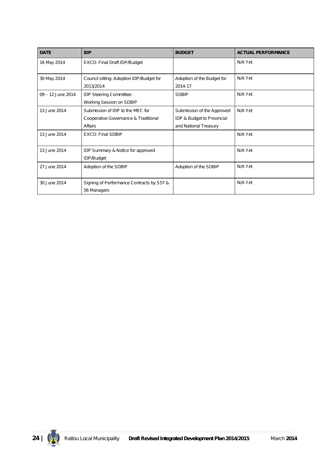| <b>DATE</b>       | <b>IDP</b>                                                                          | <b>BUDGET</b>                                                                     | <b>ACTUAL PERFORMANCE</b> |
|-------------------|-------------------------------------------------------------------------------------|-----------------------------------------------------------------------------------|---------------------------|
| 16 May 2014       | EXCO: Final Draft IDP/Budget                                                        |                                                                                   | N/A Yet                   |
| 30 May 2014       | Council sitting: Adoption IDP/Budget for<br>2013/2014                               | Adoption of the Budget for<br>2014-17                                             | N/A Yet                   |
| 09 - 12 June 2014 | IDP Steering Committee:<br>Working Session on SDBIP                                 | <b>SDBIP</b>                                                                      | N/A Yet                   |
| 13 June 2014      | Submission of IDP to the MEC for<br>Cooperative Governance & Traditional<br>Affairs | Submission of the Approved<br>IDP & Budget to Provincial<br>and National Treasury | N/A Yet                   |
| 13 June 2014      | <b>EXCO: Final SDBIP</b>                                                            |                                                                                   | N/A Yet                   |
| 13 June 2014      | IDP Summary & Notice for approved<br>IDP/Budget                                     |                                                                                   | N/A Yet                   |
| 27 June 2014      | Adoption of the SDBIP                                                               | Adoption of the SDBIP                                                             | N/A Yet                   |
| 30 June 2014      | Signing of Performance Contracts by S57 &<br>56 Managers                            |                                                                                   | N/A Yet                   |

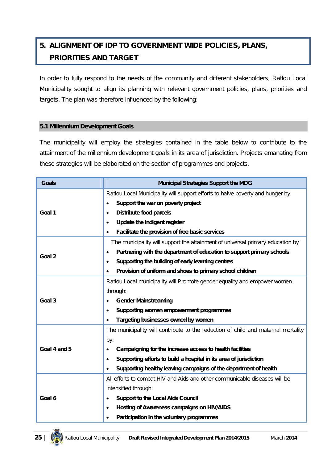## **5. ALIGNMENT OF IDP TO GOVERNMENT WIDE POLICIES, PLANS, PRIORITIES AND TARGET**

In order to fully respond to the needs of the community and different stakeholders, Ratlou Local Municipality sought to align its planning with relevant government policies, plans, priorities and targets. The plan was therefore influenced by the following:

#### **5.1 Millennium Development Goals**

The municipality will employ the strategies contained in the table below to contribute to the attainment of the millennium development goals in its area of jurisdiction. Projects emanating from these strategies will be elaborated on the section of programmes and projects.

| <b>Goals</b> | <b>Municipal Strategies Support the MDG</b>                                         |
|--------------|-------------------------------------------------------------------------------------|
|              | Ratlou Local Municipality will support efforts to halve poverty and hunger by:      |
|              | Support the war on poverty project<br>$\bullet$                                     |
| Goal 1       | <b>Distribute food parcels</b><br>$\bullet$                                         |
|              | Update the indigent register<br>$\bullet$                                           |
|              | Facilitate the provision of free basic services                                     |
|              | The municipality will support the attainment of universal primary education by      |
| Goal 2       | Partnering with the department of education to support primary schools<br>$\bullet$ |
|              | Supporting the building of early learning centres<br>$\bullet$                      |
|              | Provision of uniform and shoes to primary school children<br>$\bullet$              |
|              | Ratlou Local municipality will Promote gender equality and empower women            |
|              | through:                                                                            |
| Goal 3       | <b>Gender Mainstreaming</b>                                                         |
|              | Supporting women empowerment programmes<br>$\bullet$                                |
|              | Targeting businesses owned by women                                                 |
|              | The municipality will contribute to the reduction of child and maternal mortality   |
|              | by:                                                                                 |
| Goal 4 and 5 | Campaigning for the increase access to health facilities<br>$\bullet$               |
|              | Supporting efforts to build a hospital in its area of jurisdiction<br>$\bullet$     |
|              | Supporting healthy leaving campaigns of the department of health                    |
|              | All efforts to combat HIV and Aids and other communicable diseases will be          |
|              | intensified through:                                                                |
| Goal 6       | <b>Support to the Local Aids Council</b><br>$\bullet$                               |
|              | Hosting of Awareness campaigns on HIV/AIDS<br>$\bullet$                             |
|              | Participation in the voluntary programmes                                           |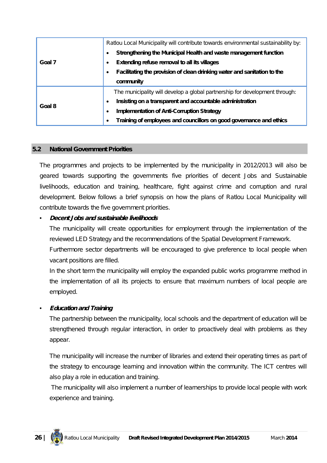|        | Ratlou Local Municipality will contribute towards environmental sustainability by: |
|--------|------------------------------------------------------------------------------------|
|        | Strengthening the Municipal Health and waste management function                   |
| Goal 7 | Extending refuse removal to all its villages                                       |
|        | Facilitating the provision of clean drinking water and sanitation to the           |
|        | community                                                                          |
|        | The municipality will develop a global partnership for development through:        |
| Goal 8 | Insisting on a transparent and accountable administration                          |
|        | <b>Implementation of Anti-Corruption Strategy</b>                                  |
|        | Training of employees and councillors on good governance and ethics                |

#### **5.2 National Government Priorities**

The programmes and projects to be implemented by the municipality in 2012/2013 will also be geared towards supporting the governments five priorities of decent Jobs and Sustainable livelihoods, education and training, healthcare, fight against crime and corruption and rural development. Below follows a brief synopsis on how the plans of Ratlou Local Municipality will contribute towards the five government priorities.

#### • *Decent Jobs and sustainable livelihoods*

The municipality will create opportunities for employment through the implementation of the reviewed LED Strategy and the recommendations of the Spatial Development Framework.

Furthermore sector departments will be encouraged to give preference to local people when vacant positions are filled.

In the short term the municipality will employ the expanded public works programme method in the implementation of all its projects to ensure that maximum numbers of local people are employed.

#### • *Education and Training*

The partnership between the municipality, local schools and the department of education will be strengthened through regular interaction, in order to proactively deal with problems as they appear.

The municipality will increase the number of libraries and extend their operating times as part of the strategy to encourage learning and innovation within the community. The ICT centres will also play a role in education and training.

The municipality will also implement a number of learnerships to provide local people with work experience and training.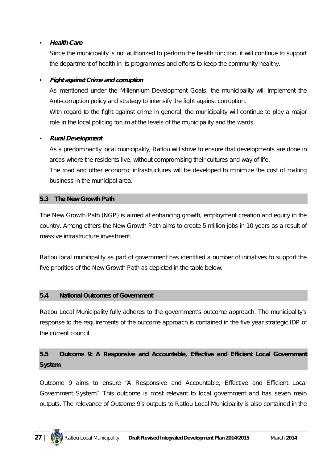#### • *Health Care*

Since the municipality is not authorized to perform the health function, it will continue to support the department of health in its programmes and efforts to keep the community healthy.

#### • *Fight against Crime and corruption*

As mentioned under the Millennium Development Goals, the municipality will implement the Anti-corruption policy and strategy to intensify the fight against corruption. With regard to the fight against crime in general, the municipality will continue to play a major role in the local policing forum at the levels of the municipality and the wards.

#### • *Rural Development*

As a predominantly local municipality, Ratlou will strive to ensure that developments are done in areas where the residents live, without compromising their cultures and way of life.

The road and other economic infrastructures will be developed to minimize the cost of making business in the municipal area.

#### **5.3 The New Growth Path**

The New Growth Path (NGP) is aimed at enhancing growth, employment creation and equity in the country. Among others the New Growth Path aims to create 5 million jobs in 10 years as a result of massive infrastructure investment.

Ratlou local municipality as part of government has identified a number of initiatives to support the five priorities of the New Growth Path as depicted in the table below:

#### **5.4 National Outcomes of Government**

Ratlou Local Municipality fully adheres to the government's outcome approach. The municipality's response to the requirements of the outcome approach is contained in the five year strategic IDP of the current council.

## **5.5 Outcome 9: A Responsive and Accountable, Effective and Efficient Local Government System**

Outcome 9 aims to ensure "A Responsive and Accountable, Effective and Efficient Local Government System". This outcome is most relevant to local government and has seven main outputs. The relevance of Outcome 9's outputs to Ratlou Local Municipality is also contained in the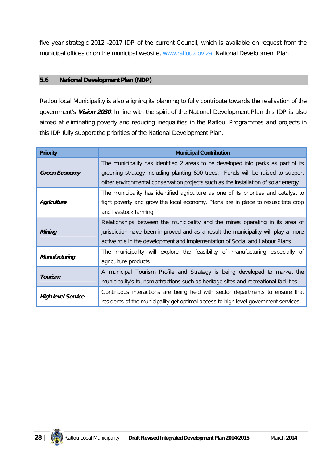five year strategic 2012 -2017 IDP of the current Council, which is available on request from the municipal offices or on the municipal website, www.ratlou.gov.za. National Development Plan

#### **5.6 National Development Plan (NDP)**

Ratlou local Municipality is also aligning its planning to fully contribute towards the realisation of the government's *Vision 2030*. In line with the spirit of the National Development Plan this IDP is also aimed at eliminating poverty and reducing inequalities in the Ratlou. Programmes and projects in this IDP fully support the priorities of the National Development Plan.

| <b>Priority</b>           | <b>Municipal Contribution</b>                                                          |
|---------------------------|----------------------------------------------------------------------------------------|
|                           | The municipality has identified 2 areas to be developed into parks as part of its      |
| <b>Green Economy</b>      | greening strategy including planting 600 trees. Funds will be raised to support        |
|                           | other environmental conservation projects such as the installation of solar energy     |
|                           | The municipality has identified agriculture as one of its priorities and catalyst to   |
| Agriculture               | fight poverty and grow the local economy. Plans are in place to resuscitate crop       |
|                           | and livestock farming.                                                                 |
|                           | Relationships between the municipality and the mines operating in its area of          |
| Mining                    | jurisdiction have been improved and as a result the municipality will play a more      |
|                           | active role in the development and implementation of Social and Labour Plans           |
|                           | The municipality will explore the feasibility of manufacturing especially of           |
| Manufacturing             | agriculture products                                                                   |
|                           | A municipal Tourism Profile and Strategy is being developed to market the              |
| Tourism                   | municipality's tourism attractions such as heritage sites and recreational facilities. |
|                           | Continuous interactions are being held with sector departments to ensure that          |
| <b>High level Service</b> | residents of the municipality get optimal access to high level government services.    |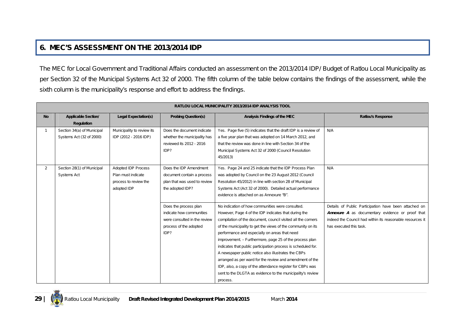## **6. MEC'S ASSESSMENT ON THE 2013/2014 IDP**

The MEC for Local Government and Traditional Affairs conducted an assessment on the 2013/2014 IDP/ Budget of Ratlou Local Municipality as per Section 32 of the Municipal Systems Act 32 of 2000. The fifth column of the table below contains the findings of the assessment, while the sixth column is the municipality's response and effort to address the findings.

|                | <b>RATLOU LOCAL MUNICIPALITY 2013/2014 IDP ANALYSIS TOOL</b> |                             |                              |                                                                |                                                           |
|----------------|--------------------------------------------------------------|-----------------------------|------------------------------|----------------------------------------------------------------|-----------------------------------------------------------|
| <b>No</b>      | <b>Applicable Section/</b>                                   | <b>Legal Expectation(s)</b> | <b>Probing Question(s)</b>   | Analysis Findings of the MEC                                   | <b>Ratlou's Response</b>                                  |
|                | <b>Regulation</b>                                            |                             |                              |                                                                |                                                           |
|                | Section 34(a) of Municipal                                   | Municipality to review its  | Does the document indicate   | Yes. Page five (5) indicates that the draft IDP is a review of | N/A                                                       |
|                | Systems Act (32 of 2000)                                     | IDP (2012 - 2016 IDP)       | whether the municipality has | a five year plan that was adopted on 14 March 2012, and        |                                                           |
|                |                                                              |                             | reviewed its 2012 - 2016     | that the review was done in line with Section 34 of the        |                                                           |
|                |                                                              |                             | IDP?                         | Municipal Systems Act 32 of 2000 (Council Resolution           |                                                           |
|                |                                                              |                             |                              | 45/2013)                                                       |                                                           |
| $\overline{2}$ | Section 28(1) of Municipal                                   | <b>Adopted IDP Process</b>  | Does the IDP Amendment       | Yes. Page 24 and 25 indicate that the IDP Process Plan         | N/A                                                       |
|                | <b>Systems Act</b>                                           | Plan must indicate          | document contain a process   | was adopted by Council on the 23 August 2012 (Council          |                                                           |
|                |                                                              | process to review the       | plan that was used to review | Resolution 45/2012) in line with section 28 of Municipal       |                                                           |
|                |                                                              | adopted IDP                 | the adopted IDP?             | Systems Act (Act 32 of 2000). Detailed actual performance      |                                                           |
|                |                                                              |                             |                              | evidence is attached on as Annexure "B".                       |                                                           |
|                |                                                              |                             |                              |                                                                |                                                           |
|                |                                                              |                             | Does the process plan        | No indication of how communities were consulted.               | Details of Public Participation have been attached on     |
|                |                                                              |                             | indicate how communities     | However, Page 4 of the IDP indicates that during the           | <b>Annexure A</b> as documentary evidence or proof that   |
|                |                                                              |                             | were consulted in the review | compilation of the document, council visited all the corners   | indeed the Council had within its reasonable resources it |
|                |                                                              |                             | process of the adopted       | of the municipality to get the views of the community on its   | has executed this task.                                   |
|                |                                                              |                             | IDP?                         | performance and especially on areas that need                  |                                                           |
|                |                                                              |                             |                              | improvement. - Furthermore, page 25 of the process plan        |                                                           |
|                |                                                              |                             |                              | indicates that public participation process is scheduled for.  |                                                           |
|                |                                                              |                             |                              | A newspaper public notice also illustrates the CBPs            |                                                           |
|                |                                                              |                             |                              | arranged as per ward for the review and amendment of the       |                                                           |
|                |                                                              |                             |                              | IDP, also, a copy of the attendance register for CBPs was      |                                                           |
|                |                                                              |                             |                              | sent to the DLGTA as evidence to the municipality's review     |                                                           |
|                |                                                              |                             |                              | process.                                                       |                                                           |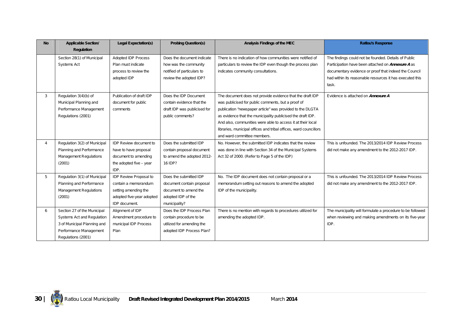| <b>No</b> | <b>Applicable Section/</b>    | <b>Legal Expectation(s)</b>   | <b>Probing Question(s)</b>   | Analysis Findings of the MEC                                      | <b>Ratlou's Response</b>                                   |
|-----------|-------------------------------|-------------------------------|------------------------------|-------------------------------------------------------------------|------------------------------------------------------------|
|           | <b>Regulation</b>             |                               |                              |                                                                   |                                                            |
|           | Section 28(1) of Municipal    | Adopted IDP Process           | Does the document indicate   | There is no indication of how communities were notified of        | The findings could not be founded. Details of Public       |
|           | <b>Systems Act</b>            | Plan must indicate            | how was the community        | particulars to review the IDP even though the process plan        | Participation have been attached on <b>Annexure A</b> as   |
|           |                               | process to review the         | notified of particulars to   | indicates community consultations.                                | documentary evidence or proof that indeed the Council      |
|           |                               | adopted IDP                   | review the adopted IDP?      |                                                                   | had within its reasonable resources it has executed this   |
|           |                               |                               |                              |                                                                   | task.                                                      |
| 3         | Regulation 3(4)(b) of         | Publication of draft IDP      | Does the IDP Document        | The document does not provide evidence that the draft IDP         | Evidence is attached on <b>Annexure A</b>                  |
|           | Municipal Planning and        | document for public           | contain evidence that the    | was publicised for public comments, but a proof of                |                                                            |
|           | Performance Management        | comments                      | draft IDP was publicised for | publication "newspaper article" was provided to the DLGTA         |                                                            |
|           | Regulations (2001)            |                               | public comments?             | as evidence that the municipality publicised the draft IDP.       |                                                            |
|           |                               |                               |                              | And also, communities were able to access it at their local       |                                                            |
|           |                               |                               |                              | libraries, municipal offices and tribal offices, ward councillors |                                                            |
|           |                               |                               |                              | and ward committee members.                                       |                                                            |
| 4         | Regulation 3(2) of Municipal  | <b>IDP Review document to</b> | Does the submitted IDP       | No. However, the submitted IDP indicates that the review          | This is unfounded. The 2013/2014 IDP Review Process        |
|           | Planning and Performance      | have to have proposal         | contain proposal document    | was done in line with Section 34 of the Municipal Systems         | did not make any amendment to the 2012-2017 IDP.           |
|           | <b>Management Regulations</b> | document to amending          | to amend the adopted 2012-   | Act 32 of 2000. (Refer to Page 5 of the IDP)                      |                                                            |
|           | (2001)                        | the adopted five - year       | 16 IDP?                      |                                                                   |                                                            |
|           |                               | IDP.                          |                              |                                                                   |                                                            |
| 5         | Regulation 3(1) of Municipal  | IDP Review Proposal to        | Does the submitted IDP       | No. The IDP document does not contain proposal or a               | This is unfounded. The 2013/2014 IDP Review Process        |
|           | Planning and Performance      | contain a memorandum          | document contain proposal    | memorandum setting out reasons to amend the adopted               | did not make any amendment to the 2012-2017 IDP.           |
|           | <b>Management Regulations</b> | setting amending the          | document to amend the        | IDP of the municipality.                                          |                                                            |
|           | (2001)                        | adopted five-year adopted     | adopted IDP of the           |                                                                   |                                                            |
|           |                               | IDP document.                 | municipality?                |                                                                   |                                                            |
| 6         | Section 27 of the Municipal   | Alignment of IDP              | Does the IDP Process Plan    | There is no mention with regards to procedures utilized for       | The municipality will formulate a procedure to be followed |
|           | Systems Act and Regulation    | Amendment procedure to        | contain procedure to be      | amending the adopted IDP.                                         | when reviewing and making amendments on its five-year      |
|           | 3 of Municipal Planning and   | municipal IDP Process         | utilized for amending the    |                                                                   | IDP.                                                       |
|           | Performance Management        | Plan                          | adopted IDP Process Plan?    |                                                                   |                                                            |
|           | Regulations (2001)            |                               |                              |                                                                   |                                                            |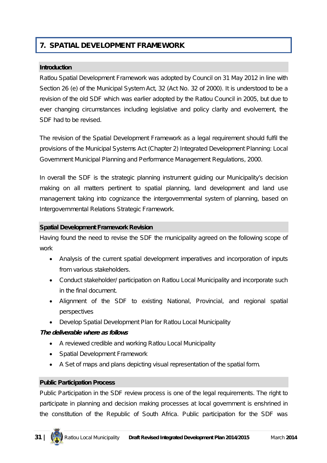## **7. SPATIAL DEVELOPMENT FRAMEWORK**

#### **Introduction**

Ratlou Spatial Development Framework was adopted by Council on 31 May 2012 in line with Section 26 (e) of the Municipal System Act, 32 (Act No. 32 of 2000). It is understood to be a revision of the old SDF which was earlier adopted by the Ratlou Council in 2005, but due to ever changing circumstances including legislative and policy clarity and evolvement, the SDF had to be revised.

The revision of the Spatial Development Framework as a legal requirement should fulfil the provisions of the Municipal Systems Act (Chapter 2) Integrated Development Planning: Local Government Municipal Planning and Performance Management Regulations, 2000.

In overall the SDF is the strategic planning instrument guiding our Municipality's decision making on all matters pertinent to spatial planning, land development and land use management taking into cognizance the intergovernmental system of planning, based on Intergovernmental Relations Strategic Framework.

#### **Spatial Development Framework Revision**

Having found the need to revise the SDF the municipality agreed on the following scope of work

- Analysis of the current spatial development imperatives and incorporation of inputs from various stakeholders.
- Conduct stakeholder/ participation on Ratlou Local Municipality and incorporate such in the final document.
- Alignment of the SDF to existing National, Provincial, and regional spatial perspectives
- Develop Spatial Development Plan for Ratlou Local Municipality

#### *The deliverable where as follows*

- A reviewed credible and working Ratlou Local Municipality
- Spatial Development Framework
- A Set of maps and plans depicting visual representation of the spatial form.

#### **Public Participation Process**

Public Participation in the SDF review process is one of the legal requirements. The right to participate in planning and decision making processes at local government is enshrined in the constitution of the Republic of South Africa. Public participation for the SDF was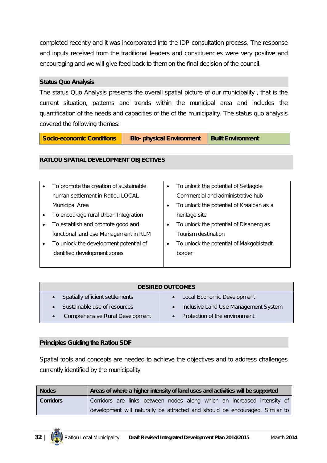completed recently and it was incorporated into the IDP consultation process. The response and inputs received from the traditional leaders and constituencies were very positive and encouraging and we will give feed back to them on the final decision of the council.

#### **Status Quo Analysis**

The status Quo Analysis presents the overall spatial picture of our municipality , that is the current situation, patterns and trends within the municipal area and includes the quantification of the needs and capacities of the of the municipality. The status quo analysis covered the following themes:

**Socio-economic Conditions | Bio-** physical Environment | Built Environment

#### **RATLOU SPATIAL DEVELOPMENT OBJECTIVES**

|           | To promote the creation of sustainable | To unlock the potential of Setlagole     |
|-----------|----------------------------------------|------------------------------------------|
|           | human settlement in Ratlou LOCAL       | Commercial and administrative hub        |
|           | Municipal Area                         | To unlock the potential of Kraaipan as a |
| $\bullet$ | To encourage rural Urban Integration   | heritage site                            |
| $\bullet$ | To establish and promote good and      | To unlock the potential of Disaneng as   |
|           | functional land use Management in RLM  | Tourism destination                      |
| $\bullet$ | To unlock the development potential of | To unlock the potential of Makgobistadt  |
|           | identified development zones           | border                                   |
|           |                                        |                                          |

| <b>DESIRED OUTCOMES</b>                             |                                                   |  |  |  |
|-----------------------------------------------------|---------------------------------------------------|--|--|--|
| Spatially efficient settlements                     | • Local Economic Development                      |  |  |  |
| Sustainable use of resources                        | Inclusive Land Use Management System<br>$\bullet$ |  |  |  |
| <b>Comprehensive Rural Development</b><br>$\bullet$ | • Protection of the environment                   |  |  |  |

#### **Principles Guiding the Ratlou SDF**

Spatial tools and concepts are needed to achieve the objectives and to address challenges currently identified by the municipality

| <b>Nodes</b>     | Areas of where a higher intensity of land uses and activities will be supported |
|------------------|---------------------------------------------------------------------------------|
| <b>Corridors</b> | Corridors are links between nodes along which an increased intensity of         |
|                  | development will naturally be attracted and should be encouraged. Similar to    |

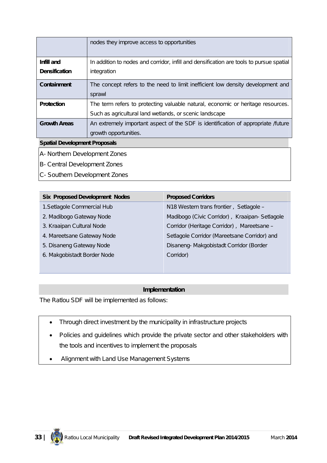|                                      | nodes they improve access to opportunities                                                |  |
|--------------------------------------|-------------------------------------------------------------------------------------------|--|
| Infill and                           | In addition to nodes and corridor, infill and densification are tools to pursue spatial   |  |
|                                      |                                                                                           |  |
| <b>Densification</b>                 | integration                                                                               |  |
| Containment                          | The concept refers to the need to limit inefficient low density development and<br>sprawl |  |
| <b>Protection</b>                    | The term refers to protecting valuable natural, economic or heritage resources.           |  |
|                                      | Such as agricultural land wetlands, or scenic landscape                                   |  |
| <b>Growth Areas</b>                  | An extremely important aspect of the SDF is identification of appropriate /future         |  |
|                                      | growth opportunities.                                                                     |  |
| <b>Spatial Development Proposals</b> |                                                                                           |  |

- A- Northern Development Zones
- B- Central Development Zones
- C- Southern Development Zones

| <b>Six Proposed Development Nodes</b> | <b>Proposed Corridors</b>                     |
|---------------------------------------|-----------------------------------------------|
| 1. Setlagole Commercial Hub           | N18 Western trans frontier, Setlagole -       |
| 2. Madibogo Gateway Node              | Madibogo (Civic Corridor), Kraaipan-Setlagole |
| 3. Kraaipan Cultural Node             | Corridor (Heritage Corridor), Mareetsane -    |
| 4. Mareetsane Gateway Node            | Setlagole Corridor (Mareetsane Corridor) and  |
| 5. Disaneng Gateway Node              | Disaneng-Makgobistadt Corridor (Border        |
| 6. Makgobistadt Border Node           | Corridor)                                     |
|                                       |                                               |

#### **Implementation**

The Ratlou SDF will be implemented as follows:

- Through direct investment by the municipality in infrastructure projects
- Policies and guidelines which provide the private sector and other stakeholders with the tools and incentives to implement the proposals
- Alignment with Land Use Management Systems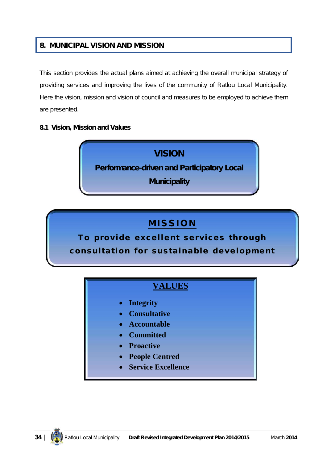### **8. MUNICIPAL VISION AND MISSION**

This section provides the actual plans aimed at achieving the overall municipal strategy of providing services and improving the lives of the community of Ratlou Local Municipality. Here the vision, mission and vision of council and measures to be employed to achieve them are presented.

#### **8.1 Vision, Mission and Values**



## **M I S S I O N**

To provide excellent services through consultation for sustainable development

## **VALUES**

- **Integrity**
- **Consultative**
- **Accountable**
- **Committed**
- **Proactive**
- **People Centred**
- **Service Excellence**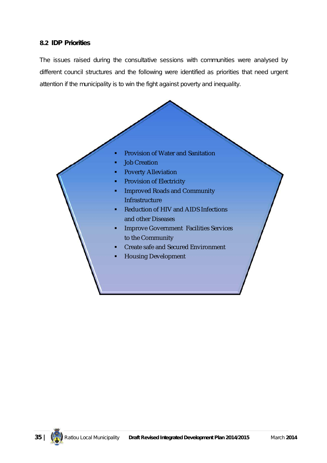#### **8.2 IDP Priorities**

The issues raised during the consultative sessions with communities were analysed by different council structures and the following were identified as priorities that need urgent attention if the municipality is to win the fight against poverty and inequality.

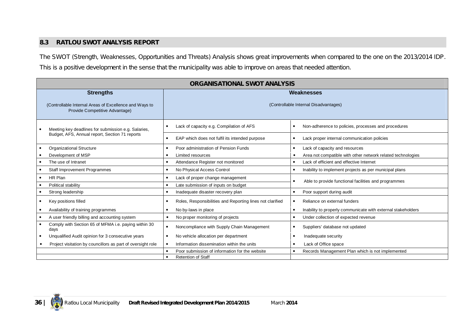#### **8.3 RATLOU SWOT ANALYSIS REPORT**

The SWOT (Strength, Weaknesses, Opportunities and Threats) Analysis shows great improvements when compared to the one on the 2013/2014 IDP. This is a positive development in the sense that the municipality was able to improve on areas that needed attention.

| <b>ORGANISATIONAL SWOT ANALYSIS</b>                                                      |                                                           |                                                                           |  |
|------------------------------------------------------------------------------------------|-----------------------------------------------------------|---------------------------------------------------------------------------|--|
| <b>Strengths</b>                                                                         | Weaknesses                                                |                                                                           |  |
| (Controllable Internal Areas of Excellence and Ways to<br>Provide Competitive Advantage) | (Controllable Internal Disadvantages)                     |                                                                           |  |
| Meeting key deadlines for submission e.g. Salaries,                                      | Lack of capacity e.g. Compilation of AFS                  | Non-adherence to policies, processes and procedures                       |  |
| Budget, AFS, Annual report, Section 71 reports                                           | EAP which does not fulfil its intended purpose            | Lack proper internal communication policies                               |  |
| <b>Organizational Structure</b>                                                          | Poor administration of Pension Funds                      | Lack of capacity and resources<br>$\bullet$                               |  |
| Development of MSP                                                                       | Limited resources                                         | Area not compatible with other network related technologies               |  |
| The use of Intranet                                                                      | Attendance Register not monitored                         | Lack of efficient and effective Internet                                  |  |
| Staff Improvement Programmes                                                             | No Physical Access Control                                | Inability to implement projects as per municipal plans                    |  |
| HR Plan                                                                                  | Lack of proper change management                          | Able to provide functional facilities and programmes                      |  |
| Political stability                                                                      | Late submission of inputs on budget                       |                                                                           |  |
| Strong leadership                                                                        | Inadequate disaster recovery plan                         | Poor support during audit                                                 |  |
| Key positions filled                                                                     | Roles, Responsibilities and Reporting lines not clarified | Reliance on external funders                                              |  |
| Availability of training programmes                                                      | No by-laws in place                                       | Inability to properly communicate with external stakeholders<br>$\bullet$ |  |
| A user friendly billing and accounting system                                            | No proper monitoring of projects                          | Under collection of expected revenue                                      |  |
| Comply with Section 65 of MFMA <i>i.e.</i> paying within 30<br>days                      | Noncompliance with Supply Chain Management                | Suppliers' database not updated                                           |  |
| Unqualified Audit opinion for 3 consecutive years                                        | No vehicle allocation per department                      | Inadequate security                                                       |  |
| Project visitation by councillors as part of oversight role                              | Information dissemination within the units                | Lack of Office space                                                      |  |
|                                                                                          | Poor submission of information for the website            | Records Management Plan which is not implemented                          |  |
| <b>Retention of Staff</b>                                                                |                                                           |                                                                           |  |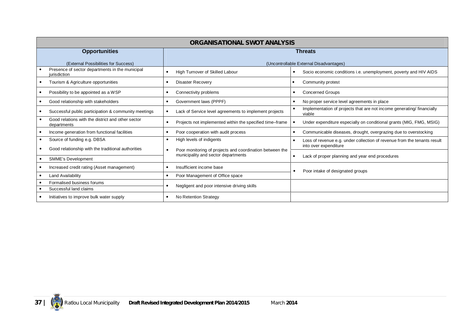| <b>ORGANISATIONAL SWOT ANALYSIS</b>                              |                                                          |                                                                                 |  |
|------------------------------------------------------------------|----------------------------------------------------------|---------------------------------------------------------------------------------|--|
| <b>Opportunities</b>                                             | <b>Threats</b>                                           |                                                                                 |  |
| (External Possibilities for Success)                             | (Uncontrollable External Disadvantages)                  |                                                                                 |  |
| Presence of sector departments in the municipal<br>jurisdiction  | High Turnover of Skilled Labour                          | Socio economic conditions i.e. unemployment, poverty and HIV AIDS               |  |
| Tourism & Agriculture opportunities                              | <b>Disaster Recovery</b>                                 | Community protest                                                               |  |
| Possibility to be appointed as a WSP                             | Connectivity problems                                    | <b>Concerned Groups</b>                                                         |  |
| Good relationship with stakeholders                              | Government laws (PPPF)                                   | No proper service level agreements in place                                     |  |
| Successful public participation & community meetings             | Lack of Service level agreements to implement projects   | Implementation of projects that are not income generating/financially<br>viable |  |
| Good relations with the district and other sector<br>departments | Projects not implemented within the specified time-frame | Under expenditure especially on conditional grants (MIG, FMG, MSIG)             |  |
| Income generation from functional facilities                     | Poor cooperation with audit process                      | Communicable diseases, drought, overgrazing due to overstocking                 |  |
| Source of funding e.g. DBSA                                      | High levels of indigents                                 | Loss of revenue e.g. under collection of revenue from the tenants result        |  |
| Good relationship with the traditional authorities               | Poor monitoring of projects and coordination between the | into over expenditure                                                           |  |
| <b>SMME's Development</b>                                        | municipality and sector departments                      | Lack of proper planning and year end procedures                                 |  |
| Increased credit rating (Asset management)                       | Insufficient income base                                 |                                                                                 |  |
| Land Availability                                                | Poor Management of Office space                          | Poor intake of designated groups                                                |  |
| Formalised business forums                                       | Negligent and poor intensive driving skills              |                                                                                 |  |
| Successful land claims                                           |                                                          |                                                                                 |  |
| Initiatives to improve bulk water supply                         | No Retention Strategy                                    |                                                                                 |  |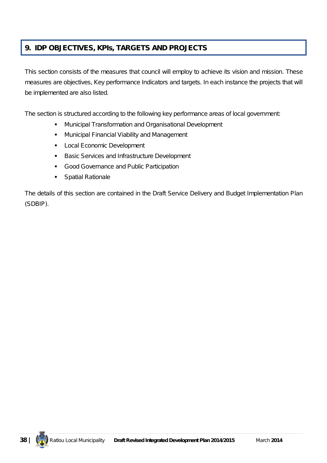## **9. IDP OBJECTIVES, KPIs, TARGETS AND PROJECTS**

This section consists of the measures that council will employ to achieve its vision and mission. These measures are objectives, Key performance Indicators and targets. In each instance the projects that will be implemented are also listed.

The section is structured according to the following key performance areas of local government:

- **Municipal Transformation and Organisational Development**
- **Municipal Financial Viability and Management**
- **Local Economic Development**
- **Basic Services and Infrastructure Development**
- **Good Governance and Public Participation**
- **Spatial Rationale**

The details of this section are contained in the Draft Service Delivery and Budget Implementation Plan (SDBIP).

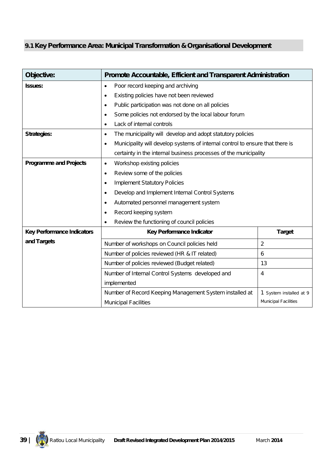## **9.1 Key Performance Area: Municipal Transformation & Organisational Development**

| Objective:                        | Promote Accountable, Efficient and Transparent Administration                              |                             |
|-----------------------------------|--------------------------------------------------------------------------------------------|-----------------------------|
| <b>Issues:</b>                    | Poor record keeping and archiving<br>$\bullet$                                             |                             |
|                                   | Existing policies have not been reviewed<br>$\bullet$                                      |                             |
|                                   | Public participation was not done on all policies<br>$\bullet$                             |                             |
|                                   | Some policies not endorsed by the local labour forum<br>$\bullet$                          |                             |
|                                   | Lack of internal controls<br>$\bullet$                                                     |                             |
| <b>Strategies:</b>                | The municipality will develop and adopt statutory policies<br>$\bullet$                    |                             |
|                                   | Municipality will develop systems of internal control to ensure that there is<br>$\bullet$ |                             |
|                                   | certainty in the internal business processes of the municipality                           |                             |
| <b>Programme and Projects</b>     | Workshop existing policies<br>$\bullet$                                                    |                             |
|                                   | Review some of the policies<br>$\bullet$                                                   |                             |
|                                   | <b>Implement Statutory Policies</b><br>$\bullet$                                           |                             |
|                                   | Develop and Implement Internal Control Systems<br>$\bullet$                                |                             |
|                                   | Automated personnel management system<br>$\bullet$                                         |                             |
|                                   | Record keeping system<br>$\bullet$                                                         |                             |
|                                   | Review the functioning of council policies<br>$\bullet$                                    |                             |
| <b>Key Performance Indicators</b> | Key Performance Indicator                                                                  | <b>Target</b>               |
| and Targets                       | Number of workshops on Council policies held                                               | $\overline{2}$              |
|                                   | Number of policies reviewed (HR & IT related)                                              | 6                           |
|                                   | Number of policies reviewed (Budget related)                                               | 13                          |
|                                   | Number of Internal Control Systems developed and                                           | 4                           |
|                                   | implemented                                                                                |                             |
|                                   | Number of Record Keeping Management System installed at                                    | 1 System installed at 9     |
|                                   | <b>Municipal Facilities</b>                                                                | <b>Municipal Facilities</b> |

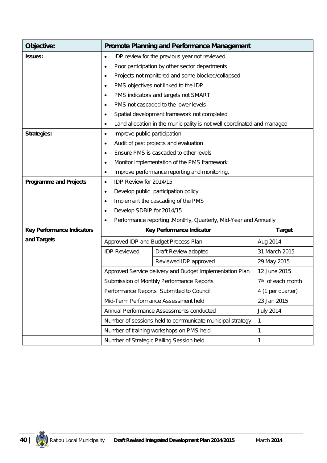| Objective:                        |                                                                | <b>Promote Planning and Performance Management</b>                      |                               |
|-----------------------------------|----------------------------------------------------------------|-------------------------------------------------------------------------|-------------------------------|
| <b>Issues:</b>                    | $\bullet$                                                      | IDP review for the previous year not reviewed                           |                               |
|                                   | $\bullet$                                                      | Poor participation by other sector departments                          |                               |
|                                   | Projects not monitored and some blocked/collapsed<br>$\bullet$ |                                                                         |                               |
|                                   | $\bullet$                                                      | PMS objectives not linked to the IDP                                    |                               |
|                                   | $\bullet$                                                      | PMS indicators and targets not SMART                                    |                               |
|                                   | $\bullet$                                                      | PMS not cascaded to the lower levels                                    |                               |
|                                   | $\bullet$                                                      | Spatial development framework not completed                             |                               |
|                                   | ٠                                                              | Land allocation in the municipality is not well coordinated and managed |                               |
| <b>Strategies:</b>                | Improve public participation<br>$\bullet$                      |                                                                         |                               |
|                                   | ٠                                                              | Audit of past projects and evaluation                                   |                               |
|                                   | $\bullet$                                                      | Ensure PMS is cascaded to other levels                                  |                               |
|                                   | ٠                                                              | Monitor implementation of the PMS framework                             |                               |
|                                   | ٠                                                              | Improve performance reporting and monitoring.                           |                               |
| <b>Programme and Projects</b>     | IDP Review for 2014/15<br>$\bullet$                            |                                                                         |                               |
|                                   | $\bullet$                                                      | Develop public participation policy                                     |                               |
|                                   | $\bullet$                                                      | Implement the cascading of the PMS                                      |                               |
|                                   | Develop SDBIP for 2014/15<br>$\bullet$                         |                                                                         |                               |
|                                   | $\bullet$                                                      | Performance reporting , Monthly, Quarterly, Mid-Year and Annually       |                               |
| <b>Key Performance Indicators</b> |                                                                | Key Performance Indicator                                               | <b>Target</b>                 |
| and Targets                       |                                                                | Approved IDP and Budget Process Plan                                    | Aug 2014                      |
|                                   | <b>IDP Reviewed</b>                                            | Draft Review adopted                                                    | 31 March 2015                 |
|                                   |                                                                | Reviewed IDP approved                                                   | 29 May 2015                   |
|                                   |                                                                | Approved Service delivery and Budget Implementation Plan                | 12 June 2015                  |
|                                   |                                                                | Submission of Monthly Performance Reports                               | 7 <sup>th</sup> of each month |
|                                   |                                                                | Performance Reports Submitted to Council                                | 4 (1 per quarter)             |
|                                   |                                                                | Mid-Term Performance Assessment held                                    | 23 Jan 2015                   |
|                                   |                                                                | Annual Performance Assessments conducted                                | <b>July 2014</b>              |
|                                   |                                                                | Number of sessions held to communicate municipal strategy               | $\mathbf{1}$                  |
|                                   |                                                                | Number of training workshops on PMS held                                | 1                             |
|                                   |                                                                | Number of Strategic Palling Session held                                | 1                             |

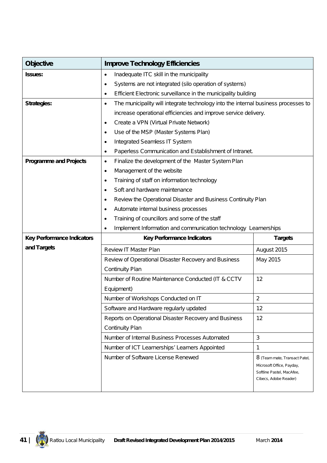| <b>Objective</b>                  | <b>Improve Technology Efficiencies</b>                                                  |                                                                                                                  |
|-----------------------------------|-----------------------------------------------------------------------------------------|------------------------------------------------------------------------------------------------------------------|
| <b>Issues:</b>                    | Inadequate ITC skill in the municipality<br>$\bullet$                                   |                                                                                                                  |
|                                   | Systems are not integrated (silo operation of systems)<br>$\bullet$                     |                                                                                                                  |
|                                   | Efficient Electronic surveillance in the municipality building<br>٠                     |                                                                                                                  |
| <b>Strategies:</b>                | The municipality will integrate technology into the internal business processes to<br>٠ |                                                                                                                  |
|                                   | increase operational efficiencies and improve service delivery.                         |                                                                                                                  |
|                                   | Create a VPN (Virtual Private Network)<br>$\bullet$                                     |                                                                                                                  |
|                                   | Use of the MSP (Master Systems Plan)<br>$\bullet$                                       |                                                                                                                  |
|                                   | Integrated Seamless IT System<br>$\bullet$                                              |                                                                                                                  |
|                                   | Paperless Communication and Establishment of Intranet.<br>٠                             |                                                                                                                  |
| <b>Programme and Projects</b>     | Finalize the development of the Master System Plan<br>٠                                 |                                                                                                                  |
|                                   | Management of the website<br>$\bullet$                                                  |                                                                                                                  |
|                                   | Training of staff on information technology<br>٠                                        |                                                                                                                  |
|                                   | Soft and hardware maintenance<br>٠                                                      |                                                                                                                  |
|                                   | Review the Operational Disaster and Business Continuity Plan<br>٠                       |                                                                                                                  |
|                                   | Automate internal business processes<br>٠                                               |                                                                                                                  |
|                                   | Training of councillors and some of the staff<br>٠                                      |                                                                                                                  |
|                                   | Implement Information and communication technology Learnerships<br>$\bullet$            |                                                                                                                  |
| <b>Key Performance Indicators</b> | <b>Key Performance Indicators</b>                                                       | <b>Targets</b>                                                                                                   |
| and Targets                       | <b>Review IT Master Plan</b>                                                            | August 2015                                                                                                      |
|                                   | Review of Operational Disaster Recovery and Business                                    | May 2015                                                                                                         |
|                                   | <b>Continuity Plan</b>                                                                  |                                                                                                                  |
|                                   | Number of Routine Maintenance Conducted (IT & CCTV                                      | 12                                                                                                               |
|                                   | Equipment)                                                                              |                                                                                                                  |
|                                   | Number of Workshops Conducted on IT                                                     | $\overline{2}$                                                                                                   |
|                                   | Software and Hardware regularly updated                                                 | 12                                                                                                               |
|                                   | Reports on Operational Disaster Recovery and Business                                   | 12                                                                                                               |
|                                   | <b>Continuity Plan</b>                                                                  |                                                                                                                  |
|                                   | Number of Internal Business Processes Automated                                         | $\mathbf{3}$                                                                                                     |
|                                   | Number of ICT Learnerships' Learners Appointed                                          | 1                                                                                                                |
|                                   | Number of Software License Renewed                                                      | 8 (Team mate, Transact Patel,<br>Microsoft Office, Payday,<br>Softline Pastel, MacAfee,<br>Cibecs, Adobe Reader) |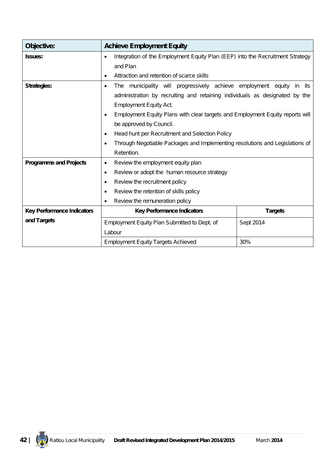| Objective:                        | <b>Achieve Employment Equity</b>                                                           |                |  |
|-----------------------------------|--------------------------------------------------------------------------------------------|----------------|--|
| <b>Issues:</b>                    | Integration of the Employment Equity Plan (EEP) into the Recruitment Strategy<br>٠         |                |  |
|                                   | and Plan                                                                                   |                |  |
|                                   | Attraction and retention of scarce skills<br>٠                                             |                |  |
| <b>Strategies:</b>                | The municipality will progressively achieve employment equity in its<br>$\bullet$          |                |  |
|                                   | administration by recruiting and retaining individuals as designated by the                |                |  |
|                                   | <b>Employment Equity Act.</b>                                                              |                |  |
|                                   | Employment Equity Plans with clear targets and Employment Equity reports will<br>$\bullet$ |                |  |
|                                   | be approved by Council.                                                                    |                |  |
|                                   | Head hunt per Recruitment and Selection Policy<br>٠                                        |                |  |
|                                   | Through Negotiable Packages and Implementing resolutions and Legislations of               |                |  |
|                                   | Retention.                                                                                 |                |  |
| <b>Programme and Projects</b>     | Review the employment equity plan<br>$\bullet$                                             |                |  |
|                                   | Review or adopt the human resource strategy<br>$\bullet$                                   |                |  |
|                                   | Review the recruitment policy<br>$\bullet$                                                 |                |  |
|                                   | Review the retention of skills policy<br>$\bullet$                                         |                |  |
|                                   | Review the remuneration policy<br>$\bullet$                                                |                |  |
| <b>Key Performance Indicators</b> | <b>Key Performance Indicators</b>                                                          | <b>Targets</b> |  |
| and Targets                       | Employment Equity Plan Submitted to Dept. of                                               | Sept 2014      |  |
|                                   | Labour                                                                                     |                |  |
|                                   | <b>Employment Equity Targets Achieved</b>                                                  | 30%            |  |

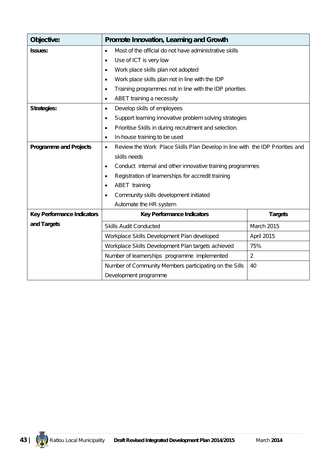| Objective:                        | Promote Innovation, Learning and Growth                                                    |                   |  |
|-----------------------------------|--------------------------------------------------------------------------------------------|-------------------|--|
| <b>Issues:</b>                    | Most of the official do not have administrative skills<br>$\bullet$                        |                   |  |
|                                   | Use of ICT is very low<br>٠                                                                |                   |  |
|                                   | Work place skills plan not adopted<br>٠                                                    |                   |  |
|                                   | Work place skills plan not in line with the IDP<br>$\bullet$                               |                   |  |
|                                   | Training programmes not in line with the IDP priorities<br>$\bullet$                       |                   |  |
|                                   | ABET training a necessity<br>$\bullet$                                                     |                   |  |
| <b>Strategies:</b>                | Develop skills of employees<br>$\bullet$                                                   |                   |  |
|                                   | Support learning innovative problem solving strategies<br>$\bullet$                        |                   |  |
|                                   | Prioritise Skills in during recruitment and selection.<br>$\bullet$                        |                   |  |
|                                   | In-house training to be used<br>$\bullet$                                                  |                   |  |
| <b>Programme and Projects</b>     | Review the Work Place Skills Plan Develop in line with the IDP Priorities and<br>$\bullet$ |                   |  |
|                                   | skills needs                                                                               |                   |  |
|                                   | Conduct internal and other innovative training programmes<br>$\bullet$                     |                   |  |
|                                   | Registration of learnerships for accredit training<br>$\bullet$                            |                   |  |
|                                   | ABET training                                                                              |                   |  |
|                                   | Community skills development initiated<br>٠                                                |                   |  |
|                                   | Automate the HR system                                                                     |                   |  |
| <b>Key Performance Indicators</b> | <b>Key Performance Indicators</b>                                                          | <b>Targets</b>    |  |
| and Targets                       | <b>Skills Audit Conducted</b>                                                              | <b>March 2015</b> |  |
|                                   | Workplace Skills Development Plan developed                                                | April 2015        |  |
|                                   | Workplace Skills Development Plan targets achieved                                         | 75%               |  |
|                                   | Number of learnerships programme implemented                                               | $\overline{2}$    |  |
|                                   | Number of Community Members participating on the Sills                                     | 40                |  |
|                                   | Development programme                                                                      |                   |  |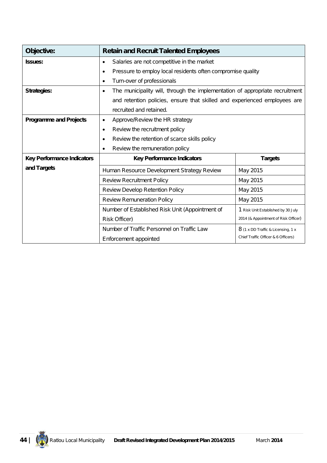| Objective:                        | <b>Retain and Recruit Talented Employees</b>                                              |                                      |
|-----------------------------------|-------------------------------------------------------------------------------------------|--------------------------------------|
| <b>Issues:</b>                    | Salaries are not competitive in the market<br>$\bullet$                                   |                                      |
|                                   | Pressure to employ local residents often compromise quality<br>$\bullet$                  |                                      |
|                                   | Turn-over of professionals<br>$\bullet$                                                   |                                      |
| <b>Strategies:</b>                | The municipality will, through the implementation of appropriate recruitment<br>$\bullet$ |                                      |
|                                   | and retention policies, ensure that skilled and experienced employees are                 |                                      |
|                                   | recruited and retained.                                                                   |                                      |
| <b>Programme and Projects</b>     | Approve/Review the HR strategy<br>$\bullet$                                               |                                      |
|                                   | Review the recruitment policy<br>$\bullet$                                                |                                      |
|                                   | Review the retention of scarce skills policy<br>$\bullet$                                 |                                      |
|                                   | Review the remuneration policy<br>$\bullet$                                               |                                      |
| <b>Key Performance Indicators</b> | <b>Key Performance Indicators</b>                                                         | <b>Targets</b>                       |
| and Targets                       | Human Resource Development Strategy Review                                                | May 2015                             |
|                                   | <b>Review Recruitment Policy</b>                                                          | May 2015                             |
|                                   | Review Develop Retention Policy                                                           | May 2015                             |
|                                   | <b>Review Remuneration Policy</b>                                                         | May 2015                             |
|                                   | Number of Established Risk Unit (Appointment of                                           | 1 Risk Unit Established by 30 July   |
|                                   | <b>Risk Officer)</b>                                                                      | 2014 (& Appointment of Risk Officer) |
|                                   | Number of Traffic Personnel on Traffic Law                                                | 8 (1 x DD Traffic & Licensing, 1 x   |
|                                   | Enforcement appointed                                                                     | Chief Traffic Officer & 6 Officers)  |

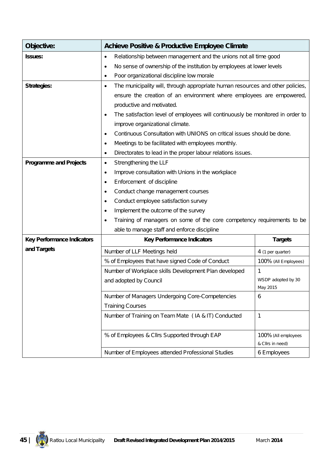| Objective:                        | <b>Achieve Positive &amp; Productive Employee Climate</b>                                   |                                         |
|-----------------------------------|---------------------------------------------------------------------------------------------|-----------------------------------------|
| <b>Issues:</b>                    | Relationship between management and the unions not all time good<br>$\bullet$               |                                         |
|                                   | No sense of ownership of the institution by employees at lower levels<br>٠                  |                                         |
|                                   | Poor organizational discipline low morale                                                   |                                         |
| <b>Strategies:</b>                | The municipality will, through appropriate human resources and other policies,<br>$\bullet$ |                                         |
|                                   | ensure the creation of an environment where employees are empowered,                        |                                         |
|                                   | productive and motivated.                                                                   |                                         |
|                                   | The satisfaction level of employees will continuously be monitored in order to              |                                         |
|                                   | improve organizational climate.                                                             |                                         |
|                                   | Continuous Consultation with UNIONS on critical issues should be done.<br>$\bullet$         |                                         |
|                                   | Meetings to be facilitated with employees monthly.<br>$\bullet$                             |                                         |
|                                   | Directorates to lead in the proper labour relations issues.<br>$\bullet$                    |                                         |
| <b>Programme and Projects</b>     | Strengthening the LLF<br>$\bullet$                                                          |                                         |
|                                   | Improve consultation with Unions in the workplace<br>$\bullet$                              |                                         |
|                                   | Enforcement of discipline                                                                   |                                         |
|                                   | Conduct change management courses<br>٠                                                      |                                         |
|                                   | Conduct employee satisfaction survey                                                        |                                         |
|                                   | Implement the outcome of the survey                                                         |                                         |
|                                   | Training of managers on some of the core competency requirements to be                      |                                         |
|                                   | able to manage staff and enforce discipline                                                 |                                         |
| <b>Key Performance Indicators</b> | <b>Key Performance Indicators</b>                                                           | <b>Targets</b>                          |
| and Targets                       | Number of LLF Meetings held                                                                 | 4 (1 per quarter)                       |
|                                   | % of Employees that have signed Code of Conduct                                             | 100% (All Employees)                    |
|                                   | Number of Workplace skills Development Plan developed                                       | 1                                       |
|                                   | and adopted by Council                                                                      | WSDP adopted by 30<br>May 2015          |
|                                   | Number of Managers Undergoing Core-Competencies                                             | 6                                       |
|                                   | <b>Training Courses</b>                                                                     |                                         |
|                                   | Number of Training on Team Mate (IA & IT) Conducted                                         | $\mathbf{1}$                            |
|                                   | % of Employees & Cllrs Supported through EAP                                                | 100% (All employees<br>& Cllrs in need) |
|                                   | Number of Employees attended Professional Studies                                           | 6 Employees                             |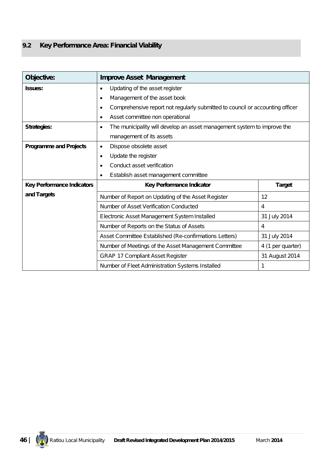## **9.2 Key Performance Area: Financial Viability**

| Objective:                        | <b>Improve Asset Management</b>                                                            |                   |
|-----------------------------------|--------------------------------------------------------------------------------------------|-------------------|
| <b>Issues:</b>                    | Updating of the asset register<br>٠                                                        |                   |
|                                   | Management of the asset book<br>$\bullet$                                                  |                   |
|                                   | Comprehensive report not regularly submitted to council or accounting officer<br>$\bullet$ |                   |
|                                   | Asset committee non operational<br>$\bullet$                                               |                   |
| <b>Strategies:</b>                | The municipality will develop an asset management system to improve the<br>$\bullet$       |                   |
|                                   | management of its assets                                                                   |                   |
| <b>Programme and Projects</b>     | Dispose obsolete asset<br>$\bullet$                                                        |                   |
|                                   | Update the register<br>$\bullet$                                                           |                   |
|                                   | Conduct asset verification<br>٠                                                            |                   |
|                                   | Establish asset management committee<br>$\bullet$                                          |                   |
| <b>Key Performance Indicators</b> | Key Performance Indicator                                                                  | <b>Target</b>     |
| and Targets                       | Number of Report on Updating of the Asset Register                                         | 12                |
|                                   | Number of Asset Verification Conducted                                                     | 4                 |
|                                   | Electronic Asset Management System Installed                                               | 31 July 2014      |
|                                   | Number of Reports on the Status of Assets                                                  | 4                 |
|                                   | Asset Committee Established (Re-confirmations Letters)                                     | 31 July 2014      |
|                                   | Number of Meetings of the Asset Management Committee                                       | 4 (1 per quarter) |
|                                   | <b>GRAP 17 Compliant Asset Register</b>                                                    | 31 August 2014    |
|                                   | Number of Fleet Administration Systems Installed                                           | 1                 |

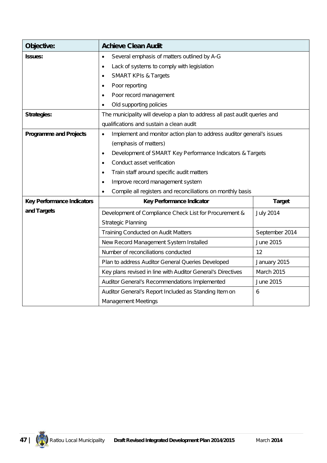| Objective:                        | <b>Achieve Clean Audit</b>                                                         |                   |
|-----------------------------------|------------------------------------------------------------------------------------|-------------------|
| <b>Issues:</b>                    | Several emphasis of matters outlined by A-G<br>$\bullet$                           |                   |
|                                   | Lack of systems to comply with legislation<br>$\bullet$                            |                   |
|                                   | <b>SMART KPIs &amp; Targets</b><br>$\bullet$                                       |                   |
|                                   | Poor reporting<br>$\bullet$                                                        |                   |
|                                   | Poor record management<br>٠                                                        |                   |
|                                   | Old supporting policies                                                            |                   |
| <b>Strategies:</b>                | The municipality will develop a plan to address all past audit queries and         |                   |
|                                   | qualifications and sustain a clean audit                                           |                   |
| <b>Programme and Projects</b>     | Implement and monitor action plan to address auditor general's issues<br>$\bullet$ |                   |
|                                   | (emphasis of matters)                                                              |                   |
|                                   | Development of SMART Key Performance Indicators & Targets<br>$\bullet$             |                   |
|                                   | Conduct asset verification<br>$\bullet$                                            |                   |
|                                   | Train staff around specific audit matters<br>٠                                     |                   |
|                                   | Improve record management system<br>$\bullet$                                      |                   |
|                                   | Compile all registers and reconciliations on monthly basis<br>$\bullet$            |                   |
| <b>Key Performance Indicators</b> | Key Performance Indicator                                                          | <b>Target</b>     |
| and Targets                       | Development of Compliance Check List for Procurement &                             | <b>July 2014</b>  |
|                                   | <b>Strategic Planning</b>                                                          |                   |
|                                   | <b>Training Conducted on Audit Matters</b>                                         | September 2014    |
|                                   | New Record Management System Installed                                             | June 2015         |
|                                   | Number of reconciliations conducted                                                | 12                |
|                                   | Plan to address Auditor General Queries Developed                                  | January 2015      |
|                                   | Key plans revised in line with Auditor General's Directives                        | <b>March 2015</b> |
|                                   | Auditor General's Recommendations Implemented                                      | June 2015         |
|                                   | Auditor General's Report Included as Standing Item on                              | 6                 |
|                                   | <b>Management Meetings</b>                                                         |                   |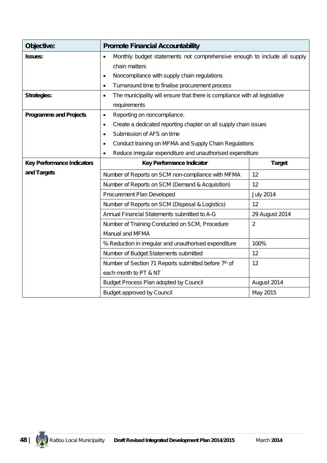| Objective:                        | <b>Promote Financial Accountability</b>                                                 |                  |
|-----------------------------------|-----------------------------------------------------------------------------------------|------------------|
| <b>Issues:</b>                    | Monthly budget statements not comprehensive enough to include all supply<br>$\bullet$   |                  |
|                                   | chain matters                                                                           |                  |
|                                   | Noncompliance with supply chain regulations<br>٠                                        |                  |
|                                   | Turnaround time to finalise procurement process<br>$\bullet$                            |                  |
| Strategies:                       | The municipality will ensure that there is compliance with all legislative<br>$\bullet$ |                  |
|                                   | requirements                                                                            |                  |
| <b>Programme and Projects</b>     | Reporting on noncompliance.<br>$\bullet$                                                |                  |
|                                   | Create a dedicated reporting chapter on all supply chain issues<br>$\bullet$            |                  |
|                                   | Submission of AFS on time<br>$\bullet$                                                  |                  |
|                                   | Conduct training on MFMA and Supply Chain Regulations<br>$\bullet$                      |                  |
|                                   | Reduce irregular expenditure and unauthorised expenditure                               |                  |
| <b>Key Performance Indicators</b> | <b>Target</b><br>Key Performance Indicator                                              |                  |
| and Targets                       | Number of Reports on SCM non-compliance with MFMA                                       | 12               |
|                                   | Number of Reports on SCM (Demand & Acquisition)                                         | 12               |
|                                   | Procurement Plan Developed                                                              |                  |
|                                   |                                                                                         | <b>July 2014</b> |
|                                   | Number of Reports on SCM (Disposal & Logistics)                                         | 12               |
|                                   | Annual Financial Statements submitted to A-G                                            | 29 August 2014   |
|                                   | Number of Training Conducted on SCM, Procedure                                          | 2                |
|                                   | Manual and MFMA                                                                         |                  |
|                                   | % Reduction in irregular and unauthorised expenditure                                   | 100%             |
|                                   | Number of Budget Statements submitted                                                   | 12               |
|                                   | Number of Section 71 Reports submitted before 7th of                                    | 12               |
|                                   | each month to PT & NT                                                                   |                  |
|                                   | Budget Process Plan adopted by Council                                                  | August 2014      |

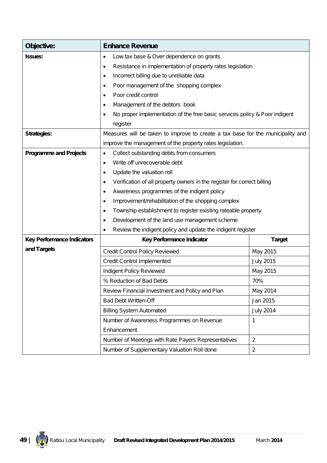| Objective:                        | <b>Enhance Revenue</b>                                                                  |                  |
|-----------------------------------|-----------------------------------------------------------------------------------------|------------------|
| <b>Issues:</b>                    | Low tax base & Over dependence on grants<br>$\bullet$                                   |                  |
|                                   | Resistance in implementation of property rates legislation<br>٠                         |                  |
|                                   | Incorrect billing due to unreliable data<br>٠                                           |                  |
|                                   | Poor management of the shopping complex<br>$\bullet$                                    |                  |
|                                   | Poor credit control<br>$\bullet$                                                        |                  |
|                                   | Management of the debtors book<br>$\bullet$                                             |                  |
|                                   | No proper implementation of the free basic services policy & Poor indigent<br>$\bullet$ |                  |
|                                   | register                                                                                |                  |
| <b>Strategies:</b>                | Measures will be taken to improve to create a tax base for the municipality and         |                  |
|                                   | improve the management of the property rates legislation.                               |                  |
| <b>Programme and Projects</b>     | Collect outstanding debts from consumers<br>$\bullet$                                   |                  |
|                                   | Write off unrecoverable debt<br>$\bullet$                                               |                  |
|                                   | Update the valuation roll<br>$\bullet$                                                  |                  |
|                                   | Verification of all property owners in the register for correct billing<br>$\bullet$    |                  |
|                                   | Awareness programmes of the indigent policy<br>٠                                        |                  |
|                                   | Improvement/rehabilitation of the shopping complex<br>$\bullet$                         |                  |
|                                   | Township establishment to register existing rateable property<br>$\bullet$              |                  |
|                                   | Development of the land use management scheme<br>$\bullet$                              |                  |
|                                   | Review the indigent policy and update the indigent register<br>$\bullet$                |                  |
| <b>Key Performance Indicators</b> | Key Performance Indicator                                                               | <b>Target</b>    |
| and Targets                       | Credit Control Policy Reviewed                                                          | May 2015         |
|                                   | <b>Credit Control Implemented</b>                                                       | <b>July 2015</b> |
|                                   | Indigent Policy Reviewed                                                                | May 2015         |
|                                   | % Reduction of Bad Debts                                                                | 70%              |
|                                   | Review Financial Investment and Policy and Plan                                         | May 2014         |
|                                   | <b>Bad Debt Written-Off</b>                                                             | Jan 2015         |
|                                   | <b>Billing System Automated</b>                                                         | <b>July 2014</b> |
|                                   | Number of Awareness Programmes on Revenue                                               | 1                |
|                                   | Enhancement                                                                             |                  |
|                                   | Number of Meetings with Rate Payers Representatives                                     | $\overline{2}$   |
|                                   | Number of Supplementary Valuation Roll done                                             | $\overline{2}$   |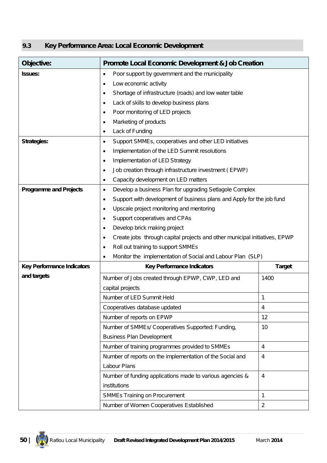### **9.3 Key Performance Area: Local Economic Development**

| Objective:                        | <b>Promote Local Economic Development &amp; Job Creation</b>                       |                |  |  |  |  |
|-----------------------------------|------------------------------------------------------------------------------------|----------------|--|--|--|--|
| Issues:                           | Poor support by government and the municipality<br>$\bullet$                       |                |  |  |  |  |
|                                   | Low economic activity<br>$\bullet$                                                 |                |  |  |  |  |
|                                   | Shortage of infrastructure (roads) and low water table<br>$\bullet$                |                |  |  |  |  |
|                                   | Lack of skills to develop business plans<br>$\bullet$                              |                |  |  |  |  |
|                                   | Poor monitoring of LED projects<br>$\bullet$                                       |                |  |  |  |  |
|                                   | Marketing of products<br>$\bullet$                                                 |                |  |  |  |  |
|                                   | Lack of Funding<br>٠                                                               |                |  |  |  |  |
| <b>Strategies:</b>                | Support SMMEs, cooperatives and other LED initiatives<br>٠                         |                |  |  |  |  |
|                                   | Implementation of the LED Summit resolutions<br>$\bullet$                          |                |  |  |  |  |
|                                   | Implementation of LED Strategy<br>$\bullet$                                        |                |  |  |  |  |
|                                   | Job creation through infrastructure investment (EPWP)<br>$\bullet$                 |                |  |  |  |  |
|                                   | Capacity development on LED matters<br>$\bullet$                                   |                |  |  |  |  |
| <b>Programme and Projects</b>     | Develop a business Plan for upgrading Setlagole Complex<br>$\bullet$               |                |  |  |  |  |
|                                   | Support with development of business plans and Apply for the job fund<br>$\bullet$ |                |  |  |  |  |
|                                   | Upscale project monitoring and mentoring<br>$\bullet$                              |                |  |  |  |  |
|                                   | Support cooperatives and CPAs<br>$\bullet$                                         |                |  |  |  |  |
|                                   | Develop brick making project<br>٠                                                  |                |  |  |  |  |
|                                   | Create jobs through capital projects and other municipal initiatives, EPWP<br>٠    |                |  |  |  |  |
|                                   | Roll out training to support SMMEs<br>٠                                            |                |  |  |  |  |
|                                   | Monitor the implementation of Social and Labour Plan (SLP)<br>٠                    |                |  |  |  |  |
| <b>Key Performance Indicators</b> | <b>Key Performance Indicators</b>                                                  | <b>Target</b>  |  |  |  |  |
| and targets                       | Number of Jobs created through EPWP, CWP, LED and                                  | 1400           |  |  |  |  |
|                                   | capital projects                                                                   |                |  |  |  |  |
|                                   | Number of LED Summit Held                                                          | 1              |  |  |  |  |
|                                   | Cooperatives database updated                                                      | 4              |  |  |  |  |
|                                   | Number of reports on EPWP                                                          | 12             |  |  |  |  |
|                                   | Number of SMMEs/ Cooperatives Supported: Funding,                                  | 10             |  |  |  |  |
|                                   | <b>Business Plan Development</b>                                                   |                |  |  |  |  |
|                                   | Number of training programmes provided to SMMEs<br>4                               |                |  |  |  |  |
|                                   | Number of reports on the implementation of the Social and<br>4                     |                |  |  |  |  |
|                                   | Labour Plans                                                                       |                |  |  |  |  |
|                                   | Number of funding applications made to various agencies &                          | 4              |  |  |  |  |
|                                   | institutions                                                                       |                |  |  |  |  |
|                                   | <b>SMMEs Training on Procurement</b>                                               | 1              |  |  |  |  |
|                                   | Number of Women Cooperatives Established                                           | $\overline{2}$ |  |  |  |  |

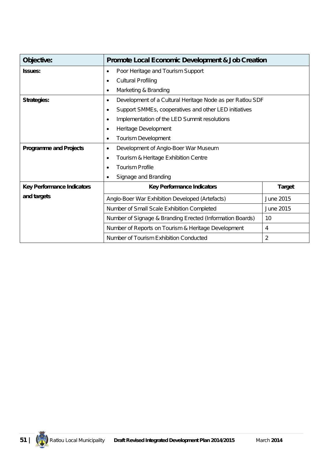| Objective:                        | <b>Promote Local Economic Development &amp; Job Creation</b>       |   |  |  |
|-----------------------------------|--------------------------------------------------------------------|---|--|--|
| <b>Issues:</b>                    | Poor Heritage and Tourism Support<br>$\bullet$                     |   |  |  |
|                                   | <b>Cultural Profiling</b>                                          |   |  |  |
|                                   | Marketing & Branding                                               |   |  |  |
| <b>Strategies:</b>                | Development of a Cultural Heritage Node as per Ratlou SDF<br>٠     |   |  |  |
|                                   | Support SMMEs, cooperatives and other LED initiatives<br>$\bullet$ |   |  |  |
|                                   | Implementation of the LED Summit resolutions                       |   |  |  |
|                                   | Heritage Development<br>$\bullet$                                  |   |  |  |
|                                   | Tourism Development<br>$\bullet$                                   |   |  |  |
| <b>Programme and Projects</b>     | Development of Anglo-Boer War Museum<br>$\bullet$                  |   |  |  |
|                                   | Tourism & Heritage Exhibition Centre<br>٠                          |   |  |  |
|                                   | <b>Tourism Profile</b>                                             |   |  |  |
|                                   | Signage and Branding                                               |   |  |  |
| <b>Key Performance Indicators</b> | <b>Target</b><br><b>Key Performance Indicators</b>                 |   |  |  |
| and targets                       | Anglo-Boer War Exhibition Developed (Artefacts)<br>June 2015       |   |  |  |
|                                   | Number of Small Scale Exhibition Completed<br>June 2015            |   |  |  |
|                                   | Number of Signage & Branding Erected (Information Boards)<br>10    |   |  |  |
|                                   | Number of Reports on Tourism & Heritage Development<br>4           |   |  |  |
|                                   | Number of Tourism Exhibition Conducted                             | 2 |  |  |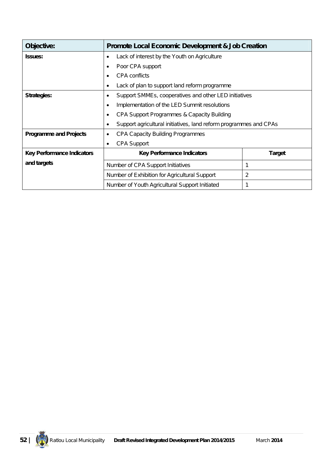| Objective:                        | <b>Promote Local Economic Development &amp; Job Creation</b>      |  |  |  |
|-----------------------------------|-------------------------------------------------------------------|--|--|--|
| <b>Issues:</b>                    | Lack of interest by the Youth on Agriculture<br>٠                 |  |  |  |
|                                   | Poor CPA support<br>٠                                             |  |  |  |
|                                   | <b>CPA</b> conflicts                                              |  |  |  |
|                                   | Lack of plan to support land reform programme                     |  |  |  |
| <b>Strategies:</b>                | Support SMMEs, cooperatives and other LED initiatives             |  |  |  |
|                                   | Implementation of the LED Summit resolutions<br>$\bullet$         |  |  |  |
|                                   | CPA Support Programmes & Capacity Building<br>$\bullet$           |  |  |  |
|                                   | Support agricultural initiatives, land reform programmes and CPAs |  |  |  |
| <b>Programme and Projects</b>     | <b>CPA Capacity Building Programmes</b><br>٠                      |  |  |  |
|                                   | <b>CPA Support</b><br>٠                                           |  |  |  |
| <b>Key Performance Indicators</b> | <b>Key Performance Indicators</b><br><b>Target</b>                |  |  |  |
| and targets                       | 1<br>Number of CPA Support Initiatives                            |  |  |  |
|                                   | 2<br>Number of Exhibition for Agricultural Support                |  |  |  |
|                                   | Number of Youth Agricultural Support Initiated<br>1               |  |  |  |

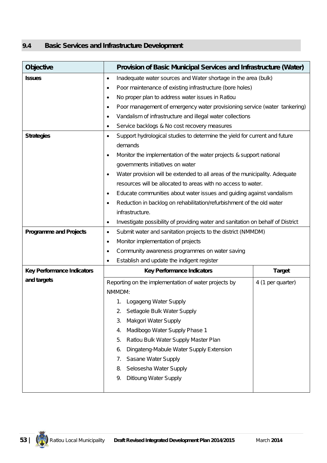#### **9.4 Basic Services and Infrastructure Development**

| <b>Objective</b>                  | Provision of Basic Municipal Services and Infrastructure (Water)                        |                                                                                 |  |  |  |  |
|-----------------------------------|-----------------------------------------------------------------------------------------|---------------------------------------------------------------------------------|--|--|--|--|
| <b>Issues</b>                     | Inadequate water sources and Water shortage in the area (bulk)<br>$\bullet$             |                                                                                 |  |  |  |  |
|                                   | Poor maintenance of existing infrastructure (bore holes)<br>٠                           |                                                                                 |  |  |  |  |
|                                   | No proper plan to address water issues in Ratlou<br>$\bullet$                           |                                                                                 |  |  |  |  |
|                                   | Poor management of emergency water provisioning service (water tankering)<br>$\bullet$  |                                                                                 |  |  |  |  |
|                                   | Vandalism of infrastructure and illegal water collections<br>٠                          |                                                                                 |  |  |  |  |
|                                   | Service backlogs & No cost recovery measures<br>٠                                       |                                                                                 |  |  |  |  |
| <b>Strategies</b>                 | Support hydrological studies to determine the yield for current and future<br>$\bullet$ |                                                                                 |  |  |  |  |
|                                   | demands                                                                                 |                                                                                 |  |  |  |  |
|                                   | Monitor the implementation of the water projects & support national<br>$\bullet$        |                                                                                 |  |  |  |  |
|                                   | governments initiatives on water                                                        |                                                                                 |  |  |  |  |
|                                   | Water provision will be extended to all areas of the municipality. Adequate<br>٠        |                                                                                 |  |  |  |  |
|                                   | resources will be allocated to areas with no access to water.                           |                                                                                 |  |  |  |  |
|                                   | Educate communities about water issues and guiding against vandalism<br>$\bullet$       |                                                                                 |  |  |  |  |
|                                   | Reduction in backlog on rehabilitation/refurbishment of the old water<br>٠              |                                                                                 |  |  |  |  |
|                                   | infrastructure.                                                                         |                                                                                 |  |  |  |  |
|                                   | $\bullet$                                                                               | Investigate possibility of providing water and sanitation on behalf of District |  |  |  |  |
| <b>Programme and Projects</b>     | Submit water and sanitation projects to the district (NMMDM)<br>$\bullet$               |                                                                                 |  |  |  |  |
|                                   | Monitor implementation of projects<br>٠                                                 |                                                                                 |  |  |  |  |
|                                   | Community awareness programmes on water saving<br>$\bullet$                             |                                                                                 |  |  |  |  |
|                                   | Establish and update the indigent register<br>$\bullet$                                 |                                                                                 |  |  |  |  |
| <b>Key Performance Indicators</b> | <b>Key Performance Indicators</b>                                                       | <b>Target</b>                                                                   |  |  |  |  |
| and targets                       | Reporting on the implementation of water projects by                                    | 4 (1 per quarter)                                                               |  |  |  |  |
|                                   | NMMDM:                                                                                  |                                                                                 |  |  |  |  |
|                                   | Logageng Water Supply<br>1.                                                             |                                                                                 |  |  |  |  |
|                                   | Setlagole Bulk Water Supply<br>2.                                                       |                                                                                 |  |  |  |  |
|                                   | Makgori Water Supply<br>3.                                                              |                                                                                 |  |  |  |  |
|                                   | Madibogo Water Supply Phase 1<br>4.                                                     |                                                                                 |  |  |  |  |
|                                   | Ratlou Bulk Water Supply Master Plan<br>5.                                              |                                                                                 |  |  |  |  |
|                                   | Dingateng-Mabule Water Supply Extension<br>6.                                           |                                                                                 |  |  |  |  |
|                                   | Sasane Water Supply<br>7.                                                               |                                                                                 |  |  |  |  |
|                                   | Selosesha Water Supply<br>8.                                                            |                                                                                 |  |  |  |  |
|                                   | <b>Ditloung Water Supply</b><br>9.                                                      |                                                                                 |  |  |  |  |
|                                   |                                                                                         |                                                                                 |  |  |  |  |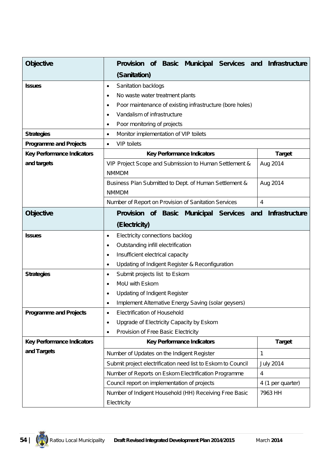| <b>Objective</b>                  | of Basic Municipal Services and Infrastructure<br><b>Provision</b> |                       |  |  |
|-----------------------------------|--------------------------------------------------------------------|-----------------------|--|--|
|                                   | (Sanitation)                                                       |                       |  |  |
| <b>Issues</b>                     | Sanitation backlogs<br>٠                                           |                       |  |  |
|                                   | No waste water treatment plants<br>٠                               |                       |  |  |
|                                   | Poor maintenance of existing infrastructure (bore holes)<br>٠      |                       |  |  |
|                                   | Vandalism of infrastructure<br>$\bullet$                           |                       |  |  |
|                                   | Poor monitoring of projects<br>٠                                   |                       |  |  |
| <b>Strategies</b>                 | Monitor implementation of VIP toilets<br>٠                         |                       |  |  |
| <b>Programme and Projects</b>     | <b>VIP toilets</b><br>$\bullet$                                    |                       |  |  |
| <b>Key Performance Indicators</b> | <b>Key Performance Indicators</b>                                  | <b>Target</b>         |  |  |
| and targets                       | VIP Project Scope and Submission to Human Settlement &             | Aug 2014              |  |  |
|                                   | <b>NMMDM</b>                                                       |                       |  |  |
|                                   | Business Plan Submitted to Dept. of Human Settlement &             | Aug 2014              |  |  |
|                                   | <b>NMMDM</b>                                                       |                       |  |  |
|                                   | Number of Report on Provision of Sanitation Services               | 4                     |  |  |
| <b>Objective</b>                  | <b>Provision</b><br><b>Municipal Services</b><br>of Basic<br>and   | <b>Infrastructure</b> |  |  |
|                                   | (Electricity)                                                      |                       |  |  |
| <b>Issues</b>                     | Electricity connections backlog<br>$\bullet$                       |                       |  |  |
|                                   | Outstanding infill electrification<br>٠                            |                       |  |  |
|                                   | Insufficient electrical capacity<br>$\bullet$                      |                       |  |  |
|                                   | Updating of Indigent Register & Reconfiguration<br>٠               |                       |  |  |
| <b>Strategies</b>                 | Submit projects list to Eskom<br>٠                                 |                       |  |  |
|                                   | MoU with Eskom<br>٠                                                |                       |  |  |
|                                   | <b>Updating of Indigent Register</b>                               |                       |  |  |
|                                   | Implement Alternative Energy Saving (solar geysers)                |                       |  |  |
| <b>Programme and Projects</b>     | <b>Electrification of Household</b><br>$\bullet$                   |                       |  |  |
|                                   | Upgrade of Electricity Capacity by Eskom<br>$\bullet$              |                       |  |  |
|                                   | Provision of Free Basic Electricity<br>$\bullet$                   |                       |  |  |
| <b>Key Performance Indicators</b> | <b>Key Performance Indicators</b>                                  | <b>Target</b>         |  |  |
| and Targets                       | Number of Updates on the Indigent Register                         | 1                     |  |  |
|                                   | Submit project electrification need list to Eskom to Council       | <b>July 2014</b>      |  |  |
|                                   | Number of Reports on Eskom Electrification Programme               | 4                     |  |  |
|                                   | 4 (1 per quarter)<br>Council report on implementation of projects  |                       |  |  |
|                                   | Number of Indigent Household (HH) Receiving Free Basic             | 7963 HH               |  |  |
|                                   | Electricity                                                        |                       |  |  |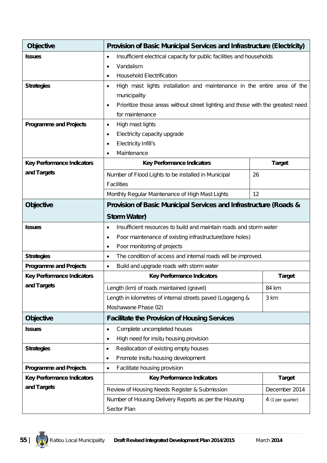| <b>Objective</b>                  | Provision of Basic Municipal Services and Infrastructure (Electricity)                       |                   |  |  |
|-----------------------------------|----------------------------------------------------------------------------------------------|-------------------|--|--|
| <b>Issues</b>                     | Insufficient electrical capacity for public facilities and households<br>$\bullet$           |                   |  |  |
|                                   | Vandalism<br>٠                                                                               |                   |  |  |
|                                   | <b>Household Electrification</b><br>٠                                                        |                   |  |  |
| <b>Strategies</b>                 | High mast lights installation and maintenance in the entire area of the<br>$\bullet$         |                   |  |  |
|                                   | municipality                                                                                 |                   |  |  |
|                                   | Prioritize those areas without street lighting and those with the greatest need<br>$\bullet$ |                   |  |  |
|                                   | for maintenance                                                                              |                   |  |  |
| <b>Programme and Projects</b>     | High mast lights<br>$\bullet$                                                                |                   |  |  |
|                                   | Electricity capacity upgrade<br>$\bullet$                                                    |                   |  |  |
|                                   | Electricity Infill's<br>$\bullet$                                                            |                   |  |  |
|                                   | Maintenance<br>$\bullet$                                                                     |                   |  |  |
| <b>Key Performance Indicators</b> | <b>Key Performance Indicators</b>                                                            | <b>Target</b>     |  |  |
| and Targets                       | Number of Flood Lights to be installed in Municipal                                          | 26                |  |  |
|                                   | Facilities                                                                                   |                   |  |  |
|                                   | 12<br>Monthly Regular Maintenance of High Mast Lights                                        |                   |  |  |
| <b>Objective</b>                  | Provision of Basic Municipal Services and Infrastructure (Roads &                            |                   |  |  |
|                                   | <b>Storm Water)</b>                                                                          |                   |  |  |
| <b>Issues</b>                     | Insufficient resources to build and maintain roads and storm water<br>٠                      |                   |  |  |
|                                   | Poor maintenance of existing infrastructure(bore holes)<br>$\bullet$                         |                   |  |  |
|                                   | Poor monitoring of projects<br>$\bullet$                                                     |                   |  |  |
| <b>Strategies</b>                 | The condition of access and internal roads will be improved.<br>$\bullet$                    |                   |  |  |
| <b>Programme and Projects</b>     | Build and upgrade roads with storm water<br>$\bullet$                                        |                   |  |  |
| <b>Key Performance Indicators</b> | <b>Key Performance Indicators</b>                                                            | <b>Target</b>     |  |  |
| and Targets                       | Length (km) of roads maintained (gravel)<br>84 km                                            |                   |  |  |
|                                   | Length in kilometres of internal streets paved (Logageng &                                   | 3 km              |  |  |
|                                   | Moshawane Phase 02)                                                                          |                   |  |  |
| <b>Objective</b>                  | <b>Facilitate the Provision of Housing Services</b>                                          |                   |  |  |
| <b>Issues</b>                     | Complete uncompleted houses<br>$\bullet$                                                     |                   |  |  |
|                                   | High need for insitu housing provision<br>$\bullet$                                          |                   |  |  |
| <b>Strategies</b>                 | Reallocation of existing empty houses<br>٠                                                   |                   |  |  |
|                                   | Promote insitu housing development<br>$\bullet$                                              |                   |  |  |
| <b>Programme and Projects</b>     | Facilitate housing provision<br>$\bullet$                                                    |                   |  |  |
| <b>Key Performance Indicators</b> | <b>Key Performance Indicators</b>                                                            | <b>Target</b>     |  |  |
| and Targets                       | Review of Housing Needs Register & Submission                                                | December 2014     |  |  |
|                                   | Number of Housing Delivery Reports as per the Housing                                        | 4 (1 per quarter) |  |  |
|                                   | Sector Plan                                                                                  |                   |  |  |

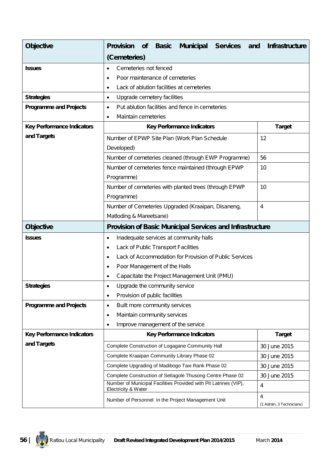| <b>Objective</b>                  | <b>Provision</b>                   | <b>of</b>                                                            | <b>Basic</b>                   | <b>Municipal</b>                                                 | <b>Services</b> | and            | <b>Infrastructure</b>    |
|-----------------------------------|------------------------------------|----------------------------------------------------------------------|--------------------------------|------------------------------------------------------------------|-----------------|----------------|--------------------------|
|                                   | (Cemeteries)                       |                                                                      |                                |                                                                  |                 |                |                          |
| <b>Issues</b>                     | Cemeteries not fenced<br>$\bullet$ |                                                                      |                                |                                                                  |                 |                |                          |
|                                   | ٠                                  |                                                                      | Poor maintenance of cemeteries |                                                                  |                 |                |                          |
|                                   | ٠                                  |                                                                      |                                | Lack of ablution facilities at cemeteries                        |                 |                |                          |
| <b>Strategies</b>                 | $\bullet$                          |                                                                      | Upgrade cemetery facilities    |                                                                  |                 |                |                          |
| <b>Programme and Projects</b>     | $\bullet$                          |                                                                      |                                | Put ablution facilities and fence in cemeteries                  |                 |                |                          |
|                                   | Maintain cemeteries<br>٠           |                                                                      |                                |                                                                  |                 |                |                          |
| <b>Key Performance Indicators</b> |                                    |                                                                      |                                | <b>Key Performance Indicators</b>                                |                 |                | <b>Target</b>            |
| and Targets                       |                                    |                                                                      |                                | Number of EPWP Site Plan (Work Plan Schedule                     |                 |                | 12                       |
|                                   | Developed)                         |                                                                      |                                |                                                                  |                 |                |                          |
|                                   |                                    |                                                                      |                                | Number of cemeteries cleaned (through EWP Programme)             |                 | 56             |                          |
|                                   |                                    |                                                                      |                                | Number of cemeteries fence maintained (through EPWP              |                 |                | 10                       |
|                                   | Programme)                         |                                                                      |                                |                                                                  |                 |                |                          |
|                                   |                                    |                                                                      |                                | Number of cemeteries with planted trees (through EPWP            |                 |                | 10                       |
|                                   | Programme)                         |                                                                      |                                |                                                                  |                 |                |                          |
|                                   |                                    | Number of Cemeteries Upgraded (Kraaipan, Disaneng,<br>$\overline{4}$ |                                |                                                                  |                 |                |                          |
|                                   |                                    | Matloding & Mareetsane)                                              |                                |                                                                  |                 |                |                          |
| <b>Objective</b>                  |                                    |                                                                      |                                | <b>Provision of Basic Municipal Services and Infrastructure</b>  |                 |                |                          |
| <b>Issues</b>                     | $\bullet$                          |                                                                      |                                | Inadequate services at community halls                           |                 |                |                          |
|                                   | ٠                                  |                                                                      |                                | Lack of Public Transport Facilities                              |                 |                |                          |
|                                   | ٠                                  |                                                                      |                                | Lack of Accommodation for Provision of Public Services           |                 |                |                          |
|                                   | ٠                                  |                                                                      | Poor Management of the Halls   |                                                                  |                 |                |                          |
|                                   |                                    |                                                                      |                                | Capacitate the Project Management Unit (PMU)                     |                 |                |                          |
| <b>Strategies</b>                 |                                    |                                                                      | Upgrade the community service  |                                                                  |                 |                |                          |
|                                   | $\bullet$                          |                                                                      | Provision of public facilities |                                                                  |                 |                |                          |
| <b>Programme and Projects</b>     | ٠                                  |                                                                      | Built more community services  |                                                                  |                 |                |                          |
|                                   | $\bullet$                          |                                                                      | Maintain community services    |                                                                  |                 |                |                          |
|                                   | ٠                                  |                                                                      |                                | Improve management of the service                                |                 |                |                          |
| <b>Key Performance Indicators</b> |                                    |                                                                      |                                | <b>Key Performance Indicators</b>                                |                 |                | <b>Target</b>            |
| and Targets                       |                                    |                                                                      |                                | Complete Construction of Logagane Community Hall                 |                 |                | 30 June 2015             |
|                                   |                                    |                                                                      |                                | Complete Kraaipan Community Library Phase 02                     |                 |                | 30 June 2015             |
|                                   |                                    |                                                                      |                                | Complete Upgrading of Madibogo Taxi Rank Phase 02                |                 |                | 30 June 2015             |
|                                   |                                    |                                                                      |                                | Complete Construction of Setlagole Thusong Centre Phase 02       |                 |                | 30 June 2015             |
|                                   | Electricity & Water                |                                                                      |                                | Number of Municipal Facilities Provided with Pit Latrines (VIP), |                 | $\overline{4}$ |                          |
|                                   |                                    |                                                                      |                                | Number of Personnel in the Project Management Unit               |                 | $\overline{4}$ | (1 Admin, 3 Technicians) |

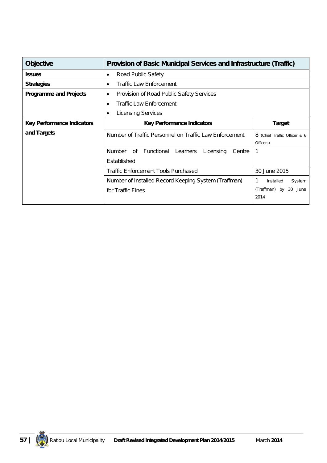| <b>Objective</b>                  | <b>Provision of Basic Municipal Services and Infrastructure (Traffic)</b> |                                           |  |  |  |
|-----------------------------------|---------------------------------------------------------------------------|-------------------------------------------|--|--|--|
| <b>Issues</b>                     | Road Public Safety<br>٠                                                   |                                           |  |  |  |
| <b>Strategies</b>                 | <b>Traffic Law Enforcement</b><br>$\bullet$                               |                                           |  |  |  |
| <b>Programme and Projects</b>     | Provision of Road Public Safety Services<br>$\bullet$                     |                                           |  |  |  |
|                                   | <b>Traffic Law Enforcement</b><br>٠                                       |                                           |  |  |  |
|                                   | <b>Licensing Services</b><br>٠                                            |                                           |  |  |  |
| <b>Key Performance Indicators</b> | <b>Key Performance Indicators</b>                                         | <b>Target</b>                             |  |  |  |
| and Targets                       | Number of Traffic Personnel on Traffic Law Enforcement                    | 8 (Chief Traffic Officer & 6<br>Officers) |  |  |  |
|                                   | Number of<br>Functional Learners<br>Licensing<br>Centre<br>Established    | 1                                         |  |  |  |
|                                   | <b>Traffic Enforcement Tools Purchased</b><br>30 June 2015                |                                           |  |  |  |
|                                   | Number of Installed Record Keeping System (Traffman)                      | 1<br>Installed<br>System                  |  |  |  |
|                                   | for Traffic Fines                                                         | (Traffman) by<br>30<br>June<br>2014       |  |  |  |

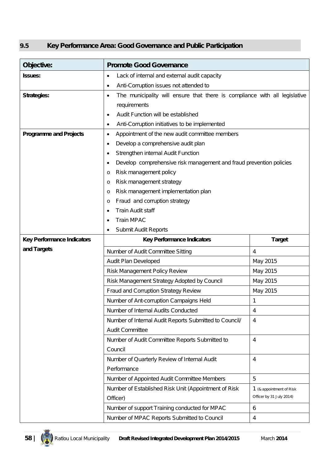### **9.5 Key Performance Area: Good Governance and Public Participation**

| Objective:                        | <b>Promote Good Governance</b>                                                  |                          |  |  |  |  |
|-----------------------------------|---------------------------------------------------------------------------------|--------------------------|--|--|--|--|
| Issues:                           | Lack of internal and external audit capacity<br>٠                               |                          |  |  |  |  |
|                                   | Anti-Corruption issues not attended to<br>٠                                     |                          |  |  |  |  |
| <b>Strategies:</b>                | The municipality will ensure that there is compliance with all legislative<br>٠ |                          |  |  |  |  |
|                                   | requirements                                                                    |                          |  |  |  |  |
|                                   | Audit Function will be established<br>٠                                         |                          |  |  |  |  |
|                                   | Anti-Corruption initiatives to be implemented<br>٠                              |                          |  |  |  |  |
| <b>Programme and Projects</b>     | Appointment of the new audit committee members<br>٠                             |                          |  |  |  |  |
|                                   | Develop a comprehensive audit plan<br>٠                                         |                          |  |  |  |  |
|                                   | Strengthen internal Audit Function                                              |                          |  |  |  |  |
|                                   | Develop comprehensive risk management and fraud prevention policies             |                          |  |  |  |  |
|                                   | Risk management policy<br>O                                                     |                          |  |  |  |  |
|                                   | Risk management strategy<br>O                                                   |                          |  |  |  |  |
|                                   | Risk management implementation plan<br>O                                        |                          |  |  |  |  |
|                                   | Fraud and corruption strategy<br>O                                              |                          |  |  |  |  |
|                                   | <b>Train Audit staff</b>                                                        |                          |  |  |  |  |
|                                   | <b>Train MPAC</b>                                                               |                          |  |  |  |  |
|                                   | Submit Audit Reports                                                            |                          |  |  |  |  |
| <b>Key Performance Indicators</b> | <b>Target</b><br><b>Key Performance Indicators</b>                              |                          |  |  |  |  |
| and Targets                       | Number of Audit Committee Sitting                                               | 4                        |  |  |  |  |
|                                   | Audit Plan Developed                                                            | May 2015                 |  |  |  |  |
|                                   | Risk Management Policy Review                                                   | May 2015                 |  |  |  |  |
|                                   | Risk Management Strategy Adopted by Council                                     | May 2015                 |  |  |  |  |
|                                   | Fraud and Corruption Strategy Review                                            | May 2015                 |  |  |  |  |
|                                   | Number of Ant-corruption Campaigns Held                                         | $\mathbf{1}$             |  |  |  |  |
|                                   | Number of Internal Audits Conducted                                             | 4                        |  |  |  |  |
|                                   | Number of Internal Audit Reports Submitted to Council/                          | $\overline{4}$           |  |  |  |  |
|                                   | <b>Audit Committee</b>                                                          |                          |  |  |  |  |
|                                   | Number of Audit Committee Reports Submitted to                                  | 4                        |  |  |  |  |
|                                   | Council                                                                         |                          |  |  |  |  |
|                                   | Number of Quarterly Review of Internal Audit                                    | 4                        |  |  |  |  |
|                                   | Performance                                                                     |                          |  |  |  |  |
|                                   | Number of Appointed Audit Committee Members                                     | 5                        |  |  |  |  |
|                                   | Number of Established Risk Unit (Appointment of Risk                            | 1 (& appointment of Risk |  |  |  |  |
|                                   | Officer)                                                                        | Officer by 31 July 2014) |  |  |  |  |
|                                   | Number of support Training conducted for MPAC                                   | 6                        |  |  |  |  |
|                                   | Number of MPAC Reports Submitted to Council                                     | 4                        |  |  |  |  |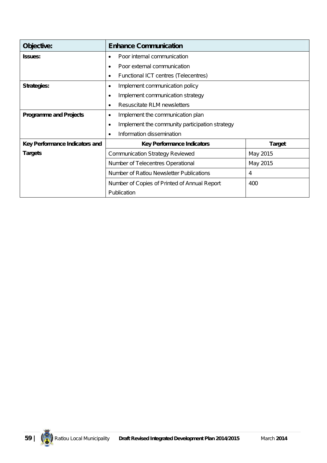| Objective:                     | <b>Enhance Communication</b>                                |               |  |  |
|--------------------------------|-------------------------------------------------------------|---------------|--|--|
| <b>Issues:</b>                 | Poor internal communication<br>$\bullet$                    |               |  |  |
|                                | Poor external communication<br>$\bullet$                    |               |  |  |
|                                | Functional ICT centres (Telecentres)<br>٠                   |               |  |  |
| <b>Strategies:</b>             | Implement communication policy<br>$\bullet$                 |               |  |  |
|                                | Implement communication strategy<br>٠                       |               |  |  |
|                                | Resuscitate RLM newsletters<br>$\bullet$                    |               |  |  |
| <b>Programme and Projects</b>  | Implement the communication plan<br>٠                       |               |  |  |
|                                | Implement the community participation strategy<br>$\bullet$ |               |  |  |
|                                | Information dissemination<br>$\bullet$                      |               |  |  |
| Key Performance Indicators and | <b>Key Performance Indicators</b>                           | <b>Target</b> |  |  |
| <b>Targets</b>                 | <b>Communication Strategy Reviewed</b><br>May 2015          |               |  |  |
|                                | May 2015<br>Number of Telecentres Operational               |               |  |  |
|                                | Number of Ratlou Newsletter Publications                    | 4             |  |  |
|                                | Number of Copies of Printed of Annual Report                | 400           |  |  |
|                                | Publication                                                 |               |  |  |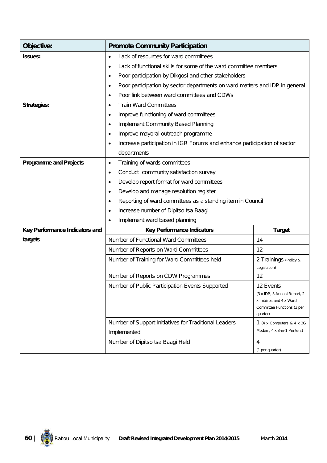| Objective:                     | <b>Promote Community Participation</b>                                                   |                                                                  |  |  |  |  |
|--------------------------------|------------------------------------------------------------------------------------------|------------------------------------------------------------------|--|--|--|--|
| <b>Issues:</b>                 | Lack of resources for ward committees<br>$\bullet$                                       |                                                                  |  |  |  |  |
|                                | $\bullet$                                                                                | Lack of functional skills for some of the ward committee members |  |  |  |  |
|                                | Poor participation by Dikgosi and other stakeholders<br>٠                                |                                                                  |  |  |  |  |
|                                | Poor participation by sector departments on ward matters and IDP in general<br>$\bullet$ |                                                                  |  |  |  |  |
|                                | Poor link between ward committees and CDWs<br>٠                                          |                                                                  |  |  |  |  |
| <b>Strategies:</b>             | <b>Train Ward Committees</b><br>٠                                                        |                                                                  |  |  |  |  |
|                                | Improve functioning of ward committees<br>٠                                              |                                                                  |  |  |  |  |
|                                | <b>Implement Community Based Planning</b><br>٠                                           |                                                                  |  |  |  |  |
|                                | Improve mayoral outreach programme<br>٠                                                  |                                                                  |  |  |  |  |
|                                | Increase participation in IGR Forums and enhance participation of sector<br>٠            |                                                                  |  |  |  |  |
|                                | departments                                                                              |                                                                  |  |  |  |  |
| <b>Programme and Projects</b>  | Training of wards committees<br>٠                                                        |                                                                  |  |  |  |  |
|                                | Conduct community satisfaction survey<br>$\bullet$                                       |                                                                  |  |  |  |  |
|                                | Develop report format for ward committees<br>$\bullet$                                   |                                                                  |  |  |  |  |
|                                | Develop and manage resolution register                                                   |                                                                  |  |  |  |  |
|                                | ٠                                                                                        | Reporting of ward committees as a standing item in Council       |  |  |  |  |
|                                | Increase number of Dipitso tsa Baagi<br>٠                                                |                                                                  |  |  |  |  |
|                                | Implement ward based planning<br>$\bullet$                                               |                                                                  |  |  |  |  |
| Key Performance Indicators and | <b>Key Performance Indicators</b>                                                        | <b>Target</b>                                                    |  |  |  |  |
| targets                        | Number of Functional Ward Committees                                                     | 14                                                               |  |  |  |  |
|                                | Number of Reports on Ward Committees                                                     | 12                                                               |  |  |  |  |
|                                | Number of Training for Ward Committees held                                              | 2 Trainings (Policy &                                            |  |  |  |  |
|                                |                                                                                          | Legislation)                                                     |  |  |  |  |
|                                | Number of Reports on CDW Programmes                                                      | 12                                                               |  |  |  |  |
|                                | Number of Public Participation Events Supported                                          | 12 Events                                                        |  |  |  |  |
|                                |                                                                                          | (3 x IDP, 3 Annual Report, 2<br>x Imbizos and 4 x Ward           |  |  |  |  |
|                                |                                                                                          | Committee Functions (3 per<br>quarter)                           |  |  |  |  |
|                                | Number of Support Initiatives for Traditional Leaders                                    | 1 (4 x Computers & 4 x 3G                                        |  |  |  |  |
|                                | Implemented                                                                              | Modem, 4 x 3-in-1 Printers)                                      |  |  |  |  |
|                                | Number of Dipitso tsa Baagi Held                                                         | 4<br>(1 per quarter)                                             |  |  |  |  |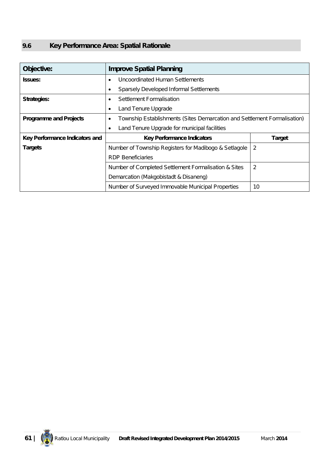## **9.6 Key Performance Area: Spatial Rationale**

| Objective:                     | <b>Improve Spatial Planning</b>                                               |               |  |
|--------------------------------|-------------------------------------------------------------------------------|---------------|--|
| <b>Issues:</b>                 | Uncoordinated Human Settlements<br>٠                                          |               |  |
|                                | Sparsely Developed Informal Settlements<br>٠                                  |               |  |
| <b>Strategies:</b>             | Settlement Formalisation<br>٠                                                 |               |  |
|                                | Land Tenure Upgrade<br>٠                                                      |               |  |
| <b>Programme and Projects</b>  | Township Establishments (Sites Demarcation and Settlement Formalisation)<br>٠ |               |  |
|                                | Land Tenure Upgrade for municipal facilities<br>$\bullet$                     |               |  |
| Key Performance Indicators and | <b>Key Performance Indicators</b>                                             | <b>Target</b> |  |
| <b>Targets</b>                 | Number of Township Registers for Madibogo & Setlagole                         | 2             |  |
|                                | <b>RDP Beneficiaries</b>                                                      |               |  |
|                                | Number of Completed Settlement Formalisation & Sites                          | 2             |  |
|                                | Demarcation (Makgobistadt & Disaneng)                                         |               |  |
|                                | Number of Surveyed Immovable Municipal Properties                             | 10            |  |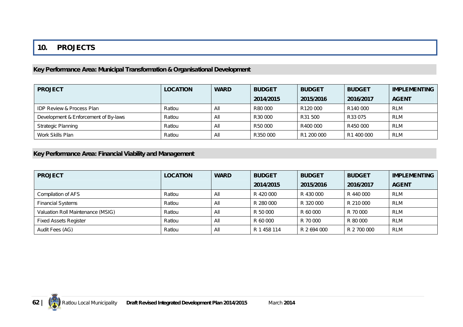### **10. PROJECTS**

#### **Key Performance Area: Municipal Transformation & Organisational Development**

| <b>PROJECT</b>                       | <b>LOCATION</b> | <b>WARD</b> | <b>BUDGET</b>       | <b>BUDGET</b> | <b>BUDGET</b> | <b>IMPLEMENTING</b> |
|--------------------------------------|-----------------|-------------|---------------------|---------------|---------------|---------------------|
|                                      |                 |             | 2014/2015           | 2015/2016     | 2016/2017     | <b>AGENT</b>        |
| <b>IDP Review &amp; Process Plan</b> | Ratlou          | All         | R80 000             | R120 000      | R140 000      | <b>RLM</b>          |
| Development & Enforcement of By-laws | Ratlou          | All         | R <sub>30</sub> 000 | R31 500       | R33 075       | <b>RLM</b>          |
| <b>Strategic Planning</b>            | Ratlou          | Αll         | R50 000             | R400 000      | R450 000      | <b>RLM</b>          |
| Work Skills Plan                     | Ratlou          | Αll         | R350 000            | R1 200 000    | R1 400 000    | <b>RLM</b>          |

### **Key Performance Area: Financial Viability and Management**

| <b>PROJECT</b>                    | <b>LOCATION</b> | <b>WARD</b> | <b>BUDGET</b> | <b>BUDGET</b> | <b>BUDGET</b> | <b>IMPLEMENTING</b> |
|-----------------------------------|-----------------|-------------|---------------|---------------|---------------|---------------------|
|                                   |                 |             | 2014/2015     | 2015/2016     | 2016/2017     | <b>AGENT</b>        |
| Compilation of AFS                | Ratlou          | All         | R 420 000     | R 430 000     | R 440 000     | <b>RLM</b>          |
| <b>Financial Systems</b>          | Ratlou          | All         | R 280 000     | R 320 000     | R 210 000     | <b>RLM</b>          |
| Valuation Roll Maintenance (MSIG) | Ratlou          | All         | R 50 000      | R 60 000      | R 70 000      | <b>RLM</b>          |
| <b>Fixed Assets Register</b>      | Ratlou          | All         | R 60 000      | R 70 000      | R 80 000      | <b>RLM</b>          |
| Audit Fees (AG)                   | Ratlou          | All         | R 1 458 114   | R 2 694 000   | R 2 700 000   | <b>RLM</b>          |

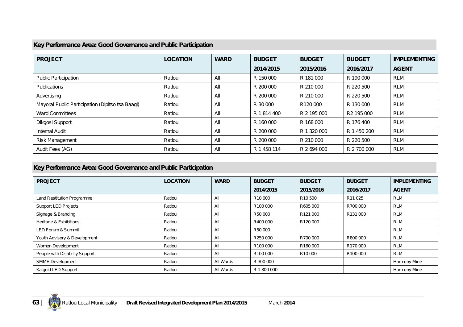#### **Key Performance Area: Good Governance and Public Participation**

| <b>PROJECT</b>                                   | <b>LOCATION</b> | <b>WARD</b> | <b>BUDGET</b> | <b>BUDGET</b> | <b>BUDGET</b>          | <b>IMPLEMENTING</b> |
|--------------------------------------------------|-----------------|-------------|---------------|---------------|------------------------|---------------------|
|                                                  |                 |             | 2014/2015     | 2015/2016     | 2016/2017              | <b>AGENT</b>        |
| <b>Public Participation</b>                      | Ratlou          | All         | R 150 000     | R 181 000     | R 190 000              | <b>RLM</b>          |
| <b>Publications</b>                              | Ratlou          | All         | R 200 000     | R 210 000     | R 220 500              | <b>RLM</b>          |
| Advertising                                      | Ratlou          | All         | R 200 000     | R 210 000     | R 220 500              | <b>RLM</b>          |
| Mayoral Public Participation (Dipitso tsa Baagi) | Ratlou          | All         | R 30 000      | R120 000      | R 130 000              | <b>RLM</b>          |
| <b>Ward Committees</b>                           | Ratlou          | All         | R 1 814 400   | R 2 195 000   | R <sub>2</sub> 195 000 | <b>RLM</b>          |
| Dikgosi Support                                  | Ratlou          | All         | R 160 000     | R 168 000     | R 176 400              | <b>RLM</b>          |
| <b>Internal Audit</b>                            | Ratlou          | All         | R 200 000     | R 1 320 000   | R 1 450 200            | <b>RLM</b>          |
| <b>Risk Management</b>                           | Ratlou          | All         | R 200 000     | R 210 000     | R 220 500              | <b>RLM</b>          |
| Audit Fees (AG)                                  | Ratlou          | All         | R 1 458 114   | R 2 694 000   | R 2 700 000            | <b>RLM</b>          |

#### **Key Performance Area: Good Governance and Public Participation**

| <b>PROJECT</b>                 | <b>LOCATION</b> | <b>WARD</b> | <b>BUDGET</b>       | <b>BUDGET</b>       | <b>BUDGET</b>        | <b>IMPLEMENTING</b> |
|--------------------------------|-----------------|-------------|---------------------|---------------------|----------------------|---------------------|
|                                |                 |             | 2014/2015           | 2015/2016           | 2016/2017            | <b>AGENT</b>        |
| Land Restitution Programme     | Ratlou          | All         | R <sub>10</sub> 000 | R <sub>10</sub> 500 | R11025               | <b>RLM</b>          |
| Support LED Projects           | Ratlou          | All         | R100000             | R605 000            | R700 000             | <b>RLM</b>          |
| Signage & Branding             | Ratlou          | All         | R50 000             | R121 000            | R131000              | RLM                 |
| Heritage & Exhibitions         | Ratlou          | All         | R400 000            | R120000             |                      | <b>RLM</b>          |
| LED Forum & Summit             | Ratlou          | All         | R50 000             |                     |                      | <b>RLM</b>          |
| Youth Advisory & Development   | Ratlou          | All         | R250000             | R700 000            | R800 000             | <b>RLM</b>          |
| Women Development              | Ratlou          | All         | R100000             | R160000             | R170000              | <b>RLM</b>          |
| People with Disability Support | Ratlou          | All         | R100000             | R <sub>10</sub> 000 | R <sub>100</sub> 000 | <b>RLM</b>          |
| <b>SMME</b> Development        | Ratlou          | All Wards   | R 300 000           |                     |                      | Harmony Mine        |
| Kalgold LED Support            | Ratlou          | All Wards   | R 1 800 000         |                     |                      | Harmony Mine        |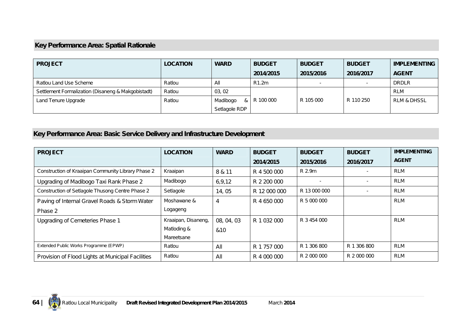## **Key Performance Area: Spatial Rationale**

| <b>PROJECT</b>                                     | <b>LOCATION</b> | <b>WARD</b>     | <b>BUDGET</b> | <b>BUDGET</b> | <b>BUDGET</b>            | <b>IMPLEMENTING</b>    |
|----------------------------------------------------|-----------------|-----------------|---------------|---------------|--------------------------|------------------------|
|                                                    |                 |                 | 2014/2015     | 2015/2016     | 2016/2017                | <b>AGENT</b>           |
| Ratlou Land Use Scheme                             | Ratlou          | All             | R1.2m         |               | $\overline{\phantom{a}}$ | <b>DRDLR</b>           |
| Settlement Formalization (Disaneng & Makgobistadt) | Ratlou          | 03, 02          |               |               |                          | <b>RLM</b>             |
| Land Tenure Upgrade                                | Ratlou          | Madibogo<br>& ' | R 100 000     | R 105 000     | R 110 250                | <b>RLM &amp; DHSSL</b> |
|                                                    |                 | Setlagole RDP   |               |               |                          |                        |

# **Key Performance Area: Basic Service Delivery and Infrastructure Development**

| <b>PROJECT</b>                                     | <b>LOCATION</b>     | <b>WARD</b> | <b>BUDGET</b> | <b>BUDGET</b>            | <b>BUDGET</b> | <b>IMPLEMENTING</b> |
|----------------------------------------------------|---------------------|-------------|---------------|--------------------------|---------------|---------------------|
|                                                    |                     |             | 2014/2015     | 2015/2016                | 2016/2017     | <b>AGENT</b>        |
| Construction of Kraaipan Community Library Phase 2 | Kraaipan            | 8 & 11      | R 4 500 000   | R 2.9m                   |               | RLM                 |
| Upgrading of Madibogo Taxi Rank Phase 2            | Madibogo            | 6,9,12      | R 2 200 000   | $\overline{\phantom{a}}$ |               | RLM                 |
| Construction of Setlagole Thusong Centre Phase 2   | Setlagole           | 14,05       | R 12 000 000  | R 13 000 000             |               | <b>RLM</b>          |
| Paving of Internal Gravel Roads & Storm Water      | Moshawane &         | 4           | R 4 650 000   | R 5 000 000              |               | <b>RLM</b>          |
| Phase 2                                            | Logageng            |             |               |                          |               |                     |
| Upgrading of Cemeteries Phase 1                    | Kraaipan, Disaneng, | 08, 04, 03  | R 1 032 000   | R 3 454 000              |               | <b>RLM</b>          |
|                                                    | Matloding &         | &10         |               |                          |               |                     |
|                                                    | Mareetsane          |             |               |                          |               |                     |
| Extended Public Works Programme (EPWP)             | Ratlou              | All         | R 1 757 000   | R 1 306 800              | R 1 306 800   | RLM                 |
| Provision of Flood Lights at Municipal Facilities  | Ratlou              | All         | R 4 000 000   | R 2 000 000              | R 2 000 000   | <b>RLM</b>          |

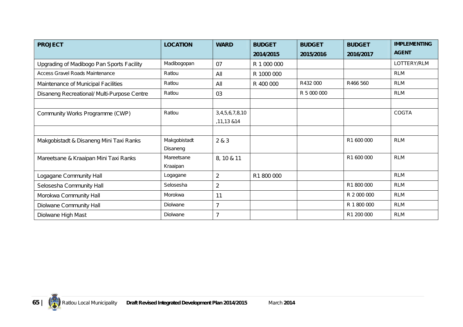| <b>PROJECT</b>                              | <b>LOCATION</b> | <b>WARD</b>    | <b>BUDGET</b> | <b>BUDGET</b> | <b>BUDGET</b> | <b>IMPLEMENTING</b> |
|---------------------------------------------|-----------------|----------------|---------------|---------------|---------------|---------------------|
|                                             |                 |                | 2014/2015     | 2015/2016     | 2016/2017     | <b>AGENT</b>        |
| Upgrading of Madibogo Pan Sports Facility   | Madibogopan     | 07             | R 1 000 000   |               |               | LOTTERY/RLM         |
| <b>Access Gravel Roads Maintenance</b>      | Ratlou          | All            | R 1000 000    |               |               | <b>RLM</b>          |
| Maintenance of Municipal Facilities         | Ratlou          | All            | R 400 000     | R432 000      | R466 560      | <b>RLM</b>          |
| Disaneng Recreational/ Multi-Purpose Centre | Ratlou          | 03             |               | R 5 000 000   |               | <b>RLM</b>          |
|                                             |                 |                |               |               |               |                     |
| Community Works Programme (CWP)             | Ratlou          | 3,4,5,6,7,8,10 |               |               |               | <b>COGTA</b>        |
|                                             |                 | ,11,13 & 14    |               |               |               |                     |
|                                             |                 |                |               |               |               |                     |
| Makgobistadt & Disaneng Mini Taxi Ranks     | Makgobistadt    | 2 & 3          |               |               | R1 600 000    | <b>RLM</b>          |
|                                             | Disaneng        |                |               |               |               |                     |
| Mareetsane & Kraaipan Mini Taxi Ranks       | Mareetsane      | 8, 10 & 11     |               |               | R1 600 000    | <b>RLM</b>          |
|                                             | Kraaipan        |                |               |               |               |                     |
| Logagane Community Hall                     | Logagane        | $\overline{a}$ | R1 800 000    |               |               | <b>RLM</b>          |
| Selosesha Community Hall                    | Selosesha       | $\overline{2}$ |               |               | R1 800 000    | <b>RLM</b>          |
| Morokwa Community Hall                      | Morokwa         | 11             |               |               | R 2 000 000   | <b>RLM</b>          |
| Diolwane Community Hall                     | Diolwane        | $\overline{7}$ |               |               | R 1 800 000   | <b>RLM</b>          |
| Diolwane High Mast                          | Diolwane        | $\overline{7}$ |               |               | R1 200 000    | <b>RLM</b>          |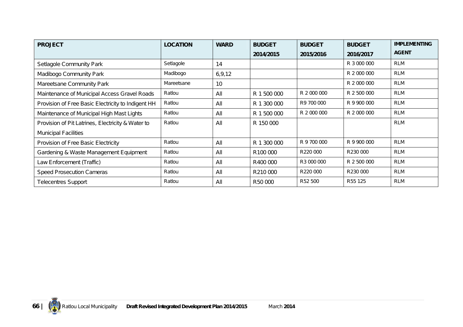| <b>PROJECT</b>                                     | <b>LOCATION</b> | <b>WARD</b> | <b>BUDGET</b>        | <b>BUDGET</b> | <b>BUDGET</b> | <b>IMPLEMENTING</b> |
|----------------------------------------------------|-----------------|-------------|----------------------|---------------|---------------|---------------------|
|                                                    |                 |             | 2014/2015            | 2015/2016     | 2016/2017     | <b>AGENT</b>        |
| Setlagole Community Park                           | Setlagole       | 14          |                      |               | R 3 000 000   | RLM                 |
| Madibogo Community Park                            | Madibogo        | 6, 9, 12    |                      |               | R 2 000 000   | <b>RLM</b>          |
| Mareetsane Community Park                          | Mareetsane      | 10          |                      |               | R 2 000 000   | <b>RLM</b>          |
| Maintenance of Municipal Access Gravel Roads       | Ratlou          | All         | R 1 500 000          | R 2 000 000   | R 2 500 000   | <b>RLM</b>          |
| Provision of Free Basic Electricity to Indigent HH | Ratlou          | All         | R 1 300 000          | R9 700 000    | R 9 900 000   | <b>RLM</b>          |
| Maintenance of Municipal High Mast Lights          | Ratlou          | All         | R 1 500 000          | R 2 000 000   | R 2 000 000   | RLM                 |
| Provision of Pit Latrines, Electricity & Water to  | Ratlou          | All         | R 150 000            |               |               | RLM                 |
| <b>Municipal Facilities</b>                        |                 |             |                      |               |               |                     |
| Provision of Free Basic Electricity                | Ratlou          | All         | R 1 300 000          | R 9 700 000   | R 9 900 000   | <b>RLM</b>          |
| Gardening & Waste Management Equipment             | Ratlou          | All         | R <sub>100</sub> 000 | R220 000      | R230 000      | RLM                 |
| Law Enforcement (Traffic)                          | Ratlou          | All         | R400 000             | R3 000 000    | R 2 500 000   | RLM                 |
| <b>Speed Prosecution Cameras</b>                   | Ratlou          | All         | R <sub>210</sub> 000 | R220 000      | R230 000      | <b>RLM</b>          |
| <b>Telecentres Support</b>                         | Ratlou          | All         | R50 000              | R52 500       | R55 125       | RLM                 |

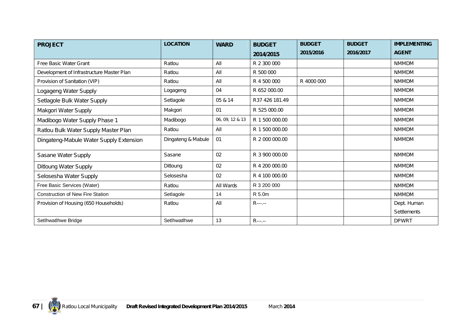| <b>PROJECT</b>                            | <b>LOCATION</b>    | <b>WARD</b>     | <b>BUDGET</b>  | <b>BUDGET</b> | <b>BUDGET</b> | <b>IMPLEMENTING</b> |
|-------------------------------------------|--------------------|-----------------|----------------|---------------|---------------|---------------------|
|                                           |                    |                 | 2014/2015      | 2015/2016     | 2016/2017     | <b>AGENT</b>        |
| Free Basic Water Grant                    | Ratlou             | All             | R 2 300 000    |               |               | <b>NMMDM</b>        |
| Development of Infrastructure Master Plan | Ratlou             | All             | R 500 000      |               |               | <b>NMMDM</b>        |
| Provision of Sanitation (VIP)             | Ratlou             | All             | R 4 500 000    | R 4000 000    |               | <b>NMMDM</b>        |
| Logageng Water Supply                     | Logageng           | 04              | R 652 000.00   |               |               | <b>NMMDM</b>        |
| Setlagole Bulk Water Supply               | Setlagole          | 05 & 14         | R37 426 181.49 |               |               | <b>NMMDM</b>        |
| Makgori Water Supply                      | Makgori            | 01              | R 525 000.00   |               |               | <b>NMMDM</b>        |
| Madibogo Water Supply Phase 1             | Madibogo           | 06, 09, 12 & 13 | R 1 500 000.00 |               |               | <b>NMMDM</b>        |
| Ratlou Bulk Water Supply Master Plan      | Ratlou             | All             | R 1 500 000.00 |               |               | <b>NMMDM</b>        |
| Dingateng-Mabule Water Supply Extension   | Dingateng & Mabule | 01              | R 2 000 000.00 |               |               | <b>NMMDM</b>        |
| Sasane Water Supply                       | Sasane             | 02              | R 3 900 000.00 |               |               | <b>NMMDM</b>        |
| Ditloung Water Supply                     | Ditloung           | 02              | R 4 200 000.00 |               |               | <b>NMMDM</b>        |
| Selosesha Water Supply                    | Selosesha          | 02              | R 4 100 000.00 |               |               | <b>NMMDM</b>        |
| Free Basic Services (Water)               | Ratlou             | All Wards       | R 3 200 000    |               |               | <b>NMMDM</b>        |
| <b>Construction of New Fire Station</b>   | Setlagole          | 14              | R 5.0m         |               |               | <b>NMMDM</b>        |
| Provision of Housing (650 Households)     | Ratlou             | All             | $R$ ---.--     |               |               | Dept. Human         |
|                                           |                    |                 |                |               |               | <b>Settlements</b>  |
| SetIhwatIhwe Bridge                       | SetIhwatIhwe       | 13              | $R$ ---.--     |               |               | <b>DPWRT</b>        |

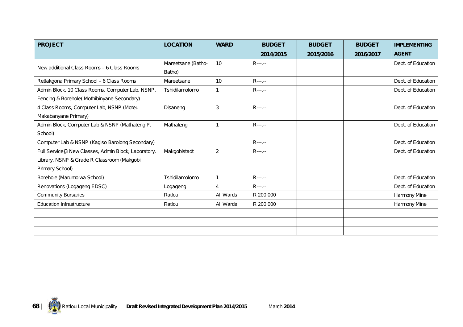| <b>PROJECT</b>                                                                                                        | <b>LOCATION</b>              | <b>WARD</b>    | <b>BUDGET</b> | <b>BUDGET</b> | <b>BUDGET</b> | <b>IMPLEMENTING</b> |
|-----------------------------------------------------------------------------------------------------------------------|------------------------------|----------------|---------------|---------------|---------------|---------------------|
|                                                                                                                       |                              |                | 2014/2015     | 2015/2016     | 2016/2017     | <b>AGENT</b>        |
| New additional Class Rooms - 6 Class Rooms                                                                            | Mareetsane (Batho-<br>Batho) | 10             | $R$ ---.--    |               |               | Dept. of Education  |
| Retlakgona Primary School - 6 Class Rooms                                                                             | Mareetsane                   | 10             | $R$ ---.--    |               |               | Dept. of Education  |
| Admin Block, 10 Class Rooms, Computer Lab, NSNP,<br>Fencing & Borehole(Mothibinyane Secondary)                        | Tshidilamolomo               |                | $R$ ---.--    |               |               | Dept. of Education  |
| 4 Class Rooms, Computer Lab, NSNP (Moteu<br>Makabanyane Primary)                                                      | Disaneng                     | 3              | $R$ ---.--    |               |               | Dept. of Education  |
| Admin Block, Computer Lab & NSNP (Mathateng P.<br>School)                                                             | Mathateng                    |                | $R$ ---.--    |               |               | Dept. of Education  |
| Computer Lab & NSNP (Kagiso Barolong Secondary)                                                                       |                              |                | $R$ ---.--    |               |               | Dept. of Education  |
| Full Service{3 New Classes, Admin Block, Laboratory,<br>Library, NSNP & Grade R Classroom (Makgobi<br>Primary School) | Makgobistadt                 | 2              | $R$ ---.--    |               |               | Dept. of Education  |
| Borehole (Marumolwa School)                                                                                           | Tshidilamolomo               | $\mathbf{1}$   | $R$ ---.--    |               |               | Dept. of Education  |
| Renovations (Logageng EDSC)                                                                                           | Logageng                     | $\overline{4}$ | $R$ ---.--    |               |               | Dept. of Education  |
| <b>Community Bursaries</b>                                                                                            | Ratlou                       | All Wards      | R 200 000     |               |               | Harmony Mine        |
| <b>Education Infrastructure</b>                                                                                       | Ratlou                       | All Wards      | R 200 000     |               |               | Harmony Mine        |
|                                                                                                                       |                              |                |               |               |               |                     |
|                                                                                                                       |                              |                |               |               |               |                     |
|                                                                                                                       |                              |                |               |               |               |                     |

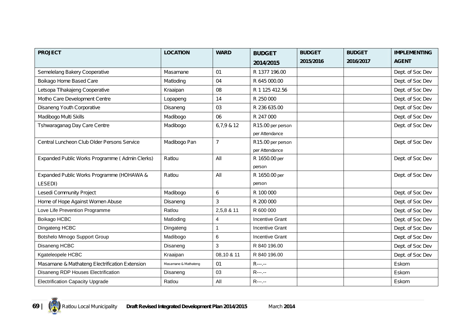| <b>PROJECT</b>                                 | <b>LOCATION</b>      | <b>WARD</b>    | <b>BUDGET</b>                       | <b>BUDGET</b> | <b>BUDGET</b> | <b>IMPLEMENTING</b> |
|------------------------------------------------|----------------------|----------------|-------------------------------------|---------------|---------------|---------------------|
|                                                |                      |                | 2014/2015                           | 2015/2016     | 2016/2017     | <b>AGENT</b>        |
| Semelelang Bakery Cooperative                  | Masamane             | 01             | R 1377 196.00                       |               |               | Dept. of Soc Dev    |
| Boikago Home Based Care                        | Matloding            | 04             | R 645 000.00                        |               |               | Dept. of Soc Dev    |
| Letsopa Tlhakajeng Cooperative                 | Kraaipan             | 08             | R 1 125 412.56                      |               |               | Dept. of Soc Dev    |
| Motho Care Development Centre                  | Lopapeng             | 14             | R 250 000                           |               |               | Dept. of Soc Dev    |
| Disaneng Youth Corporative                     | Disaneng             | 03             | R 236 635.00                        |               |               | Dept. of Soc Dev    |
| Madibogo Multi Skills                          | Madibogo             | 06             | R 247 000                           |               |               | Dept. of Soc Dev    |
| Tshwaraganag Day Care Centre                   | Madibogo             | 6,7,9,8,12     | R15.00 per person<br>per Attendance |               |               | Dept. of Soc Dev    |
| Central Luncheon Club Older Persons Service    | Madibogo Pan         | $\overline{7}$ | R15.00 per person<br>per Attendance |               |               | Dept. of Soc Dev    |
| Expanded Public Works Programme (Admin Clerks) | Ratlou               | All            | R 1650.00 per<br>person             |               |               | Dept. of Soc Dev    |
| Expanded Public Works Programme (HOHAWA &      | Ratlou               | All            | R 1650.00 per                       |               |               | Dept. of Soc Dev    |
| LESEDI)                                        |                      |                | person                              |               |               |                     |
| Lesedi Community Project                       | Madibogo             | 6              | R 100 000                           |               |               | Dept. of Soc Dev    |
| Home of Hope Against Women Abuse               | Disaneng             | 3              | R 200 000                           |               |               | Dept. of Soc Dev    |
| Love Life Prevention Programme                 | Ratlou               | 2,5,8 & 11     | R 600 000                           |               |               | Dept. of Soc Dev    |
| Boikago HCBC                                   | Matloding            | $\overline{4}$ | <b>Incentive Grant</b>              |               |               | Dept. of Soc Dev    |
| Dingateng HCBC                                 | Dingateng            | 1              | <b>Incentive Grant</b>              |               |               | Dept. of Soc Dev    |
| Botshelo Mmogo Support Group                   | Madibogo             | 6              | <b>Incentive Grant</b>              |               |               | Dept. of Soc Dev    |
| Disaneng HCBC                                  | Disaneng             | 3              | R 840 196.00                        |               |               | Dept. of Soc Dev    |
| Kgateleopele HCBC                              | Kraaipan             | 08,10 & 11     | R 840 196.00                        |               |               | Dept. of Soc Dev    |
| Masamane & Mathateng Electrification Extension | Masamane & Mathateng | 01             | $R$ ---.--                          |               |               | Eskom               |
| Disaneng RDP Houses Electrification            | Disaneng             | 03             | $R$ ---.--                          |               |               | Eskom               |
| <b>Electrification Capacity Upgrade</b>        | Ratlou               | All            | $R$ ---.--                          |               |               | Eskom               |

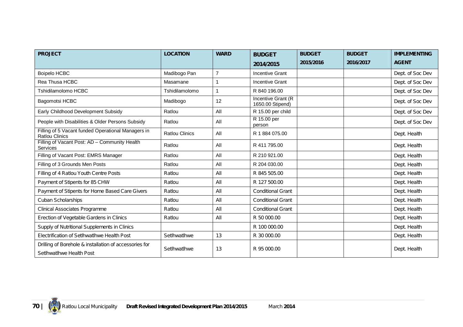| <b>PROJECT</b>                                                                     | <b>LOCATION</b>       | <b>WARD</b>    | <b>BUDGET</b>                                  | <b>BUDGET</b> | <b>BUDGET</b> | <b>IMPLEMENTING</b> |
|------------------------------------------------------------------------------------|-----------------------|----------------|------------------------------------------------|---------------|---------------|---------------------|
|                                                                                    |                       |                | 2014/2015                                      | 2015/2016     | 2016/2017     | <b>AGENT</b>        |
| <b>Boipelo HCBC</b>                                                                | Madibogo Pan          | $\overline{7}$ | <b>Incentive Grant</b>                         |               |               | Dept. of Soc Dev    |
| Rea Thusa HCBC                                                                     | Masamane              | 1              | <b>Incentive Grant</b>                         |               |               | Dept. of Soc Dev    |
| Tshidilamolomo HCBC                                                                | Tshidilamolomo        |                | R 840 196.00                                   |               |               | Dept. of Soc Dev    |
| Bagomotsi HCBC                                                                     | Madibogo              | 12             | <b>Incentive Grant (R)</b><br>1650.00 Stipend) |               |               | Dept. of Soc Dev    |
| Early Childhood Development Subsidy                                                | Ratlou                | All            | R 15.00 per child                              |               |               | Dept. of Soc Dev    |
| People with Disabilities & Older Persons Subsidy                                   | Ratlou                | All            | R 15.00 per<br>person                          |               |               | Dept. of Soc Dev    |
| Filling of 5 Vacant funded Operational Managers in<br><b>Ratlou Clinics</b>        | <b>Ratlou Clinics</b> | All            | R 1 884 075.00                                 |               |               | Dept. Health        |
| Filling of Vacant Post: AD - Community Health<br><b>Services</b>                   | Ratlou                | All            | R 411 795.00                                   |               |               | Dept. Health        |
| Filling of Vacant Post: EMRS Manager                                               | Ratlou                | All            | R 210 921.00                                   |               |               | Dept. Health        |
| Filling of 3 Grounds Men Posts                                                     | Ratlou                | All            | R 204 030,00                                   |               |               | Dept. Health        |
| Filling of 4 Ratlou Youth Centre Posts                                             | Ratlou                | All            | R 845 505.00                                   |               |               | Dept. Health        |
| Payment of Stipents for 85 CHW                                                     | Ratlou                | All            | R 127 500.00                                   |               |               | Dept. Health        |
| Payment of Stipents for Home Based Care Givers                                     | Ratlou                | All            | <b>Conditional Grant</b>                       |               |               | Dept. Health        |
| Cuban Scholarships                                                                 | Ratlou                | All            | <b>Conditional Grant</b>                       |               |               | Dept. Health        |
| Clinical Associates Programme                                                      | Ratlou                | All            | <b>Conditional Grant</b>                       |               |               | Dept. Health        |
| Erection of Vegetable Gardens in Clinics                                           | Ratlou                | All            | R 50 000.00                                    |               |               | Dept. Health        |
| Supply of Nutritional Supplements in Clinics                                       |                       |                | R 100 000.00                                   |               |               | Dept. Health        |
| Electrification of Setlhwatlhwe Health Post                                        | SetIhwatIhwe          | 13             | R 30 000.00                                    |               |               | Dept. Health        |
| Drilling of Borehole & installation of accessories for<br>SetIhwatIhwe Health Post | SetIhwatIhwe          | 13             | R 95 000.00                                    |               |               | Dept. Health        |

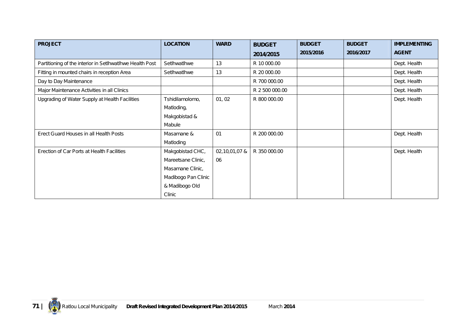| <b>PROJECT</b>                                           | <b>LOCATION</b>     | <b>WARD</b>   | <b>BUDGET</b>  | <b>BUDGET</b> | <b>BUDGET</b> | <b>IMPLEMENTING</b> |
|----------------------------------------------------------|---------------------|---------------|----------------|---------------|---------------|---------------------|
|                                                          |                     |               | 2014/2015      | 2015/2016     | 2016/2017     | <b>AGENT</b>        |
| Partitioning of the interior in Setlhwatlhwe Health Post | SetIhwatIhwe        | 13            | R 10 000.00    |               |               | Dept. Health        |
| Fitting in mounted chairs in reception Area              | SetIhwatIhwe        | 13            | R 20 000.00    |               |               | Dept. Health        |
| Day to Day Maintenance                                   |                     |               | R 700 000.00   |               |               | Dept. Health        |
| Major Maintenance Activities in all Clinics              |                     |               | R 2 500 000.00 |               |               | Dept. Health        |
| Upgrading of Water Supply at Health Facilities           | Tshidilamolomo,     | 01, 02        | R 800 000.00   |               |               | Dept. Health        |
|                                                          | Matloding,          |               |                |               |               |                     |
|                                                          | Makgobistad &       |               |                |               |               |                     |
|                                                          | Mabule              |               |                |               |               |                     |
| Erect Guard Houses in all Health Posts                   | Masamane &          | 01            | R 200 000.00   |               |               | Dept. Health        |
|                                                          | Matloding           |               |                |               |               |                     |
| Erection of Car Ports at Health Facilities               | Makgobistad CHC,    | 02,10,01,07 & | R 350 000.00   |               |               | Dept. Health        |
|                                                          | Mareetsane Clinic,  | 06            |                |               |               |                     |
|                                                          | Masamane Clinic,    |               |                |               |               |                     |
|                                                          | Madibogo Pan Clinic |               |                |               |               |                     |
|                                                          | & Madibogo Old      |               |                |               |               |                     |
|                                                          | Clinic              |               |                |               |               |                     |

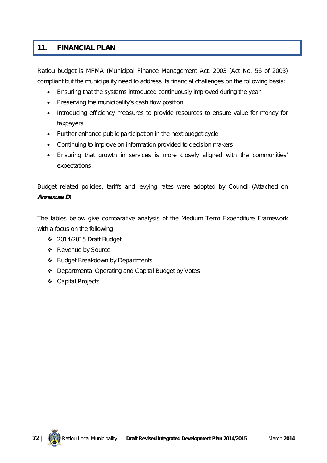### **11. FINANCIAL PLAN**

Ratlou budget is MFMA (Municipal Finance Management Act, 2003 (Act No. 56 of 2003) compliant but the municipality need to address its financial challenges on the following basis:

- Ensuring that the systems introduced continuously improved during the year
- Preserving the municipality's cash flow position
- Introducing efficiency measures to provide resources to ensure value for money for taxpayers
- Further enhance public participation in the next budget cycle
- Continuing to improve on information provided to decision makers
- Ensuring that growth in services is more closely aligned with the communities' expectations

Budget related policies, tariffs and levying rates were adopted by Council (Attached on *Annexure D*).

The tables below give comparative analysis of the Medium Term Expenditure Framework with a focus on the following:

- 2014/2015 Draft Budget
- ❖ Revenue by Source
- ❖ Budget Breakdown by Departments
- Departmental Operating and Capital Budget by Votes
- Capital Projects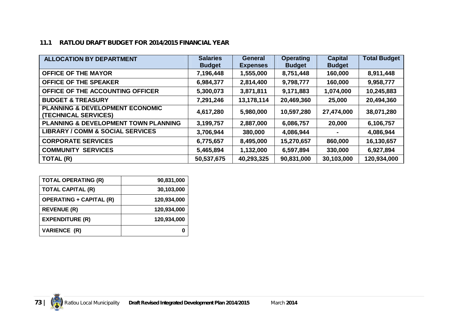### **11.1 RATLOU DRAFT BUDGET FOR 2014/2015 FINANCIAL YEAR**

| <b>ALLOCATION BY DEPARTMENT</b>                                    | <b>Salaries</b><br><b>Budget</b> | <b>General</b><br><b>Expenses</b> | <b>Operating</b><br><b>Budget</b> | <b>Capital</b><br><b>Budget</b> | <b>Total Budget</b> |
|--------------------------------------------------------------------|----------------------------------|-----------------------------------|-----------------------------------|---------------------------------|---------------------|
| <b>OFFICE OF THE MAYOR</b>                                         | 7,196,448                        | 1,555,000                         | 8,751,448                         | 160,000                         | 8,911,448           |
| <b>OFFICE OF THE SPEAKER</b>                                       | 6,984,377                        | 2,814,400                         | 9,798,777                         | 160,000                         | 9,958,777           |
| OFFICE OF THE ACCOUNTING OFFICER                                   | 5,300,073                        | 3,871,811                         | 9,171,883                         | 1,074,000                       | 10,245,883          |
| <b>BUDGET &amp; TREASURY</b>                                       | 7,291,246                        | 13,178,114                        | 20,469,360                        | 25,000                          | 20,494,360          |
| <b>PLANNING &amp; DEVELOPMENT ECONOMIC</b><br>(TECHNICAL SERVICES) | 4,617,280                        | 5,980,000                         | 10,597,280                        | 27,474,000                      | 38,071,280          |
| <b>PLANNING &amp; DEVELOPMENT TOWN PLANNING</b>                    | 3,199,757                        | 2,887,000                         | 6,086,757                         | 20,000                          | 6,106,757           |
| <b>LIBRARY / COMM &amp; SOCIAL SERVICES</b>                        | 3,706,944                        | 380,000                           | 4,086,944                         |                                 | 4,086,944           |
| <b>CORPORATE SERVICES</b>                                          | 6,775,657                        | 8,495,000                         | 15,270,657                        | 860,000                         | 16,130,657          |
| <b>COMMUNITY</b><br><b>SERVICES</b>                                | 5,465,894                        | 1,132,000                         | 6,597,894                         | 330,000                         | 6,927,894           |
| TOTAL (R)                                                          | 50,537,675                       | 40,293,325                        | 90,831,000                        | 30,103,000                      | 120,934,000         |

| <b>TOTAL OPERATING (R)</b>     | 90,831,000  |
|--------------------------------|-------------|
| <b>TOTAL CAPITAL (R)</b>       | 30,103,000  |
| <b>OPERATING + CAPITAL (R)</b> | 120,934,000 |
| <b>REVENUE (R)</b>             | 120,934,000 |
| <b>EXPENDITURE (R)</b>         | 120,934,000 |
| <b>VARIENCE (R)</b>            |             |

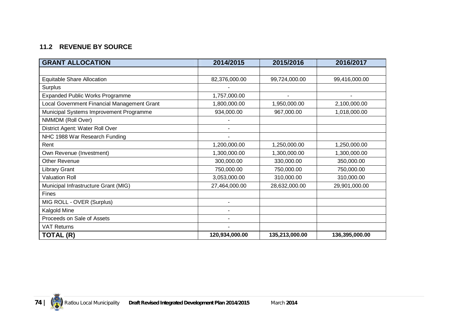## **11.2 REVENUE BY SOURCE**

| <b>GRANT ALLOCATION</b>                     | 2014/2015      | 2015/2016      | 2016/2017      |
|---------------------------------------------|----------------|----------------|----------------|
|                                             |                |                |                |
| <b>Equitable Share Allocation</b>           | 82,376,000.00  | 99,724,000.00  | 99,416,000.00  |
| Surplus                                     |                |                |                |
| <b>Expanded Public Works Programme</b>      | 1,757,000.00   |                |                |
| Local Government Financial Management Grant | 1,800,000.00   | 1,950,000.00   | 2,100,000.00   |
| Municipal Systems Improvement Programme     | 934,000.00     | 967,000.00     | 1,018,000.00   |
| NMMDM (Roll Over)                           |                |                |                |
| District Agent: Water Roll Over             |                |                |                |
| NHC 1988 War Research Funding               |                |                |                |
| Rent                                        | 1,200,000.00   | 1,250,000.00   | 1,250,000.00   |
| Own Revenue (Investment)                    | 1,300,000.00   | 1,300,000.00   | 1,300,000.00   |
| <b>Other Revenue</b>                        | 300,000.00     | 330,000.00     | 350,000.00     |
| <b>Library Grant</b>                        | 750,000.00     | 750,000.00     | 750,000.00     |
| <b>Valuation Roll</b>                       | 3,053,000.00   | 310,000.00     | 310,000.00     |
| Municipal Infrastructure Grant (MIG)        | 27,464,000.00  | 28,632,000.00  | 29,901,000.00  |
| <b>Fines</b>                                |                |                |                |
| MIG ROLL - OVER (Surplus)                   |                |                |                |
| Kalgold Mine                                |                |                |                |
| Proceeds on Sale of Assets                  |                |                |                |
| <b>VAT Returns</b>                          |                |                |                |
| TOTAL (R)                                   | 120,934,000.00 | 135,213,000.00 | 136,395,000.00 |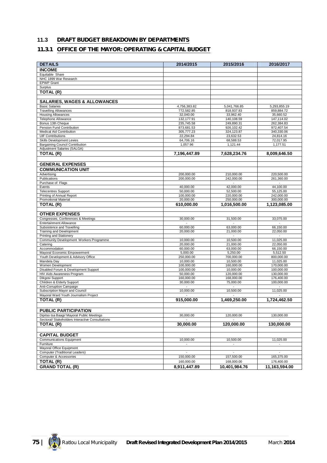## **11.3 DRAFT BUDGET BREAKDOWN BY DEPARTMENTS**

#### **11.3.1 OFFICE OF THE MAYOR: OPERATING & CAPITAL BUDGET**

| <b>DETAILS</b>                                                          | 2014/2015                | 2015/2016                    | 2016/2017                    |
|-------------------------------------------------------------------------|--------------------------|------------------------------|------------------------------|
| <b>INCOME</b>                                                           |                          |                              |                              |
| Equitable Share                                                         |                          |                              |                              |
| NHC 1899 War Research                                                   |                          |                              |                              |
| <b>EPWP</b> Grant                                                       |                          |                              |                              |
| Surplus                                                                 |                          |                              |                              |
| <b>TOTAL (R)</b>                                                        |                          |                              |                              |
|                                                                         |                          |                              |                              |
| <b>SALARIES, WAGES &amp; ALLOWANCES</b><br><b>Basic Salaries</b>        | 4,756,383.82             | 5,041,766.85                 | 5,293,855.19                 |
| <b>Travelling Allowances</b>                                            | 772,582.85               | 818,937.83                   | 859,884.72                   |
| <b>Housing Allowances</b>                                               | 32,040.00                | 33,962.40                    | 35,660.52                    |
| <b>Telephone Allowance</b>                                              | 132.177.91               | 140,108.59                   | 147,114.02                   |
| Bonus 13th Cheque                                                       | 235,745.58               | 249,890.31                   | 262,384.83                   |
| Pension Fund Contribution<br>Medical Aid Contribution                   | 873,681.53<br>305,777.23 | 926,102.42<br>324,123.87     | 972,407.54<br>340,330.06     |
| <b>UIF Contributions</b>                                                | 22,294.84                | 23,632.53                    | 24,814.16                    |
| Skills Development Levies                                               | 64,706.16                | 68,588.53                    | 72,017.95                    |
| <b>Bargaining Council Contribution</b>                                  | 1,057.96                 | 1,121.44                     | 1,177.51                     |
| Adjustment Salaries (SALGA)                                             |                          |                              |                              |
| <b>TOTAL (R)</b>                                                        | 7,196,447.89             | 7,628,234.76                 | 8,009,646.50                 |
|                                                                         |                          |                              |                              |
| <b>GENERAL EXPENSES</b>                                                 |                          |                              |                              |
| <b>COMMUNICATION UNIT</b>                                               |                          |                              |                              |
| Advertising                                                             | 200,000.00               | 210,000.00                   | 220.500.00                   |
| Publications<br>Purchase of Flags                                       | 200,000.00               | 242,000.00<br>$\blacksquare$ | 261.360.00<br>$\blacksquare$ |
| Events                                                                  | 40,000.00                | 42,000.00                    | 44,100.00                    |
| <b>Telecentres Support</b>                                              | 50,000.00                | 52,500.00                    | 55,125.00                    |
| Printing of Annual Report                                               | 100,000.00               | 220,000.00                   | 242,000.00                   |
| Promotional Material                                                    | 20,000.00                | 250,000.00                   | 300,000.00                   |
| TOTAL (R)                                                               | 610,000.00               | 1,016,500.00                 | 1,123,085.00                 |
| <b>OTHER EXPENSES</b>                                                   |                          |                              |                              |
| Congresses, Conferences & Meetings                                      | 30,000.00                | 31,500.00                    | 33,075.00                    |
| <b>Entertainment Allowance</b>                                          |                          | $\sim$                       |                              |
| Subsistence and Travelling                                              | 60.000.00                | 63,000.00                    | 66,150.00                    |
| Training and Development                                                | 20,000.00                | 21,000.00                    | 22,050.00                    |
| Printing and Stationery                                                 |                          |                              |                              |
| Community Development Workers Programme<br>Catering                     | 10,000.00<br>20,000.00   | 10,500.00<br>21,000.00       | 11,025.00<br>22,050.00       |
| Accommodation                                                           | 60,000.00                | 63,000.00                    | 66,150.00                    |
| Mayoral Economic Empowerment                                            | 5,000.00                 | 5,250.00                     | 5,512.50                     |
| Youth Development & Advisory Office                                     | 250,000.00               | 700,000.00                   | 800,000.00                   |
| Mandela Day                                                             | 10,000.00                | 10,500.00                    | 11,025.00                    |
| Women Development<br>Disabled Forum & Development Support               | 100,000.00<br>100,000.00 | 160,000.00<br>10,000.00      | 170,000.00<br>100,000.00     |
| HIV Aids Awareness Program                                              | 50,000.00                | 120,000.00                   | 130,000.00                   |
| Dikgosi Support                                                         | 160,000.00               | 168,000.00                   | 176,400.00                   |
| Children & Elderly Support                                              | 30,000.00                | 75,000.00                    | 100,000.00                   |
| Anti-Corruption Campaign                                                |                          |                              |                              |
| Subscription Mayor and Council<br>Mayoral Ward Youth Journalism Project | 10.000.00                | 10,500.00                    | 11,025.00                    |
| TOTAL (R)                                                               | 915.000.00               | 1.469.250.00                 | 1,724,462.50                 |
|                                                                         |                          |                              |                              |
| <b>PUBLIC PARTICIPATION</b>                                             |                          |                              |                              |
| Dipitso tsa Baagi/ Mayoral Public Meetings                              | 30.000.00                | 120,000,00                   | 130,000.00                   |
| Sectoral/ Stakeholders Interactive Consultations                        |                          |                              |                              |
| TOTAL (R)                                                               | 30,000.00                | 120,000.00                   | 130,000.00                   |
|                                                                         |                          |                              |                              |
| <b>CAPITAL BUDGET</b>                                                   |                          |                              |                              |
| <b>Communications Equipment</b>                                         | 10,000.00                | 10,500.00                    | 11,025.00                    |
| Furniture                                                               |                          |                              |                              |
| Mayoral Office Equipment<br>Computer (Traditional Leaders)              |                          |                              |                              |
| Computer & Accessories                                                  | 150,000.00               | 157,500.00                   | 165,375.00                   |
| TOTAL (R)                                                               | 160,000.00               | 168,000.00                   | 176,400.00                   |
| <b>GRAND TOTAL (R)</b>                                                  | 8.911.447.89             | 10.401.984.76                | 11,163,594.00                |

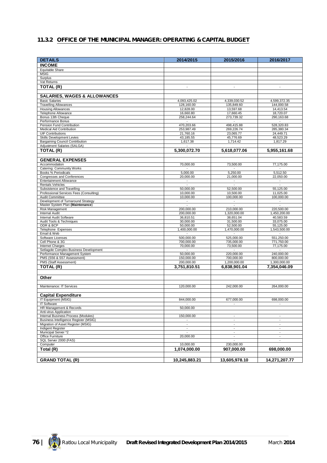## **11.3.2 OFFICE OF THE MUNICIPAL MANAGER: OPERATING & CAPITAL BUDGET**

| <b>DETAILS</b>                                               | 2014/2015                             | 2015/2016                                            | 2016/2017                                  |
|--------------------------------------------------------------|---------------------------------------|------------------------------------------------------|--------------------------------------------|
| <b>INCOME</b>                                                |                                       |                                                      |                                            |
| Equitable Share                                              |                                       |                                                      |                                            |
| <b>MSIG</b>                                                  |                                       |                                                      |                                            |
| Surplus<br>Vat Returns                                       |                                       |                                                      |                                            |
| TOTAL (R)                                                    | $\overline{\phantom{a}}$              | $\blacksquare$                                       | $\blacksquare$                             |
|                                                              |                                       |                                                      |                                            |
| <b>SALARIES, WAGES &amp; ALLOWANCES</b>                      |                                       |                                                      |                                            |
| <b>Basic Salaries</b>                                        | 4,093,425.02                          | 4,339,030.52                                         | 4,599,372.35                               |
| <b>Travelling Allowances</b>                                 | 128,160.00                            | 135,849.60                                           | 144,000.58                                 |
| <b>Housing Allowances</b><br><b>Telephone Allowance</b>      | 12,828.00<br>16,660.80                | 13,597.68                                            | 14,413.54                                  |
| Bonus 13th Cheque                                            | 258,244.64                            | 17,660.45<br>273,739.32                              | 18,720.07<br>290,163.68                    |
| Performance Bonus                                            | $\sim$                                | $\overline{\phantom{a}}$                             | $\sim$                                     |
| Pension Fund Contribution                                    | 470,203.66                            | 498,415.88                                           | 528,320.83                                 |
| Medical Aid Contribution<br><b>UIF Contributions</b>         | 253,987.49<br>21,760.16               | 269,226.74<br>23,065.77                              | 285,380.34<br>24,449.71                    |
| Skills Development Levies                                    | 43,185.55                             | 45,776.69                                            | 48,523.29                                  |
| <b>Bargaining Council Contribution</b>                       | 1,617.38                              | 1,714.42                                             | 1,817.29                                   |
| Adjustment Salaries (SALGA)                                  |                                       |                                                      |                                            |
| TOTAL (R)                                                    | 5,300,072.70                          | 5,618,077.06                                         | 5,955,161.68                               |
| <b>GENERAL EXPENSES</b>                                      |                                       |                                                      |                                            |
| Accommodation                                                | 70,000.00                             | 73,500.00                                            | 77,175.00                                  |
| Catering: Community Works                                    |                                       |                                                      |                                            |
| Books % Periodicals                                          | 5,000.00                              | 5,250.00                                             | 5,512.50                                   |
| Congresses and Conferences<br><b>Entertainment Allowance</b> | 20,000.00<br>$\sim$                   | 21,000.00<br>$\sim$                                  | 22,050.00<br>$\sim$                        |
| <b>Rentals Vehicles</b>                                      | $\mathbf{r}$                          | $\blacksquare$                                       | $\mathbb{Z}^2$                             |
| Subsistence and Travelling                                   | 50,000.00                             | 52,500.00                                            | 55,125.00                                  |
| Professional Services Fees (Consulting)                      | 10,000.00                             | 10.500.00                                            | 11,025.00                                  |
| Audit Committee<br>Development of Turnaround Strategy        | 10.000.00<br>$\overline{\phantom{a}}$ | 100,000.00<br>$\blacksquare$                         | 100,000.00<br>$\Box$                       |
| Master System Plan (Maintenance)                             | $\overline{\phantom{a}}$              | $\blacksquare$                                       |                                            |
| <b>Risk Management</b>                                       | 200,000.00                            | 210,000.00                                           | 220,500.00                                 |
| Internal Audit                                               | 200,000.00                            | 1,320,000.00                                         | 1,450,200.00                               |
| Internal Audit Software<br>Audit Tools & Techniques          | 36,810.51<br>30,000.00                | 38,651.04<br>31,500.00                               | 40,583.59<br>33,075.00                     |
| ODR & BCP                                                    | 50,000.00                             | 52,500.00                                            | 55,125.00                                  |
| Telephone Expenses                                           | 1,400,000.00                          | 1,470,000.00                                         | 1,543,500.00                               |
| Email & Web                                                  | $\sim$                                | $\sim$                                               | $\sim$                                     |
| <b>Software Licenses</b><br>Cell Phone & 3G                  | 500,000.00<br>700,000.00              | 525,000.00<br>735,000.00                             | 551,250.00<br>771,750.00                   |
| <b>Internet Charges</b>                                      | 70,000.00                             | 73,500.00                                            | 77,175.00                                  |
| Setlagole Complex Business Development                       | $\sim$                                | $\sim$                                               | $\overline{\phantom{a}}$                   |
| Performance Management System                                | 50,000.00                             | 220,000.00                                           | 240,000.00                                 |
| PMS (S56 & S57 Assessment)<br>PMS (Staff Assessment)         | 150,000.00<br>200,000.00              | 700,000.00<br>1,200,000.00                           | 800,000.00<br>1,300,000.00                 |
| TOTAL (R)                                                    | 3,751,810.51                          | 6,838,901.04                                         | 7.354.046.09                               |
|                                                              |                                       |                                                      |                                            |
| Other                                                        |                                       |                                                      |                                            |
|                                                              |                                       |                                                      |                                            |
| Maintenance: IT Services                                     | 120,000.00                            | 242,000.00                                           | 264,000.00                                 |
| <b>Capital Expenditure</b>                                   |                                       |                                                      |                                            |
| IT Equipment (MSIG)                                          | 844,000.00                            | 677,000.00                                           | 698,000.00                                 |
| <b>IT Software</b>                                           |                                       | $\overline{\phantom{a}}$                             |                                            |
| HR Management & Records<br>Anti-virus Application            | 50,000.00                             |                                                      |                                            |
| Internal Business Process (Modules)                          | 150,000,00                            | $\blacksquare$                                       | ÷,                                         |
| Business Intelligence Register (MSIG)                        | $\overline{\phantom{a}}$              | $\overline{\phantom{a}}$                             | $\overline{\phantom{a}}$                   |
| Migration of Asset Register (MSIG)<br>Indigent Register      | $\sim$<br>$\overline{\phantom{a}}$    | $\overline{\phantom{a}}$<br>$\overline{\phantom{a}}$ | $\blacksquare$<br>$\overline{\phantom{a}}$ |
| Municipal Server *2                                          | $\sim$                                | $\overline{\phantom{a}}$                             | $\overline{\phantom{a}}$                   |
| Office Furniture                                             | 20,000.00                             | $\overline{\phantom{a}}$                             | $\blacksquare$                             |
| SQL Server 2000 (FAS)                                        |                                       | $\blacksquare$                                       | $\overline{\phantom{a}}$                   |
| Computer                                                     | 10,000.00                             | 230,000.00                                           |                                            |
| Total (R)                                                    | 1,074,000.00                          | 907,000.00                                           | 698,000.00                                 |
| <b>GRAND TOTAL (R)</b>                                       | 10.245.883.21                         | 13,605,978.10                                        | 14,271,207.77                              |
|                                                              |                                       |                                                      |                                            |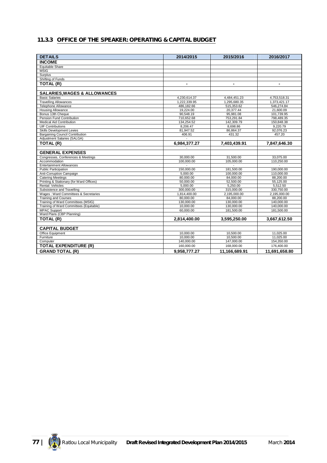## **11.3.3 OFFICE OF THE SPEAKER: OPERATING & CAPITAL BUDGET**

| <b>DETAILS</b>                           | 2014/2015      | 2015/2016      | 2016/2017                |
|------------------------------------------|----------------|----------------|--------------------------|
| <b>INCOME</b>                            |                |                |                          |
| Equitable Share                          |                |                |                          |
| <b>MSIG</b>                              |                |                |                          |
| Surplus                                  |                |                |                          |
| Shifting of Funds                        |                |                |                          |
| TOTAL (R)                                | $\blacksquare$ | $\blacksquare$ | $\overline{\phantom{a}}$ |
|                                          |                |                |                          |
| <b>SALARIES, WAGES &amp; ALLOWANCES</b>  |                |                |                          |
| <b>Basic Salaries</b>                    | 4,230,614.37   | 4,484,451.23   | 4,753,518.31             |
| <b>Travelling Allowances</b>             | 1,222,339.95   | 1.295.680.35   | 1,373,421.17             |
| <b>Telephone Allowance</b>               | 486,182.66     | 515,353.62     | 546,274.84               |
| <b>Housing Allowance</b>                 | 19,224.00      | 20,377.44      | 21,600.09                |
| Bonus 13th Cheque                        | 90,548.19      | 95,981.08      | 101,739.95               |
| Pension Fund Contribution                | 710,652.68     | 753,291.84     | 798,489.35               |
| Medical Aid Contribution                 | 134,254.52     | 142,309.79     | 150,848.38               |
| <b>UIF Contributions</b>                 | 8,206.47       | 8,698.86       | 9,220.79                 |
| <b>Skills Development Levies</b>         | 81,947.52      | 86,864.37      | 92,076.23                |
| <b>Bargaining Council Contribution</b>   | 406.91         | 431.32         | 457.20                   |
| Adjustment Salaries (SALGA)              |                |                |                          |
| TOTAL (R)                                | 6,984,377.27   | 7,403,439.91   | 7,847,646.30             |
|                                          |                |                |                          |
| <b>GENERAL EXPENSES</b>                  |                |                |                          |
| Congresses, Conferences & Meetings       | 30.000.00      | 31,500.00      | 33,075.00                |
| Accommodation                            | 100,000.00     | 105,000.00     | 110,250.00               |
| <b>Entertainment Allowances</b>          |                |                |                          |
| <b>Public Participation</b>              | 150,000.00     | 181,500.00     | 190,000.00               |
| Anti-Corruption Campaign                 | 5,000.00       | 100,000.00     | 110,000.00               |
| <b>Catering Meetings</b>                 | 80,000.00      | 84,000.00      | 88,200.00                |
| Printing & Stationary (for Ward Offices) | 50.000.00      | 52.500.00      | 55.125.00                |
| Rental: Vehicles                         | 5,000.00       | 5,250.00       | 5,512.50                 |
| Subsistence and Travelling               | 300,000.00     | 315,000.00     | 330,750.00               |
| Wages: Ward Committees & Secretaries     | 1,814,400.00   | 2,195,000.00   | 2,195,000.00             |
| <b>Training and Courses</b>              | 80,000.00      | 84,000.00      | 88,200.00                |
| Training of Ward Committees (MSIG)       | 130,000.00     | 130.000.00     | 140.000.00               |
| Training of Ward Committees (Equitable)  | 10,000.00      | 130,000.00     | 140,000.00               |
| <b>MPAC Support</b>                      | 60,000.00      | 181,500.00     | 181,500.00               |
| Ward Plans (CBP Planning)                |                | $\overline{a}$ | $\sim$                   |
| TOTAL (R)                                | 2,814,400.00   | 3,595,250.00   | 3,667,612.50             |
|                                          |                |                |                          |
| <b>CAPITAL BUDGET</b>                    |                |                |                          |
| Office Equipment                         | 10,000.00      | 10,500.00      | 11,025.00                |
| Furniture                                | 10,000.00      | 10,500.00      | 11,025.00                |
| Computer                                 | 140,000.00     | 147,000.00     | 154,350.00               |
| <b>TOTAL EXPENDITURE (R)</b>             | 160,000.00     | 168,000.00     | 176,400.00               |
| <b>GRAND TOTAL (R)</b>                   | 9.958.777.27   | 11.166.689.91  | 11.691.658.80            |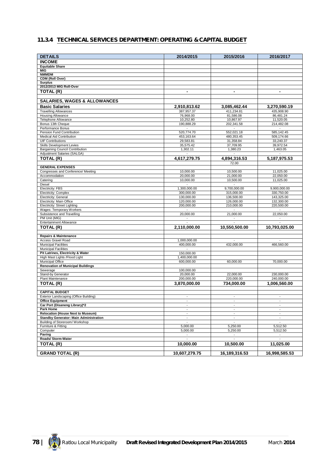## **11.3.4 TECHNICAL SERVICES DEPARTMENT: OPERATING & CAPITAL BUDGET**

| <b>DETAILS</b>                                                                   | 2014/2015                                  | 2015/2016                        | 2016/2017                |
|----------------------------------------------------------------------------------|--------------------------------------------|----------------------------------|--------------------------|
| <b>INCOME</b>                                                                    |                                            |                                  |                          |
| <b>Equitable Share</b>                                                           |                                            |                                  |                          |
| MIG                                                                              |                                            |                                  |                          |
| <b>NMMDM</b>                                                                     |                                            |                                  |                          |
| CDM (Roll Over)                                                                  |                                            |                                  |                          |
| <b>Surplus</b><br>2012/2013 MIG Roll-Over                                        |                                            |                                  |                          |
| TOTAL (R)                                                                        | $\blacksquare$                             | $\blacksquare$                   | $\blacksquare$           |
|                                                                                  |                                            |                                  |                          |
| <b>SALARIES, WAGES &amp; ALLOWANCES</b>                                          |                                            |                                  |                          |
| <b>Basic Salaries</b>                                                            | 2,910,813.62                               | 3,085,462.44                     | 3,270,590.19             |
| <b>Travelling Allowances</b>                                                     | 387,957.37                                 | 411,234.81                       | 435,908.90               |
| <b>Housing Allowance</b>                                                         | 76,968.00                                  | 81,586.08                        | 86,481.24                |
| Telephone Allowance                                                              | 10,252.80                                  | 10,867.97                        | 11,520.05                |
| Bonus 13th Cheque                                                                | 190,888.29                                 | 202,341.58                       | 214,482.08               |
| Performance Bonus                                                                | $\blacksquare$                             |                                  |                          |
| Pension Fund Contribution                                                        | 520,774.70                                 | 552,021.18                       | 585,142.45               |
| Medical Aid Contribution<br><b>UIF Contributions</b>                             | 453,163.64<br>29,583.81                    | 480,353.45<br>31,358.84          | 509,174.66<br>33,240.37  |
| Skills Development Levies                                                        | 35,575.42                                  | 37,709.95                        | 39,972.54                |
| <b>Bargaining Council Contribution</b>                                           | 1,302.11                                   | 1,380.23                         | 1,463.05                 |
| Adjustment Salaries (SALGA)                                                      |                                            |                                  |                          |
| TOTAL (R)                                                                        | 4,617,279.75                               | 4,894,316.53                     | 5, 187, 975.53           |
|                                                                                  |                                            | 72.00                            |                          |
| <b>GENERAL EXPENSES</b>                                                          |                                            |                                  |                          |
| Congresses and Conference/ Meeting                                               | 10,000.00                                  | 10,500.00                        | 11,025.00                |
| Accommodation                                                                    | 20,000.00                                  | 21,000.00                        | 22,050.00                |
| Catering<br>Diesel                                                               | 10,000.00<br>$\blacksquare$                | 10,500.00<br>$\blacksquare$      | 11,025.00                |
| <b>Electricity: FBS</b>                                                          | 1,300,000.00                               | 9,700,000.00                     | 9,900,000.00             |
| Electricity: Complex                                                             | 300,000.00                                 | 315,000.00                       | 330,750.00               |
| Electricity: General                                                             | 130,000.00                                 | 136,500.00                       | 143,325.00               |
| Electricity: Main Office                                                         | 120,000.00                                 | 126,000.00                       | 132,300.00               |
| <b>Electricity: Street Lighting</b>                                              | 200,000.00                                 | 210,000.00                       | 220,500.00               |
| Wages: Temporary Workers<br>Subsistence and Travelling                           | 20,000.00                                  | 21,000.00                        | 22,050.00                |
| PM Unit (MIG)                                                                    | $\overline{\phantom{a}}$                   | $\overline{\phantom{a}}$         | $\overline{\phantom{a}}$ |
| <b>Entertainment Allowance</b>                                                   |                                            |                                  |                          |
| TOTAL (R)                                                                        | 2,110,000.00                               | 10,550,500.00                    | 10,793,025.00            |
|                                                                                  |                                            |                                  |                          |
| <b>Repairs &amp; Maintenance</b>                                                 |                                            |                                  |                          |
| <b>Access Gravel Road</b>                                                        | 1,000,000.00                               |                                  |                          |
| <b>Municipal Facilities</b>                                                      | 400,000.00                                 | 432,000.00                       | 466,560.00               |
| <b>Municipal Facilities</b><br>Pit Latrines, Electricity & Water                 | 150,000.00                                 |                                  |                          |
| High Mast Lights / Flood Light                                                   | 1,400,000.00                               |                                  |                          |
| Municipal Office                                                                 | 600,000.00                                 | 60,000.00                        | 70,000.00                |
| <b>Renovation of Municipal Buildings</b>                                         |                                            |                                  |                          |
| Sewerage                                                                         | 100,000.00                                 |                                  |                          |
| Stand-by Generator                                                               | 20,000.00                                  | 22,000.00                        | 230,000.00               |
| Plant Maintenance                                                                | 200,000.00                                 | 220,000.00                       | 240,000.00               |
| TOTAL (R)                                                                        | 3,870,000.00                               | 734,000.00                       | 1,006,560.00             |
| <b>CAPITAL BUDGET</b>                                                            |                                            |                                  |                          |
| Exterior Landscaping (Office Building)                                           | $\overline{\phantom{a}}$                   | $\overline{\phantom{a}}$         | $\blacksquare$           |
| <b>Office Equipment</b>                                                          | $\blacksquare$                             | $\overline{\phantom{a}}$         | $\blacksquare$           |
| Car Port (Disaneng Library)*2                                                    | $\blacksquare$                             | $\overline{\phantom{a}}$         | $\blacksquare$           |
| Park Home                                                                        | $\overline{a}$                             | $\blacksquare$                   | $\overline{a}$           |
| <b>Relocation (House Next to Museum)</b>                                         | $\blacksquare$                             | $\blacksquare$                   | $\blacksquare$           |
| <b>Standby Generator: Main Administration</b><br>Building of Storeroom/ Workshop | $\overline{\phantom{a}}$<br>$\blacksquare$ | $\blacksquare$<br>$\blacksquare$ | $\blacksquare$<br>$\Box$ |
| Furniture & Fitting                                                              | 5,000.00                                   | 5,250.00                         | 5,512.50                 |
| Computer                                                                         | 5,000.00                                   | 5,250.00                         | 5,512.50                 |
| Paving                                                                           | $\overline{\phantom{a}}$                   | $\overline{\phantom{a}}$         | $\sim$                   |
| <b>Roads/Storm-Water</b>                                                         |                                            |                                  |                          |
| TOTAL (R)                                                                        | 10,000.00                                  | 10,500.00                        | 11,025.00                |
|                                                                                  |                                            |                                  |                          |
| <b>GRAND TOTAL (R)</b>                                                           | 10,607,279.75                              | 16,189,316.53                    | 16,998,585.53            |

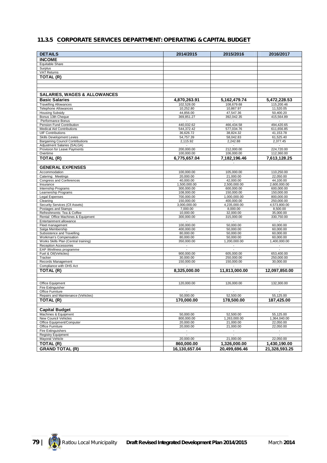## **11.3.5 CORPORATE SERVICES DEPARTMENT: OPERATING & CAPITAL BUDGET**

| <b>DETAILS</b>                                                         | 2014/2015                    | 2015/2016                  | 2016/2017                  |
|------------------------------------------------------------------------|------------------------------|----------------------------|----------------------------|
|                                                                        |                              |                            |                            |
| <b>INCOME</b><br><b>Equitable Share</b>                                |                              |                            |                            |
| Surplus                                                                |                              |                            |                            |
| <b>VAT Returns</b>                                                     |                              |                            |                            |
| TOTAL (R)                                                              |                              |                            |                            |
|                                                                        |                              |                            |                            |
|                                                                        |                              |                            |                            |
|                                                                        |                              |                            |                            |
| <b>SALARIES, WAGES &amp; ALLOWANCES</b>                                |                              |                            |                            |
| <b>Basic Salaries</b>                                                  | 4,870,263.91                 | 5,162,479.74               | 5,472,228.53               |
| <b>Travelling Allowances</b>                                           | 102,528.00                   | 108,679.68                 | 115,200.46                 |
| <b>Telephone Allowances</b>                                            | 10.252.80                    | 10,867.97                  | 11,520.05                  |
| <b>Housing Subsidy</b><br>Bonus 13th Cheque                            | 44,856.00<br>369,851.27      | 47,547.36<br>392,042.35    | 50.400.20<br>415,564.89    |
| Performance Bonus                                                      |                              |                            |                            |
| Pension Fund Contribution                                              | 440,032.62                   | 466,434.58                 | 494,420.65                 |
| <b>Medical Aid Contributions</b>                                       | 544,372.42                   | 577,034.76                 | 611,656.85                 |
| <b>UIF Contributions</b>                                               | 36,626.72                    | 38,824.32                  | 41,153.78                  |
| Skills Development Levies                                              | 54,757.39                    | 58,042.83                  | 61,525.40                  |
| <b>Bargaining Council Contributions</b><br>Adjustment Salaries (SALGA) | 2,115.92                     | 2,242.88                   | 2,377.45                   |
| Provision for Leave Payments                                           | 200,000.00                   | 212,000.00                 | 224,720.00                 |
| Overtime                                                               | 100,000.00                   | 106,000.00                 | 112,360.00                 |
| TOTAL (R)                                                              | 6,775,657.04                 | 7,182,196.46               | 7,613,128.25               |
|                                                                        |                              |                            |                            |
| <b>GENERAL EXPENSES</b>                                                |                              |                            |                            |
| Accommodation                                                          | 100.000.00                   | 105,000.00                 | 110,250.00                 |
| Catering: Meetings                                                     | 20,000.00                    | 21.000.00                  | 22,050.00                  |
| <b>Congress and Conferences</b>                                        | 40,000.00                    | 42,000.00                  | 44,100.00                  |
| Insurance                                                              | 1,500,000.00<br>300.000.00   | 2,500,000.00<br>600,000.00 | 2.600.000.00<br>600,000.00 |
| Internship Programs<br>Learnership Programs                            | 108,000.00                   | 150,000.00                 | 150,000.00                 |
| Legal Expenses                                                         | 700.000.00                   | 1,000,000.00               | 800,000.00                 |
| Cleaning                                                               | 150,000.00                   | 400,000.00                 | 250,000.00                 |
| Security Services (CII Assets)                                         | 3,000,000.00                 | 4,235,000.00               | 4,573,800.00               |
| Postages and Stamps                                                    | 7,000.00                     | 8,000.00                   | 8,500.00                   |
| Refreshments: Tea & Coffee                                             | 10,000.00                    | 32,000.00                  | 35,000.00                  |
| Rental: Office Machines & Equipment<br>Entertainment allowance         | 300,000.00                   | 315,000.00                 | 330,750.00                 |
| Fleet management                                                       | 100,000.00                   | 50,000.00                  | 60,000.00                  |
| Salga Membership                                                       | 400,000.00                   | 50,000.00                  | 60,000.00                  |
| Subsistence and Travelling                                             | 80,000.00                    | 50,000.00                  | 60,000.00                  |
| Workman's Compensation                                                 | 80,000.00                    | 50,000.00                  | 60,000.00                  |
| Works Skills Plan (Central training)                                   | 350,000.00<br>$\blacksquare$ | 1,200,000.00               | 1,400,000.00               |
| <b>Reception Accessories</b><br>EAP /Wellness programme                |                              |                            |                            |
| Fuel & Oil(Vehicles)                                                   | 900,000.00                   | 605,000.00                 | 653,400.00                 |
| Tracker                                                                | 30,000.00                    | 250,000.00                 | 250,000.00                 |
| Records Management                                                     | 150,000.00                   | 150,000.00                 | 30,000.00                  |
| Compliance with OHS Act                                                |                              |                            |                            |
| TOTAL (R)                                                              | 8,325,000.00                 | 11,813,000.00              | 12,097,850.00              |
|                                                                        |                              |                            |                            |
| Office Equipment                                                       | 120,000.00                   | 126,000.00                 | 132,300.00                 |
| <b>Fire Extinguisher</b>                                               |                              |                            |                            |
| Office Furniture                                                       | $\sim$                       | $\blacksquare$             | $\blacksquare$             |
| Repairs and Maintenance (Vehicles)                                     | 50,000.00                    | 52,500.00                  | 55,125.00                  |
| TOTAL (R)                                                              | 170,000.00                   | 178,500.00                 | 187,425.00                 |
|                                                                        |                              |                            |                            |
| <b>Capital Budget</b>                                                  |                              |                            |                            |
| Machines & Equipment                                                   | 50,000.00                    | 52,500.00                  | 55,125.00                  |
| New Council Vehicles                                                   | 800,000.00                   | 1,263,000.00               | 1,364,040.00               |
| Office Equipment/Computer<br>Office Furniture                          | 20,000.00<br>20,000.00       | 21,000.00<br>21,000.00     | 22,050.00<br>22,050.00     |
| <b>Fire Extinguishers</b>                                              | $\overline{\phantom{a}}$     | $\overline{\phantom{a}}$   | $\overline{\phantom{a}}$   |
| <b>Registry Equipment</b>                                              |                              |                            |                            |
| Mayoral Vehicle                                                        | 20,000.00                    | 21,000.00                  | 22,050.00                  |
| <b>TOTAL (R)</b>                                                       | 860,000.00                   | 1,326,000.00               | 1,430,190.00               |
| <b>GRAND TOTAL (R)</b>                                                 | 16,130,657.04                | 20,499,696.46              | 21,328,593.25              |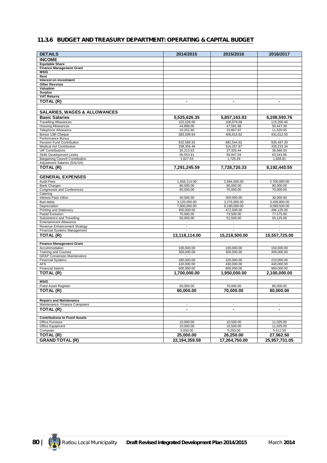## **11.3.6 BUDGET AND TREASURY DEPARTMENT: OPERATING & CAPITAL BUDGET**

| <b>DETAILS</b>                                                        | 2014/2015                             | 2015/2016                             | 2016/2017                             |
|-----------------------------------------------------------------------|---------------------------------------|---------------------------------------|---------------------------------------|
| <b>INCOME</b>                                                         |                                       |                                       |                                       |
| <b>Equitable Share</b>                                                |                                       |                                       |                                       |
| <b>Finance Management Grant</b>                                       |                                       |                                       |                                       |
| <b>MSIG</b>                                                           |                                       |                                       |                                       |
| Rent                                                                  |                                       |                                       |                                       |
| Interest on investment<br><b>Other Revenue</b>                        |                                       |                                       |                                       |
| Valuation                                                             |                                       |                                       |                                       |
| <b>Surplus</b>                                                        |                                       |                                       |                                       |
| <b>VAT Returns</b>                                                    |                                       |                                       |                                       |
| TOTAL (R)                                                             | $\blacksquare$                        | $\blacksquare$                        | $\blacksquare$                        |
|                                                                       |                                       |                                       |                                       |
| <b>SALARIES, WAGES &amp; ALLOWANCES</b>                               |                                       |                                       |                                       |
| <b>Basic Salaries</b>                                                 | 5,525,626.35                          | 5,857,163.93                          | 6,208,593.76                          |
| <b>Travelling Allowances</b>                                          | 102,528.00                            | 108,679.68                            | 115,200.46                            |
| <b>Housing Allowances</b>                                             | 44,898.00                             | 47,591.88                             | 50,447.39                             |
| Telephone Allowance                                                   | 10,252.80                             | 10,867.97                             | 11,520.05                             |
| Bonus 13th Cheque<br>Performance Bonus                                | 383,599.64                            | 406,615.62<br>$\overline{a}$          | 431,012.55                            |
| Pension Fund Contribution                                             | 832,589.26                            | 882,544.62                            | 935,497.29                            |
| <b>Medical Aid Contribution</b>                                       | 298,356.48                            | 316,257.87                            | 335,233.34                            |
| <b>UIF Contributions</b>                                              | 35,213.63                             | 37,326.44                             | 39,566.03                             |
| Skills Development Levies                                             | 56,553.81                             | 59,947.04                             | 63,543.86                             |
| <b>Bargaining Council Contribution</b><br>Adjustment Salaries (SALGA) | 1,627.63                              | 1,725.29                              | 1,828.81                              |
| <b>TOTAL (R)</b>                                                      | 7,291,245.59                          | 7,728,720.33                          | 8,192,443.55                          |
|                                                                       |                                       |                                       |                                       |
| <b>GENERAL EXPENSES</b>                                               |                                       |                                       |                                       |
| <b>Audit Fees</b>                                                     | 1,458,114.00                          | 2,694,000.00                          | 2,700,000.00                          |
| <b>Bank Charges</b>                                                   | 80,000.00                             | 90,000.00                             | 90,000.00                             |
| Congresses and Conferences<br>Catering                                | 60,000.00                             | 70,000.00                             | 70,000.00                             |
| Interest Paid: Other                                                  | 30,000.00                             | 300,000.00                            | 30,000.00                             |
| Bad debts                                                             | 3,120,000.00                          | 3.276.000.00                          | 3,439,800.00                          |
| Depreciation                                                          | 7,800,000.00                          | 8,190,000.00                          | 8,599,500.00                          |
| Printing and Stationery                                               | 450,000.00                            | 472,500.00                            | 496,125.00                            |
| Pastel Evolution                                                      | 70,000.00                             | 73,500.00                             | 77,175.00                             |
| Subsistence and Travelling<br><b>Entertainment Allowance</b>          | 50,000.00<br>$\overline{\phantom{a}}$ | 52,500.00<br>$\overline{\phantom{a}}$ | 55,125.00<br>$\overline{\phantom{a}}$ |
| Revenue Enhancement Strategy                                          | $\blacksquare$                        | $\overline{\phantom{a}}$              | $\overline{\phantom{a}}$              |
| Financial Systems Management                                          |                                       |                                       |                                       |
| TOTAL (R)                                                             | 13,118,114.00                         | 15,218,500.00                         | 15,557,725.00                         |
| <b>Finance Management Grant</b>                                       |                                       |                                       |                                       |
| Accommodation                                                         | 100,000.00                            | 100,000.00                            | 150,000.00                            |
| <b>Training and Courses</b>                                           | 300,000.00                            | 300,000.00                            | 400,000.00                            |
| <b>GRAP Conversion Maintenance</b>                                    |                                       |                                       |                                       |
| <b>Financial Systems</b>                                              | 280,000.00                            | 320,000.00                            | 210,000.00                            |
| <b>AFS</b><br><b>Financial Interns</b>                                | 420,000.00<br>600,000.00              | 430,000.00<br>800,000.00              | 440,000.00<br>900,000.00              |
| TOTAL (R)                                                             | 1,700,000.00                          | 1,950,000.00                          | 2,100,000.00                          |
|                                                                       |                                       |                                       |                                       |
| <b>MSIG</b>                                                           |                                       |                                       |                                       |
| <b>Fixed Asset Register</b>                                           | 60,000.00                             | 70,000.00                             | 80,000.00                             |
| TOTAL (R)                                                             | 60,000.00                             | 70,000.00                             | 80,000.00                             |
| <b>Repairs and Maintenance</b>                                        |                                       |                                       |                                       |
| Maintenance: Finance Computers                                        | $\overline{\phantom{a}}$              | $\overline{\phantom{a}}$              | $\overline{\phantom{a}}$              |
| <b>TOTAL (R)</b>                                                      | $\blacksquare$                        | $\blacksquare$                        | $\blacksquare$                        |
|                                                                       |                                       |                                       |                                       |
| <b>Contributions to Fixed Assets</b>                                  |                                       |                                       |                                       |
| Office Furniture<br><b>Office Equipment</b>                           | 10,000.00                             | 10,500.00                             | 11,025.00                             |
| Computer                                                              | 10,000.00<br>5,000.00                 | 10,500.00<br>5,250.00                 | 11,025.00<br>5,512.50                 |
| TOTAL (R)                                                             | 25,000.00                             | 26,250.00                             | 27,562.50                             |
| <b>GRAND TOTAL (R)</b>                                                | 22, 194, 359.59                       | 17,264,750.00                         | 25,957,731.05                         |

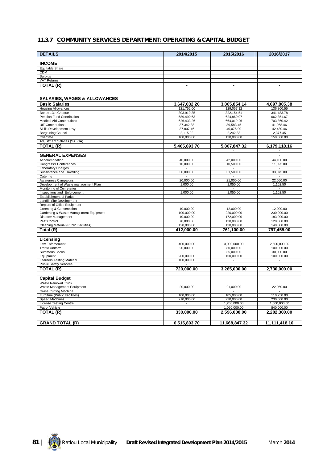## **11.3.7 COMMUNITY SERVICES DEPARTMENT: OPERATING & CAPITAL BUDGET**

| <b>DETAILS</b>                                               | 2014/2015             | 2015/2016                  | 2016/2017                  |
|--------------------------------------------------------------|-----------------------|----------------------------|----------------------------|
| <b>INCOME</b>                                                |                       |                            |                            |
| Equitable Share                                              |                       |                            |                            |
| <b>CDM</b>                                                   |                       |                            |                            |
| Surplus                                                      |                       |                            |                            |
| <b>VAT Returns</b>                                           |                       |                            |                            |
| TOTAL (R)                                                    | $\blacksquare$        | $\blacksquare$             | $\blacksquare$             |
|                                                              |                       |                            |                            |
| <b>SALARIES, WAGES &amp; ALLOWANCES</b>                      |                       |                            |                            |
| <b>Basic Salaries</b>                                        | 3,647,032.20          | 3,865,854.14               | 4,097,805.38               |
| <b>Housing Allowances</b>                                    | 121,752.00            | 129,057.12                 | 136,800.55                 |
| Bonus 13th Cheque                                            | 303,919.35            | 322,154.51                 | 341,483.78                 |
| Pension Fund Contribution                                    | 589,490.63            | 624,860.07                 | 662,351.67                 |
| <b>Medical Aid Contributions</b>                             | 626,433.26            | 664,019.26                 | 703,860.42                 |
| <b>UIF Contributions</b>                                     | 37,342.88             | 39,583.45                  | 41,958.46<br>42,480.46     |
| Skills Development Levy<br><b>Bargaining Council</b>         | 37,807.46<br>2,115.92 | 40,075.90<br>2,242.88      | 2,377.45                   |
| Overtime                                                     | 100,000.00            | 120,000.00                 | 150,000.00                 |
| Adjustment Salaries (SALGA)                                  |                       |                            |                            |
| TOTAL (R)                                                    | 5,465,893.70          | 5,807,847.32               | 6,179,118.16               |
| <b>GENERAL EXPENSES</b>                                      |                       |                            | $\overline{\phantom{a}}$   |
| Accommodation                                                | 40,000.00             | 42,000.00                  | 44.100.00                  |
| Congress& Conferences                                        | 10,000.00             | 10,500.00                  | 11,025.00                  |
| <b>Laboratory Charges</b>                                    | $\sim$                | $\overline{\phantom{a}}$   | $\sim$                     |
| Subsistence and Travelling                                   | 30,000.00             | 31,500.00                  | 33,075.00                  |
| Catering                                                     |                       |                            |                            |
| Awareness Campaigns                                          | 20,000.00             | 21,000.00                  | 22,050.00                  |
| Development of Waste management Plan                         | 1,000.00              | 1,050.00                   | 1,102.50                   |
| Monitoring of Cemeteries                                     | $\sim$<br>1,000.00    | $\overline{\phantom{a}}$   | $\sim$<br>1,102.50         |
| Inspections and Enforcement<br><b>Establishment of Parks</b> |                       | 1,050.00                   |                            |
| Landfill Site Development                                    |                       | $\overline{\phantom{a}}$   | $\overline{\phantom{a}}$   |
| Repairs of Office Equipment                                  |                       |                            |                            |
| Greening & Conservation                                      | 10,000.00             | 12,000.00                  | 12,000.00                  |
| Gardening & Waste Management Equipment                       | 100,000.00            | 220,000.00                 | 230,000.00                 |
| Disaster Management                                          | 10,000.00             | 172,000.00                 | 183,000.00                 |
| Pest Control                                                 | 70,000.00             | 120,000.00                 | 120,000.00                 |
| Cleaning Material (Public Facilities)                        | 120,000.00            | 130,000.00                 | 140,000.00                 |
| Total (R)                                                    | 412.000.00            | 761,100.00                 | 797.455.00                 |
| Licensing                                                    |                       |                            |                            |
| Law Enforcement                                              | 400,000.00            | 3,000,000.00               | 2,500,000.00               |
| <b>Traffic Uniform</b>                                       | 20,000.00             | 80,000.00                  | 100,000.00                 |
| <b>Summons Books</b>                                         |                       | 35,000.00                  | 30,000.00                  |
| Equipment                                                    | 200,000.00            | 150,000.00                 | 100,000.00                 |
| <b>Learners Testing Material</b>                             | 100,000.00            |                            |                            |
| <b>Public Safety Services</b>                                |                       |                            |                            |
| TOTAL (R)                                                    | 720,000.00            | 3,265,000.00               | 2,730,000.00               |
| <b>Capital Budget</b>                                        |                       |                            |                            |
| <b>Waste Removal Truck</b>                                   |                       |                            |                            |
| Waste Management Equipment                                   | 20,000.00             | 21,000.00                  | 22,050.00                  |
| <b>Grass Cutting Machine</b>                                 |                       |                            |                            |
| Furniture (Public Facilities)                                | 100,000.00            | 105,000.00                 | 110,250.00                 |
| <b>Speed Machines</b><br><b>License Testing Centre</b>       | 210,000.00            | 220,000.00<br>1,200,000.00 | 230,000.00<br>1,000,000.00 |
| Patrol Vehicle                                               |                       | 1,050,000.00               | 840,000.00                 |
| TOTAL (R)                                                    | 330,000.00            | 2,596,000.00               | 2,202,300.00               |
|                                                              |                       |                            |                            |
| <b>GRAND TOTAL (R)</b>                                       | 6,515,893.70          | 11,668,847.32              | 11,111,418.16              |
|                                                              |                       |                            |                            |

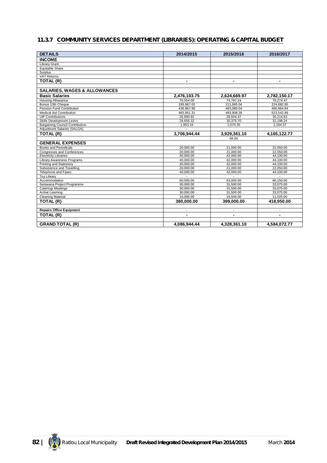## **11.3.7 COMMUNITY SERVICES DEPARTMENT (LIBRARIES): OPERATING & CAPITAL BUDGET**

| <b>DETAILS</b>                          | 2014/2015      | 2015/2016      | 2016/2017      |
|-----------------------------------------|----------------|----------------|----------------|
| <b>INCOME</b>                           |                |                |                |
| Library Grant                           |                |                |                |
| <b>Equitable Share</b>                  |                |                |                |
| Surplus                                 |                |                |                |
| <b>VAT Returns</b>                      |                |                |                |
| TOTAL (R)                               |                | $\blacksquare$ | $\blacksquare$ |
|                                         |                |                |                |
| <b>SALARIES, WAGES &amp; ALLOWANCES</b> |                |                |                |
| <b>Basic Salaries</b>                   | 2,476,103.75   | 2,624,669.97   | 2,782,150.17   |
| <b>Housing Allowance</b>                | 70.554.00      | 74.787.24      | 79.274.47      |
| Bonus 13th Cheque                       | 199,967.02     | 211,965.04     | 224,682.95     |
| Pension Fund Contribution               | 436.867.96     | 463.080.04     | 490.864.84     |
| <b>Medical Aid Contribution</b>         | 465,951.31     | 493,908.39     | 523,542.89     |
| <b>UIF Contributions</b>                | 26.890.92      | 28,504.37      | 30.214.63      |
| Skills Development Levies               | 28,656.32      | 30,375.70      | 32,198.24      |
| <b>Bargaining Council Contribution</b>  | 1,953.16       | 2,070.35       | 2,194.57       |
| Adjustment Salaries (SALGA)             |                |                |                |
| TOTAL (R)                               | 3,706,944.44   | 3,929,361.10   | 4,165,122.77   |
|                                         |                | 66.00          |                |
| <b>GENERAL EXPENSES</b>                 |                |                |                |
| <b>Books and Periodicals</b>            | 20,000,00      | 21,000.00      | 22.050.00      |
| <b>Congresses and Conferences</b>       | 20.000.00      | 21.000.00      | 22.050.00      |
| <b>Electricity Libraries</b>            | 40,000.00      | 42,000.00      | 44,100.00      |
| Library Awareness Programs              | 40,000.00      | 42,000.00      | 44,100.00      |
| Printing and Stationery                 | 40,000.00      | 42,000.00      | 44,100.00      |
| Subsistence and Travelling              | 20,000.00      | 21,000.00      | 22,050.00      |
| <b>Telephone and Faxes</b>              | 40,000.00      | 42,000.00      | 44,100.00      |
| <b>Toy Library</b>                      |                |                |                |
| Accommodation                           | 60,000.00      | 63,000.00      | 66,150.00      |
| Setswana Project Programme              | 30,000.00      | 31,500.00      | 33,075.00      |
| Catering/Meetings                       | 30,000,00      | 31,500.00      | 33.075.00      |
| <b>Active Learning</b>                  | 30,000.00      | 31,500.00      | 33.075.00      |
| <b>Cleaning Material</b>                | 10,000.00      | 10,500.00      | 11,025.00      |
| TOTAL (R)                               | 380,000.00     | 399,000.00     | 418,950.00     |
| <b>Repairs Office Equipment</b>         |                |                |                |
|                                         |                |                |                |
| TOTAL (R)                               | $\blacksquare$ | ٠              | $\blacksquare$ |
| <b>GRAND TOTAL (R)</b>                  | 4,086,944.44   | 4,328,361.10   | 4,584,072.77   |

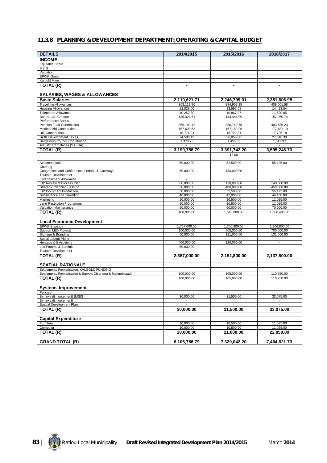## **11.3.8 PLANNING & DEVELOPMENT DEPARTMENT: OPERATING & CAPITAL BUDGET**

| <b>DETAILS</b>                                                 | 2014/2015                | 2015/2016                | 2016/2017                              |
|----------------------------------------------------------------|--------------------------|--------------------------|----------------------------------------|
| <b>INCOME</b>                                                  |                          |                          |                                        |
| Equitable Share                                                |                          |                          |                                        |
| <b>MSIG</b>                                                    |                          |                          |                                        |
| Valuation                                                      |                          |                          |                                        |
| <b>EPWP Grant</b><br>Kalgold Mine                              |                          |                          |                                        |
| TOTAL (R)                                                      | $\blacksquare$           | $\overline{\phantom{a}}$ | $\overline{\phantom{a}}$               |
|                                                                |                          |                          |                                        |
| <b>SALARIES, WAGES &amp; ALLOWANCES</b>                        |                          |                          |                                        |
| <b>Basic Salaries</b>                                          | 2,119,621.71             | 2,246,799.01             | 2,381,606.95                           |
| <b>Travelling Allowances</b>                                   | 363,119.96               | 384,907.15               | 408,001.58                             |
| <b>Housing Allowances</b>                                      | 12,828.00                | 13,597.68                | $14,413.\overline{54}$                 |
| Telephone Allowance<br>Bonus 13th Cheaue                       | 10,252.80<br>135,324.61  | 10,867.97<br>143,444.09  | 11,520.05<br>152,050.74                |
| Performance Bonus                                              |                          |                          |                                        |
| Pension Fund Contribution                                      | 359,189.42               | 380,740.78               | 403,585.23                             |
| <b>Medical Aid Contribution</b>                                | 157,690.63               | 167,152.06               | 177,181.19                             |
| <b>UIF Contributions</b><br><b>Skills Development Levies</b>   | 15,776.24<br>24,580.19   | 16,722.81<br>26,055.00   | 17,726.18<br>27,618.30                 |
| <b>Bargaining Council Contribution</b>                         | 1,373.23                 | 1,455.63                 | 1,542.97                               |
| Adjustment Salaries (SALGA)                                    |                          |                          |                                        |
| TOTAL (R)                                                      | 3,199,756.79             | 3,391,742.20             | 3,595,246.73                           |
|                                                                |                          | 12.00                    |                                        |
| Accommodation                                                  | 50,000.00                | 52,500.00                | 55,125.00                              |
| Catering                                                       |                          |                          |                                        |
| Congresses and Conferences (Indaba & Gateway)                  | 60.000.00                | 130,000.00               | $\overline{\phantom{a}}$               |
| <b>Tourism Development</b>                                     | $\blacksquare$           |                          | $\overline{\phantom{a}}$               |
| <b>Entertainment Allowance</b>                                 | $\overline{\phantom{a}}$ | $\overline{\phantom{a}}$ | $\overline{\phantom{a}}$               |
| IDP Review & Process Plan<br><b>Strategic Planning Session</b> | 80,000.00<br>50,000.00   | 120,000.00<br>400,000.00 | 140,000.00<br>450,000.00               |
| <b>IDP Document Production</b>                                 | 50,000.00                | 52,500.00                | 55,125.00                              |
| Subsistence and Travelling                                     | 40,000.00                | 42,000.00                | 44,100.00                              |
| Marketing                                                      | 10,000.00                | 10,500.00                | 11,025.00                              |
| Land Restitution Programme<br>Valuation Maintenance            | 10,000.00<br>50,000.00   | 10,500.00<br>60,000.00   | 11,025.00<br>70,000.00                 |
| TOTAL (R)                                                      | 400,000.00               | 1,618,000.00             | 1,566,400.00                           |
|                                                                |                          |                          |                                        |
| <b>Local Economic Development</b>                              |                          |                          |                                        |
| <b>EPWP Stipends</b>                                           | 1,757,000.00             | 1,306,800.00             | 1,306,800.00                           |
| <b>Support LED Projects</b>                                    | 100,000.00               | 605,000.00               | 700,000.00                             |
| Signage & Branding<br>Social Labour Plans                      | 50,000.00                | 121,000.00               | 131,000.00<br>$\overline{\phantom{a}}$ |
| Heritage & Exhibitions                                         | 400,000.00               | 120,000.00               | $\blacksquare$                         |
| Led Forums & Summit                                            | 50,000.00                | $\overline{\phantom{a}}$ | $\overline{\phantom{a}}$               |
| <b>Tourism Development</b>                                     |                          |                          |                                        |
| TOTAL (R)                                                      | 2,357,000.00             | 2,152,800.00             | 2,137,800.00                           |
| <b>SPATIAL RATIONALE</b>                                       |                          |                          |                                        |
| Settlements Formalisation: KALGOLD FUNDING                     |                          |                          |                                        |
| Settlements Formalisation & Survey: Disaneng & Makgobistadt    | 100,000.00               | 105,000.00               | 110,250.00                             |
| TOTAL (R)                                                      | 100,000.00               | 105,000.00               | 110,250.00                             |
|                                                                |                          |                          |                                        |
| <b>Systems Improvement</b>                                     |                          |                          |                                        |
| Policies<br>By-laws (Enforcement) (MSIG)                       | 30,000.00                | 31,500.00                | 33,075.00                              |
| By-laws (Enforcement)                                          | $\sim$                   | $\overline{\phantom{a}}$ |                                        |
| Spatial Development Plan                                       |                          |                          |                                        |
| TOTAL (R)                                                      | 30,000.00                | 31,500.00                | 33,075.00                              |
|                                                                |                          |                          |                                        |
| <b>Capital Expenditure</b><br>Furniture                        | 10,000.00                | 10,500.00                | 11,025.00                              |
| Computer                                                       | 10,000.00                | 10,500.00                | 11,025.00                              |
| TOTAL (R)                                                      | 20,000.00                | 21,000.00                | 22,050.00                              |
|                                                                |                          |                          |                                        |
| <b>GRAND TOTAL (R)</b>                                         | 6,106,756.79             | 7,320,042.20             | 7,464,821.73                           |

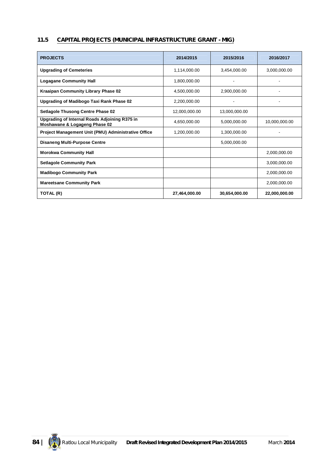## **11.5 CAPITAL PROJECTS (MUNICIPAL INFRASTRUCTURE GRANT - MIG)**

| <b>PROJECTS</b>                                                                | 2014/2015     | 2015/2016     | 2016/2017     |
|--------------------------------------------------------------------------------|---------------|---------------|---------------|
| <b>Upgrading of Cemeteries</b>                                                 | 1,114,000.00  | 3.454.000.00  | 3,000,000.00  |
| <b>Logagane Community Hall</b>                                                 | 1.800.000.00  |               |               |
| Kraaipan Community Library Phase 02                                            | 4,500,000.00  | 2,900,000.00  |               |
| Upgrading of Madibogo Taxi Rank Phase 02                                       | 2,200,000.00  |               |               |
| <b>Setlagole Thusong Centre Phase 02</b>                                       | 12,000,000.00 | 13,000,000.00 |               |
| Upgrading of Internal Roads Adjoining R375 in<br>Moshawane & Logageng Phase 02 | 4,650,000.00  | 5,000,000.00  | 10,000,000.00 |
| Project Management Unit (PMU) Administrative Office                            | 1,200,000.00  | 1,300,000.00  |               |
| <b>Disaneng Multi-Purpose Centre</b>                                           |               | 5,000,000.00  |               |
| <b>Morokwa Community Hall</b>                                                  |               |               | 2.000.000.00  |
| <b>Setlagole Community Park</b>                                                |               |               | 3,000,000.00  |
| <b>Madibogo Community Park</b>                                                 |               |               | 2,000,000.00  |
| <b>Mareetsane Community Park</b>                                               |               |               | 2,000,000.00  |
| TOTAL (R)                                                                      | 27,464,000.00 | 30,654,000.00 | 22,000,000.00 |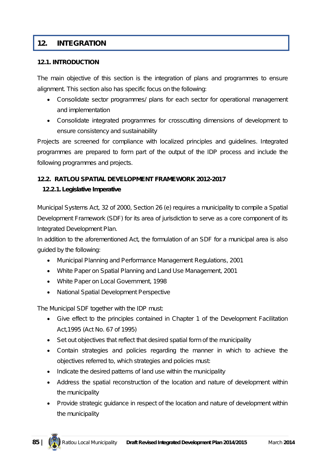## **12. INTEGRATION**

#### **12.1. INTRODUCTION**

The main objective of this section is the integration of plans and programmes to ensure alignment. This section also has specific focus on the following:

- Consolidate sector programmes/ plans for each sector for operational management and implementation
- Consolidate integrated programmes for crosscutting dimensions of development to ensure consistency and sustainability

Projects are screened for compliance with localized principles and guidelines. Integrated programmes are prepared to form part of the output of the IDP process and include the following programmes and projects.

#### **12.2. RATLOU SPATIAL DEVELOPMENT FRAMEWORK 2012-2017**

#### **12.2.1. Legislative Imperative**

Municipal Systems Act, 32 of 2000, Section 26 (e) requires a municipality to compile a Spatial Development Framework (SDF) for its area of jurisdiction to serve as a core component of its Integrated Development Plan.

In addition to the aforementioned Act, the formulation of an SDF for a municipal area is also guided by the following:

- Municipal Planning and Performance Management Regulations, 2001
- White Paper on Spatial Planning and Land Use Management, 2001
- White Paper on Local Government, 1998
- National Spatial Development Perspective

The Municipal SDF together with the IDP must:

- Give effect to the principles contained in Chapter 1 of the Development Facilitation Act,1995 (Act No. 67 of 1995)
- Set out objectives that reflect that desired spatial form of the municipality
- Contain strategies and policies regarding the manner in which to achieve the objectives referred to, which strategies and policies must:
- Indicate the desired patterns of land use within the municipality
- Address the spatial reconstruction of the location and nature of development within the municipality
- Provide strategic guidance in respect of the location and nature of development within the municipality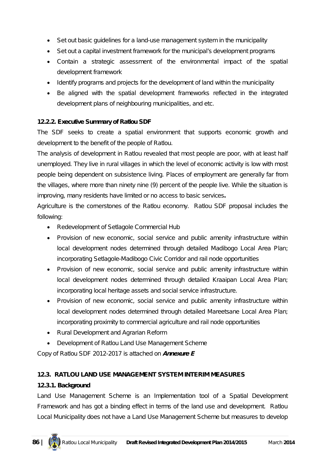- Set out basic quidelines for a land-use management system in the municipality
- Set out a capital investment framework for the municipal's development programs
- Contain a strategic assessment of the environmental impact of the spatial development framework
- Identify programs and projects for the development of land within the municipality
- Be aligned with the spatial development frameworks reflected in the integrated development plans of neighbouring municipalities, and etc.

## **12.2.2. Executive Summary of Ratlou SDF**

The SDF seeks to create a spatial environment that supports economic growth and development to the benefit of the people of Ratlou.

The analysis of development in Ratlou revealed that most people are poor, with at least half unemployed. They live in rural villages in which the level of economic activity is low with most people being dependent on subsistence living. Places of employment are generally far from the villages, where more than ninety nine (9) percent of the people live. While the situation is improving, many residents have limited or no access to basic services**.**

Agriculture is the cornerstones of the Ratlou economy. Ratlou SDF proposal includes the following:

- Redevelopment of Setlagole Commercial Hub
- Provision of new economic, social service and public amenity infrastructure within local development nodes determined through detailed Madibogo Local Area Plan; incorporating Setlagole-Madibogo Civic Corridor and rail node opportunities
- Provision of new economic, social service and public amenity infrastructure within local development nodes determined through detailed Kraaipan Local Area Plan; incorporating local heritage assets and social service infrastructure.
- Provision of new economic, social service and public amenity infrastructure within local development nodes determined through detailed Mareetsane Local Area Plan; incorporating proximity to commercial agriculture and rail node opportunities
- Rural Development and Agrarian Reform
- Development of Ratlou Land Use Management Scheme

*Copy of Ratlou SDF 2012-2017 is attached on Annexure E*

# **12.3. RATLOU LAND USE MANAGEMENT SYSTEM INTERIM MEASURES**

# **12.3.1. Background**

Land Use Management Scheme is an Implementation tool of a Spatial Development Framework and has got a binding effect in terms of the land use and development. Ratlou Local Municipality does not have a Land Use Management Scheme but measures to develop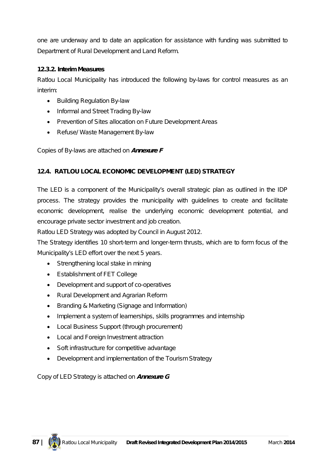one are underway and to date an application for assistance with funding was submitted to Department of Rural Development and Land Reform.

## **12.3.2. Interim Measures**

Ratlou Local Municipality has introduced the following by-laws for control measures as an interim:

- Building Regulation By-law
- Informal and Street Trading By-law
- Prevention of Sites allocation on Future Development Areas
- Refuse/ Waste Management By-law

## *Copies of By-laws are attached on Annexure F*

### **12.4. RATLOU LOCAL ECONOMIC DEVELOPMENT (LED) STRATEGY**

The LED is a component of the Municipality's overall strategic plan as outlined in the IDP process. The strategy provides the municipality with guidelines to create and facilitate economic development, realise the underlying economic development potential, and encourage private sector investment and job creation.

Ratlou LED Strategy was adopted by Council in August 2012.

The Strategy identifies 10 short-term and longer-term thrusts, which are to form focus of the Municipality's LED effort over the next 5 years.

- Strengthening local stake in mining
- Establishment of FET College
- Development and support of co-operatives
- Rural Development and Agrarian Reform
- Branding & Marketing (Signage and Information)
- Implement a system of learnerships, skills programmes and internship
- Local Business Support (through procurement)
- Local and Foreign Investment attraction
- Soft infrastructure for competitive advantage
- Development and implementation of the Tourism Strategy

*Copy of LED Strategy is attached on Annexure G*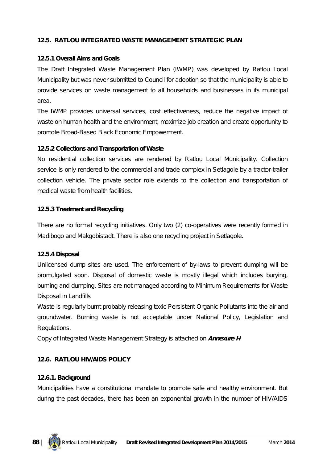### **12.5. RATLOU INTEGRATED WASTE MANAGEMENT STRATEGIC PLAN**

#### **12.5.1 Overall Aims and Goals**

The Draft Integrated Waste Management Plan (IWMP) was developed by Ratlou Local Municipality but was never submitted to Council for adoption so that the municipality is able to provide services on waste management to all households and businesses in its municipal area.

The IWMP provides universal services, cost effectiveness, reduce the negative impact of waste on human health and the environment, maximize job creation and create opportunity to promote Broad-Based Black Economic Empowerment.

#### **12.5.2 Collections and Transportation of Waste**

No residential collection services are rendered by Ratlou Local Municipality. Collection service is only rendered to the commercial and trade complex in Setlagole by a tractor-trailer collection vehicle. The private sector role extends to the collection and transportation of medical waste from health facilities.

#### **12.5.3 Treatment and Recycling**

There are no formal recycling initiatives. Only two (2) co-operatives were recently formed in Madibogo and Makgobistadt. There is also one recycling project in Setlagole.

#### **12.5.4 Disposal**

Unlicensed dump sites are used. The enforcement of by-laws to prevent dumping will be promulgated soon. Disposal of domestic waste is mostly illegal which includes burying, burning and dumping. Sites are not managed according to Minimum Requirements for Waste Disposal in Landfills

Waste is regularly burnt probably releasing toxic Persistent Organic Pollutants into the air and groundwater. Burning waste is not acceptable under National Policy, Legislation and Regulations.

*Copy of Integrated Waste Management Strategy is attached on Annexure H*

## **12.6. RATLOU HIV/AIDS POLICY**

#### **12.6.1. Background**

Municipalities have a constitutional mandate to promote safe and healthy environment. But during the past decades, there has been an exponential growth in the number of HIV/AIDS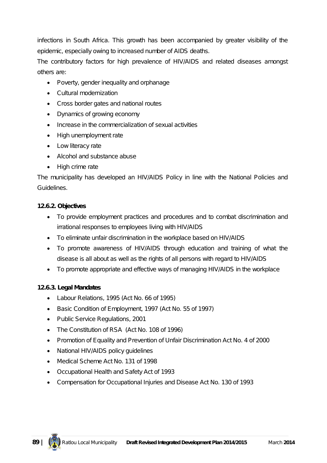infections in South Africa. This growth has been accompanied by greater visibility of the epidemic, especially owing to increased number of AIDS deaths.

The contributory factors for high prevalence of HIV/AIDS and related diseases amongst others are:

- Poverty, gender inequality and orphanage
- Cultural modernization
- Cross border gates and national routes
- Dynamics of growing economy
- Increase in the commercialization of sexual activities
- High unemployment rate
- Low literacy rate
- Alcohol and substance abuse
- High crime rate

The municipality has developed an HIV/AIDS Policy in line with the National Policies and Guidelines.

### **12.6.2. Objectives**

- To provide employment practices and procedures and to combat discrimination and irrational responses to employees living with HIV/AIDS
- To eliminate unfair discrimination in the workplace based on HIV/AIDS
- To promote awareness of HIV/AIDS through education and training of what the disease is all about as well as the rights of all persons with regard to HIV/AIDS
- To promote appropriate and effective ways of managing HIV/AIDS in the workplace

## **12.6.3. Legal Mandates**

- Labour Relations, 1995 (Act No. 66 of 1995)
- Basic Condition of Employment, 1997 (Act No. 55 of 1997)
- Public Service Regulations, 2001
- The Constitution of RSA (Act No. 108 of 1996)
- Promotion of Equality and Prevention of Unfair Discrimination Act No. 4 of 2000
- National HIV/AIDS policy guidelines
- Medical Scheme Act No. 131 of 1998
- Occupational Health and Safety Act of 1993
- Compensation for Occupational Injuries and Disease Act No. 130 of 1993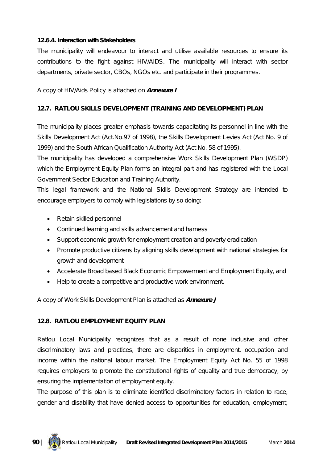#### **12.6.4. Interaction with Stakeholders**

The municipality will endeavour to interact and utilise available resources to ensure its contributions to the fight against HIV/AIDS. The municipality will interact with sector departments, private sector, CBOs, NGOs etc. and participate in their programmes.

*A copy of HIV/Aids Policy is attached on Annexure I*

### **12.7. RATLOU SKILLS DEVELOPMENT (TRAINING AND DEVELOPMENT) PLAN**

The municipality places greater emphasis towards capacitating its personnel in line with the Skills Development Act (Act.No.97 of 1998), the Skills Development Levies Act (Act No. 9 of 1999) and the South African Qualification Authority Act (Act No. 58 of 1995).

The municipality has developed a comprehensive Work Skills Development Plan (WSDP) which the Employment Equity Plan forms an integral part and has registered with the Local Government Sector Education and Training Authority.

This legal framework and the National Skills Development Strategy are intended to encourage employers to comply with legislations by so doing:

- Retain skilled personnel
- Continued learning and skills advancement and harness
- Support economic growth for employment creation and poverty eradication
- Promote productive citizens by aligning skills development with national strategies for growth and development
- Accelerate Broad based Black Economic Empowerment and Employment Equity, and
- Help to create a competitive and productive work environment.

*A copy of Work Skills Development Plan is attached as Annexure J*

#### **12.8. RATLOU EMPLOYMENT EQUITY PLAN**

Ratlou Local Municipality recognizes that as a result of none inclusive and other discriminatory laws and practices, there are disparities in employment, occupation and income within the national labour market. The Employment Equity Act No. 55 of 1998 requires employers to promote the constitutional rights of equality and true democracy, by ensuring the implementation of employment equity.

The purpose of this plan is to eliminate identified discriminatory factors in relation to race, gender and disability that have denied access to opportunities for education, employment,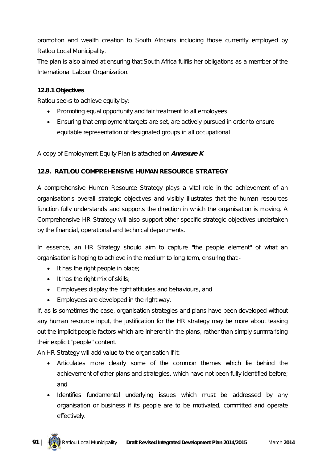promotion and wealth creation to South Africans including those currently employed by Ratlou Local Municipality.

The plan is also aimed at ensuring that South Africa fulfils her obligations as a member of the International Labour Organization.

### **12.8.1 Objectives**

Ratlou seeks to achieve equity by:

- Promoting equal opportunity and fair treatment to all employees
- Ensuring that employment targets are set, are actively pursued in order to ensure equitable representation of designated groups in all occupational

*A copy of Employment Equity Plan is attached on Annexure K*

### **12.9. RATLOU COMPREHENSIVE HUMAN RESOURCE STRATEGY**

A comprehensive Human Resource Strategy plays a vital role in the achievement of an organisation's overall strategic objectives and visibly illustrates that the human resources function fully understands and supports the direction in which the organisation is moving. A Comprehensive HR Strategy will also support other specific strategic objectives undertaken by the financial, operational and technical departments.

In essence, an HR Strategy should aim to capture "the people element" of what an organisation is hoping to achieve in the medium to long term, ensuring that:-

- It has the right people in place;
- It has the right mix of skills;
- Employees display the right attitudes and behaviours, and
- Employees are developed in the right way.

If, as is sometimes the case, organisation strategies and plans have been developed without any human resource input, the justification for the HR strategy may be more about teasing out the implicit people factors which are inherent in the plans, rather than simply summarising their explicit "people" content.

An HR Strategy will add value to the organisation if it:

- Articulates more clearly some of the common themes which lie behind the achievement of other plans and strategies, which have not been fully identified before; and
- Identifies fundamental underlying issues which must be addressed by any organisation or business if its people are to be motivated, committed and operate effectively.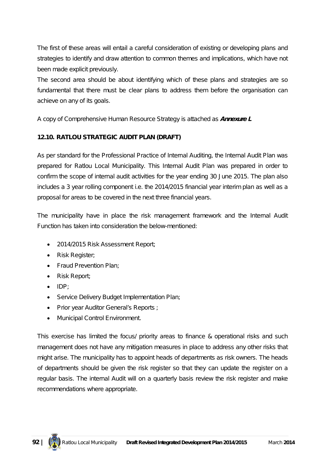The first of these areas will entail a careful consideration of existing or developing plans and strategies to identify and draw attention to common themes and implications, which have not been made explicit previously.

The second area should be about identifying which of these plans and strategies are so fundamental that there must be clear plans to address them before the organisation can achieve on any of its goals.

#### *A copy of Comprehensive Human Resource Strategy is attached as Annexure L*

#### **12.10. RATLOU STRATEGIC AUDIT PLAN (DRAFT)**

As per standard for the Professional Practice of Internal Auditing, the Internal Audit Plan was prepared for Ratlou Local Municipality. This Internal Audit Plan was prepared in order to confirm the scope of internal audit activities for the year ending 30 June 2015. The plan also includes a 3 year rolling component i.e. the 2014/2015 financial year interim plan as well as a proposal for areas to be covered in the next three financial years.

The municipality have in place the risk management framework and the Internal Audit Function has taken into consideration the below-mentioned:

- 2014/2015 Risk Assessment Report;
- Risk Register;
- Fraud Prevention Plan:
- Risk Report:
- $\bullet$  IDP:
- Service Delivery Budget Implementation Plan;
- Prior year Auditor General's Reports ;
- Municipal Control Environment.

This exercise has limited the focus/ priority areas to finance & operational risks and such management does not have any mitigation measures in place to address any other risks that might arise. The municipality has to appoint heads of departments as risk owners. The heads of departments should be given the risk register so that they can update the register on a regular basis. The internal Audit will on a quarterly basis review the risk register and make recommendations where appropriate.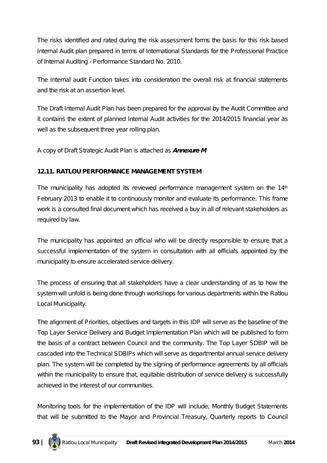The risks identified and rated during the risk assessment forms the basis for this risk based Internal Audit plan prepared in terms of International Standards for the Professional Practice of Internal Auditing - Performance Standard No. 2010.

The Internal audit Function takes into consideration the overall risk at financial statements and the risk at an assertion level.

The Draft Internal Audit Plan has been prepared for the approval by the Audit Committee and it contains the extent of planned Internal Audit activities for the 2014/2015 financial year as well as the subsequent three year rolling plan.

### *A copy of Draft Strategic Audit Plan is attached as Annexure M*

### **12.11. RATLOU PERFORMANCE MANAGEMENT SYSTEM**

The municipality has adopted its reviewed performance management system on the  $14<sup>th</sup>$ February 2013 to enable it to continuously monitor and evaluate its performance. This frame work is a consulted final document which has received a buy in all of relevant stakeholders as required by law.

The municipality has appointed an official who will be directly responsible to ensure that a successful implementation of the system in consultation with all officials appointed by the municipality to ensure accelerated service delivery.

The process of ensuring that all stakeholders have a clear understanding of as to how the system will unfold is being done through workshops for various departments within the Ratlou Local Municipality.

The alignment of Priorities, objectives and targets in this IDP will serve as the baseline of the Top Layer Service Delivery and Budget Implementation Plan which will be published to form the basis of a contract between Council and the community. The Top Layer SDBIP will be cascaded into the Technical SDBIPs which will serve as departmental annual service delivery plan. The system will be completed by the signing of performance agreements by all officials within the municipality to ensure that, equitable distribution of service delivery is successfully achieved in the interest of our communities.

Monitoring tools for the implementation of the IDP will include, Monthly Budget Statements that will be submitted to the Mayor and Provincial Treasury, Quarterly reports to Council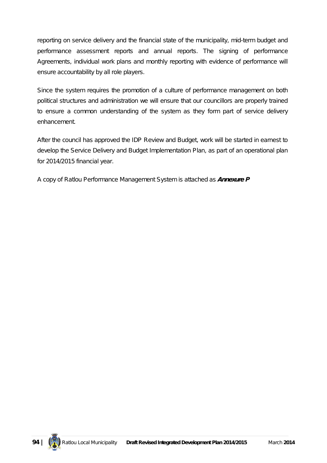reporting on service delivery and the financial state of the municipality, mid-term budget and performance assessment reports and annual reports. The signing of performance Agreements, individual work plans and monthly reporting with evidence of performance will ensure accountability by all role players.

Since the system requires the promotion of a culture of performance management on both political structures and administration we will ensure that our councillors are properly trained to ensure a common understanding of the system as they form part of service delivery enhancement.

After the council has approved the IDP Review and Budget, work will be started in earnest to develop the Service Delivery and Budget Implementation Plan, as part of an operational plan for 2014/2015 financial year.

*A copy of Ratlou Performance Management System is attached as Annexure P*

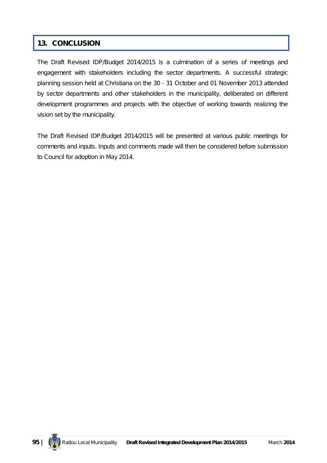# **13. CONCLUSION**

The Draft Revised IDP/Budget 2014/2015 is a culmination of a series of meetings and engagement with stakeholders including the sector departments. A successful strategic planning session held at Christiana on the 30 - 31 October and 01 November 2013 attended by sector departments and other stakeholders in the municipality, deliberated on different development programmes and projects with the objective of working towards realizing the vision set by the municipality.

The Draft Revised IDP/Budget 2014/2015 will be presented at various public meetings for comments and inputs. Inputs and comments made will then be considered before submission to Council for adoption in May 2014.